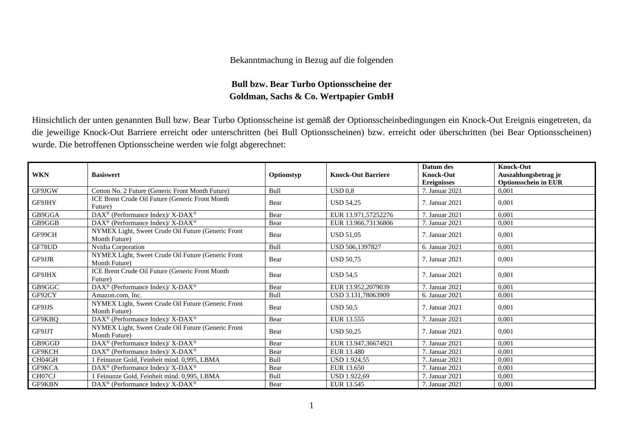## Bekanntmachung in Bezug auf die folgenden

## **Bull bzw. Bear Turbo Optionsscheine der Goldman, Sachs & Co. Wertpapier GmbH**

Hinsichtlich der unten genannten Bull bzw. Bear Turbo Optionsscheine ist gemäß der Optionsscheinbedingungen ein Knock-Out Ereignis eingetreten, da die jeweilige Knock-Out Barriere erreicht oder unterschritten (bei Bull Optionsscheinen) bzw. erreicht oder überschritten (bei Bear Optionsscheinen) wurde. Die betroffenen Optionsscheine werden wie folgt abgerechnet:

| <b>WKN</b>    | <b>Basiswert</b>                                                         | Optionstyp | <b>Knock-Out Barriere</b> | Datum des<br><b>Knock-Out</b> | <b>Knock-Out</b><br>Auszahlungsbetrag je |
|---------------|--------------------------------------------------------------------------|------------|---------------------------|-------------------------------|------------------------------------------|
|               |                                                                          |            |                           | <b>Ereignisses</b>            | <b>Optionsschein in EUR</b>              |
| GF9JGW        | Cotton No. 2 Future (Generic Front Month Future)                         | Bull       | USD 0.8                   | 7. Januar 2021                | 0.001                                    |
| GF9JHY        | ICE Brent Crude Oil Future (Generic Front Month)<br>Future)              | Bear       | <b>USD 54,25</b>          | 7. Januar 2021                | 0,001                                    |
| GB9GGA        | $\overline{\text{DAX}^{\otimes}}$ (Performance Index)/X-DAX <sup>®</sup> | Bear       | EUR 13.971,57252276       | 7. Januar 2021                | 0,001                                    |
| GB9GGB        | $DAX^{\circledcirc}$ (Performance Index)/X-DAX <sup>®</sup>              | Bear       | EUR 13.966,73136806       | 7. Januar 2021                | 0,001                                    |
| GF99CH        | NYMEX Light, Sweet Crude Oil Future (Generic Front<br>Month Future)      | Bear       | <b>USD 51.05</b>          | 7. Januar 2021                | 0,001                                    |
| GF78UD        | Nvidia Corporation                                                       | Bull       | USD 506,1397827           | 6. Januar 2021                | 0,001                                    |
| GF9JJR        | NYMEX Light, Sweet Crude Oil Future (Generic Front<br>Month Future)      | Bear       | <b>USD 50.75</b>          | 7. Januar 2021                | 0,001                                    |
| <b>GF9JHX</b> | ICE Brent Crude Oil Future (Generic Front Month<br>Future)               | Bear       | <b>USD 54.5</b>           | 7. Januar 2021                | 0.001                                    |
| GB9GGC        | DAX <sup>®</sup> (Performance Index)/ X-DAX <sup>®</sup>                 | Bear       | EUR 13.952,2079039        | 7. Januar 2021                | 0,001                                    |
| GF92CY        | Amazon.com. Inc.                                                         | Bull       | USD 3.131,78063909        | 6. Januar 2021                | 0,001                                    |
| GF9JJS        | NYMEX Light, Sweet Crude Oil Future (Generic Front<br>Month Future)      | Bear       | <b>USD 50,5</b>           | 7. Januar 2021                | 0.001                                    |
| GF9KBQ        | DAX <sup>®</sup> (Performance Index)/X-DAX <sup>®</sup>                  | Bear       | EUR 13.555                | 7. Januar 2021                | 0,001                                    |
| GF9JJT        | NYMEX Light, Sweet Crude Oil Future (Generic Front<br>Month Future)      | Bear       | <b>USD 50,25</b>          | 7. Januar 2021                | 0.001                                    |
| GB9GGD        | DAX <sup>®</sup> (Performance Index)/ X-DAX <sup>®</sup>                 | Bear       | EUR 13.947,36674921       | 7. Januar 2021                | 0,001                                    |
| GF9KCH        | $\text{DAX}^{\circledR}$ (Performance Index)/ X-DAX <sup>®</sup>         | Bear       | EUR 13.480                | 7. Januar 2021                | 0.001                                    |
| CH04GH        | Feinunze Gold, Feinheit mind. 0,995, LBMA                                | Bull       | <b>USD 1.924.55</b>       | 7. Januar 2021                | 0,001                                    |
| GF9KCA        | $\text{DAX}^{\circledast}$ (Performance Index)/ X-DAX $^{\circledast}$   | Bear       | EUR 13.650                | 7. Januar 2021                | 0,001                                    |
| CH07CJ        | Feinunze Gold, Feinheit mind. 0,995, LBMA                                | Bull       | USD 1.922.69              | 7. Januar 2021                | 0,001                                    |
| <b>GF9KBN</b> | $DAX^{\circledast}$ (Performance Index)/X-DAX <sup>®</sup>               | Bear       | EUR 13.545                | 7. Januar 2021                | 0,001                                    |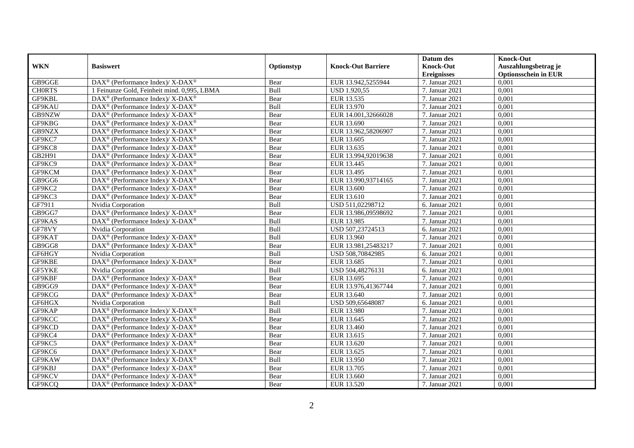|               |                                                                           |             |                           | Datum des                              | <b>Knock-Out</b>                                    |
|---------------|---------------------------------------------------------------------------|-------------|---------------------------|----------------------------------------|-----------------------------------------------------|
| <b>WKN</b>    | <b>Basiswert</b>                                                          | Optionstyp  | <b>Knock-Out Barriere</b> | <b>Knock-Out</b><br><b>Ereignisses</b> | Auszahlungsbetrag je<br><b>Optionsschein in EUR</b> |
| GB9GGE        | DAX <sup>®</sup> (Performance Index)/ X-DAX <sup>®</sup>                  | Bear        | EUR 13.942,5255944        | 7. Januar 2021                         | 0,001                                               |
| <b>CHORTS</b> | 1 Feinunze Gold, Feinheit mind. 0,995, LBMA                               | Bull        | <b>USD 1.920,55</b>       | 7. Januar 2021                         | 0,001                                               |
| GF9KBL        | DAX <sup>®</sup> (Performance Index)/X-DAX <sup>®</sup>                   | Bear        | EUR 13.535                | 7. Januar 2021                         | 0,001                                               |
| GF9KAU        | DAX <sup>®</sup> (Performance Index)/ X-DAX <sup>®</sup>                  | Bull        | EUR 13.970                | 7. Januar 2021                         | 0,001                                               |
| GB9NZW        | DAX <sup>®</sup> (Performance Index)/ X-DAX <sup>®</sup>                  | Bear        | EUR 14.001,32666028       | 7. Januar 2021                         | 0,001                                               |
| GF9KBG        | $DAX^{\circledast}$ (Performance Index)/ X-DAX <sup>®</sup>               | Bear        | EUR 13.690                | 7. Januar 2021                         | 0,001                                               |
| GB9NZX        | $\text{DAX}^{\circledast}$ (Performance Index)/ X-DAX <sup>®</sup>        | Bear        | EUR 13.962,58206907       | 7. Januar 2021                         | 0,001                                               |
| GF9KC7        | DAX <sup>®</sup> (Performance Index)/ X-DAX <sup>®</sup>                  | Bear        | EUR 13.605                | 7. Januar 2021                         | 0,001                                               |
| GF9KC8        | DAX <sup>®</sup> (Performance Index)/X-DAX <sup>®</sup>                   | Bear        | EUR 13.635                | 7. Januar 2021                         | 0,001                                               |
| GB2H91        | $\overline{\text{DAX}^{\otimes}}$ (Performance Index)/X-DAX <sup>®</sup>  | Bear        | EUR 13.994,92019638       | 7. Januar 2021                         | 0,001                                               |
| GF9KC9        | $\text{DAX}^{\circledast}$ (Performance Index)/ X-DAX <sup>®</sup>        | Bear        | EUR 13.445                | 7. Januar 2021                         | 0,001                                               |
| GF9KCM        | DAX <sup>®</sup> (Performance Index)/ X-DAX <sup>®</sup>                  | Bear        | EUR 13.495                | 7. Januar 2021                         | 0,001                                               |
| GB9GG6        | DAX <sup>®</sup> (Performance Index)/ X-DAX <sup>®</sup>                  | Bear        | EUR 13.990,93714165       | 7. Januar 2021                         | 0,001                                               |
| GF9KC2        | $DAX^{\circledast}$ (Performance Index)/ X-DAX <sup>®</sup>               | Bear        | EUR 13.600                | 7. Januar 2021                         | 0,001                                               |
| GF9KC3        | $DAX^{\circledast}$ (Performance Index)/ X-DAX <sup>®</sup>               | Bear        | EUR 13.610                | 7. Januar 2021                         | 0,001                                               |
| GF7911        | Nvidia Corporation                                                        | Bull        | USD 511,02298712          | 6. Januar 2021                         | 0,001                                               |
| GB9GG7        | DAX <sup>®</sup> (Performance Index)/ X-DAX <sup>®</sup>                  | Bear        | EUR 13.986,09598692       | 7. Januar 2021                         | 0,001                                               |
| GF9KAS        | $DAX^{\circledcirc}$ (Performance Index)/X-DAX <sup>®</sup>               | <b>Bull</b> | EUR 13.985                | 7. Januar 2021                         | 0,001                                               |
| GF78VY        | Nvidia Corporation                                                        | Bull        | USD 507,23724513          | 6. Januar 2021                         | 0,001                                               |
| GF9KAT        | DAX <sup>®</sup> (Performance Index)/ X-DAX <sup>®</sup>                  | Bull        | EUR 13.960                | 7. Januar 2021                         | 0,001                                               |
| GB9GG8        | DAX <sup>®</sup> (Performance Index)/ X-DAX <sup>®</sup>                  | Bear        | EUR 13.981,25483217       | 7. Januar 2021                         | 0,001                                               |
| GF6HGY        | Nvidia Corporation                                                        | Bull        | USD 508,70842985          | 6. Januar 2021                         | 0,001                                               |
| GF9KBE        | DAX <sup>®</sup> (Performance Index)/ X-DAX <sup>®</sup>                  | Bear        | EUR 13.685                | 7. Januar 2021                         | 0,001                                               |
| GF5YKE        | Nvidia Corporation                                                        | Bull        | USD 504,48276131          | 6. Januar 2021                         | 0,001                                               |
| GF9KBF        | DAX <sup>®</sup> (Performance Index)/X-DAX <sup>®</sup>                   | Bear        | EUR 13.695                | 7. Januar 2021                         | 0,001                                               |
| GB9GG9        | DAX <sup>®</sup> (Performance Index)/ X-DAX <sup>®</sup>                  | Bear        | EUR 13.976,41367744       | 7. Januar 2021                         | 0,001                                               |
| GF9KCG        | $DAX^{\circledast}$ (Performance Index)/ X-DAX <sup>®</sup>               | Bear        | EUR 13.640                | 7. Januar 2021                         | 0,001                                               |
| GF6HGX        | Nvidia Corporation                                                        | Bull        | USD 509,65648087          | 6. Januar 2021                         | 0,001                                               |
| GF9KAP        | $DAX^{\circledast}$ (Performance Index)/ $\overline{X-DAX^{\circledast}}$ | <b>Bull</b> | EUR 13.980                | 7. Januar 2021                         | 0,001                                               |
| GF9KCC        | DAX <sup>®</sup> (Performance Index)/ X-DAX <sup>®</sup>                  | Bear        | EUR 13.645                | 7. Januar 2021                         | 0,001                                               |
| GF9KCD        | DAX <sup>®</sup> (Performance Index)/X-DAX <sup>®</sup>                   | Bear        | EUR 13.460                | 7. Januar 2021                         | 0,001                                               |
| GF9KC4        | DAX <sup>®</sup> (Performance Index)/X-DAX <sup>®</sup>                   | Bear        | EUR 13.615                | 7. Januar 2021                         | 0,001                                               |
| GF9KC5        | DAX <sup>®</sup> (Performance Index)/X-DAX <sup>®</sup>                   | Bear        | EUR 13.620                | 7. Januar 2021                         | 0,001                                               |
| GF9KC6        | DAX <sup>®</sup> (Performance Index)/X-DAX <sup>®</sup>                   | Bear        | EUR 13.625                | 7. Januar 2021                         | 0,001                                               |
| GF9KAW        | $DAX^{\circledast}$ (Performance Index)/ X-DAX <sup>®</sup>               | Bull        | EUR 13.950                | 7. Januar 2021                         | 0,001                                               |
| GF9KBJ        | $DAX^{\circledast}$ (Performance Index)/ X-DAX <sup>®</sup>               | Bear        | EUR 13.705                | 7. Januar 2021                         | 0,001                                               |
| GF9KCV        | DAX <sup>®</sup> (Performance Index)/ X-DAX <sup>®</sup>                  | Bear        | EUR 13.660                | 7. Januar 2021                         | 0,001                                               |
| GF9KCQ        | $\text{DAX}^{\circledast}$ (Performance Index)/ X-DAX <sup>®</sup>        | Bear        | EUR 13.520                | 7. Januar 2021                         | 0,001                                               |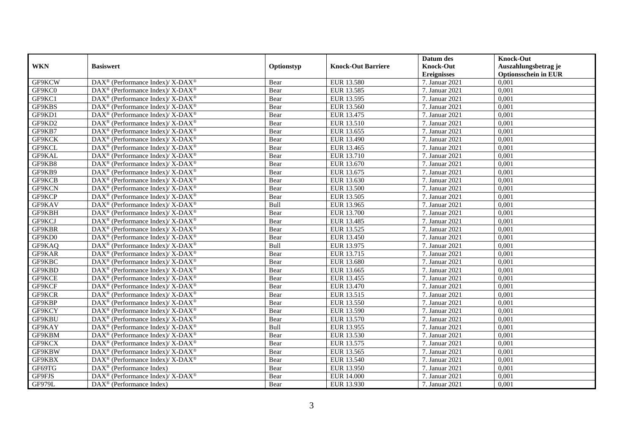|            |                                                                    |            |                           | Datum des          | <b>Knock-Out</b>            |
|------------|--------------------------------------------------------------------|------------|---------------------------|--------------------|-----------------------------|
| <b>WKN</b> | <b>Basiswert</b>                                                   | Optionstyp | <b>Knock-Out Barriere</b> | <b>Knock-Out</b>   | Auszahlungsbetrag je        |
|            |                                                                    |            |                           | <b>Ereignisses</b> | <b>Optionsschein in EUR</b> |
| GF9KCW     | DAX <sup>®</sup> (Performance Index)/X-DAX <sup>®</sup>            | Bear       | EUR 13.580                | 7. Januar 2021     | 0,001                       |
| GF9KC0     | $DAX^{\circledast}$ (Performance Index)/ X-DAX <sup>®</sup>        | Bear       | EUR 13.585                | 7. Januar 2021     | 0,001                       |
| GF9KC1     | $DAX^{\circledast}$ (Performance Index)/ X-DAX <sup>®</sup>        | Bear       | EUR 13.595                | 7. Januar 2021     | 0,001                       |
| GF9KBS     | $DAX^{\circledast}$ (Performance Index)/ X-DAX <sup>®</sup>        | Bear       | EUR 13.560                | 7. Januar 2021     | 0,001                       |
| GF9KD1     | DAX <sup>®</sup> (Performance Index)/X-DAX <sup>®</sup>            | Bear       | EUR 13.475                | 7. Januar 2021     | 0,001                       |
| GF9KD2     | DAX <sup>®</sup> (Performance Index)/ X-DAX <sup>®</sup>           | Bear       | EUR 13.510                | 7. Januar 2021     | 0,001                       |
| GF9KB7     | DAX <sup>®</sup> (Performance Index)/ X-DAX <sup>®</sup>           | Bear       | EUR 13.655                | 7. Januar 2021     | 0,001                       |
| GF9KCK     | $DAX^{\circledast}$ (Performance Index)/ X-DAX <sup>®</sup>        | Bear       | EUR 13.490                | 7. Januar 2021     | 0,001                       |
| GF9KCL     | $\text{DAX}^{\circledast}$ (Performance Index)/ X-DAX <sup>®</sup> | Bear       | EUR 13.465                | 7. Januar 2021     | 0,001                       |
| GF9KAL     | DAX <sup>®</sup> (Performance Index)/ X-DAX <sup>®</sup>           | Bear       | EUR 13.710                | 7. Januar 2021     | 0,001                       |
| GF9KB8     | DAX <sup>®</sup> (Performance Index)/ X-DAX <sup>®</sup>           | Bear       | EUR 13.670                | 7. Januar 2021     | 0,001                       |
| GF9KB9     | DAX <sup>®</sup> (Performance Index)/ X-DAX <sup>®</sup>           | Bear       | EUR 13.675                | 7. Januar 2021     | 0,001                       |
| GF9KCB     | $DAX^{\circledast}$ (Performance Index)/ X-DAX <sup>®</sup>        | Bear       | EUR 13.630                | 7. Januar 2021     | 0,001                       |
| GF9KCN     | DAX <sup>®</sup> (Performance Index)/X-DAX <sup>®</sup>            | Bear       | <b>EUR 13.500</b>         | 7. Januar 2021     | 0,001                       |
| GF9KCP     | DAX <sup>®</sup> (Performance Index)/ X-DAX <sup>®</sup>           | Bear       | EUR 13.505                | 7. Januar 2021     | 0,001                       |
| GF9KAV     | DAX <sup>®</sup> (Performance Index)/ X-DAX <sup>®</sup>           | Bull       | EUR 13.965                | 7. Januar 2021     | 0,001                       |
| GF9KBH     | DAX <sup>®</sup> (Performance Index)/ X-DAX <sup>®</sup>           | Bear       | EUR 13.700                | 7. Januar 2021     | 0,001                       |
| GF9KCJ     | $DAX^{\circledast}$ (Performance Index)/ X-DAX <sup>®</sup>        | Bear       | EUR 13.485                | 7. Januar 2021     | 0,001                       |
| GF9KBR     | $DAX^{\circledast}$ (Performance Index)/ X-DAX <sup>®</sup>        | Bear       | EUR 13.525                | 7. Januar 2021     | 0,001                       |
| GF9KD0     | DAX <sup>®</sup> (Performance Index)/X-DAX <sup>®</sup>            | Bear       | EUR 13.450                | 7. Januar 2021     | 0,001                       |
| GF9KAQ     | DAX <sup>®</sup> (Performance Index)/X-DAX <sup>®</sup>            | Bull       | EUR 13.975                | 7. Januar 2021     | 0,001                       |
| GF9KAR     | $\text{DAX}^{\circledast}$ (Performance Index)/ X-DAX <sup>®</sup> | Bear       | EUR 13.715                | 7. Januar 2021     | 0,001                       |
| GF9KBC     | DAX <sup>®</sup> (Performance Index)/ X-DAX <sup>®</sup>           | Bear       | EUR 13.680                | 7. Januar 2021     | 0,001                       |
| GF9KBD     | $DAX^{\circledast}$ (Performance Index)/ X-DAX <sup>®</sup>        | Bear       | EUR 13.665                | 7. Januar 2021     | 0,001                       |
| GF9KCE     | DAX <sup>®</sup> (Performance Index)/ X-DAX <sup>®</sup>           | Bear       | EUR 13.455                | 7. Januar 2021     | 0.001                       |
| GF9KCF     | $DAX^{\circledast}$ (Performance Index)/ X-DAX <sup>®</sup>        | Bear       | EUR 13.470                | 7. Januar 2021     | 0,001                       |
| GF9KCR     | DAX <sup>®</sup> (Performance Index)/X-DAX <sup>®</sup>            | Bear       | EUR 13.515                | 7. Januar 2021     | 0,001                       |
| GF9KBP     | DAX <sup>®</sup> (Performance Index)/ X-DAX <sup>®</sup>           | Bear       | EUR 13.550                | 7. Januar 2021     | 0,001                       |
| GF9KCY     | DAX <sup>®</sup> (Performance Index)/ X-DAX <sup>®</sup>           | Bear       | EUR 13.590                | 7. Januar 2021     | 0,001                       |
| GF9KBU     | $\text{DAX}^{\circledast}$ (Performance Index)/ X-DAX <sup>®</sup> | Bear       | EUR 13.570                | 7. Januar 2021     | 0,001                       |
| GF9KAY     | $DAX^{\circledast}$ (Performance Index)/ X-DAX <sup>®</sup>        | Bull       | EUR 13.955                | 7. Januar 2021     | 0,001                       |
| GF9KBM     | DAX <sup>®</sup> (Performance Index)/X-DAX <sup>®</sup>            | Bear       | EUR 13.530                | 7. Januar 2021     | 0,001                       |
| GF9KCX     | $DAX^{\circledast}$ (Performance Index)/ X-DAX <sup>®</sup>        | Bear       | EUR 13.575                | 7. Januar 2021     | 0,001                       |
| GF9KBW     | DAX <sup>®</sup> (Performance Index)/ X-DAX <sup>®</sup>           | Bear       | EUR 13.565                | 7. Januar 2021     | 0,001                       |
| GF9KBX     | DAX <sup>®</sup> (Performance Index)/ X-DAX <sup>®</sup>           | Bear       | EUR 13.540                | 7. Januar 2021     | 0,001                       |
| GF69TG     | $DAX^{\circledcirc}$ (Performance Index)                           | Bear       | EUR 13.950                | 7. Januar 2021     | 0,001                       |
| GF9FJS     | DAX <sup>®</sup> (Performance Index)/X-DAX <sup>®</sup>            | Bear       | <b>EUR 14.000</b>         | 7. Januar 2021     | 0,001                       |
| GF979L     | DAX <sup>®</sup> (Performance Index)                               | Bear       | EUR 13.930                | 7. Januar 2021     | 0,001                       |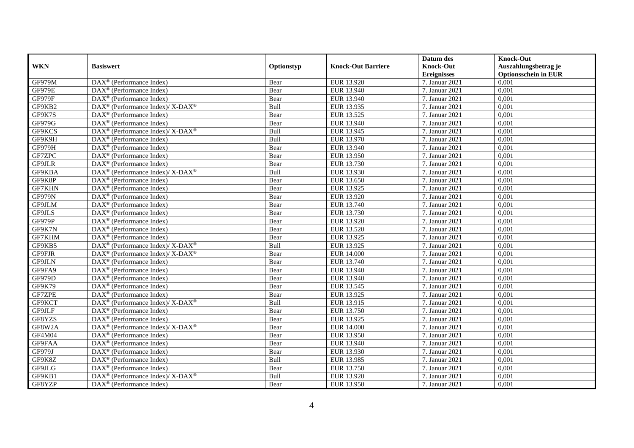|               |                                                                                         |            |                           | Datum des          | <b>Knock-Out</b>            |
|---------------|-----------------------------------------------------------------------------------------|------------|---------------------------|--------------------|-----------------------------|
| <b>WKN</b>    | <b>Basiswert</b>                                                                        | Optionstyp | <b>Knock-Out Barriere</b> | <b>Knock-Out</b>   | Auszahlungsbetrag je        |
|               |                                                                                         |            |                           | <b>Ereignisses</b> | <b>Optionsschein in EUR</b> |
| GF979M        | $\overline{\text{DAX}}^{\textcirc}$ (Performance Index)                                 | Bear       | EUR 13.920                | 7. Januar 2021     | 0,001                       |
| <b>GF979E</b> | $\text{DAX}^{\textcircled{D}}$ (Performance Index)                                      | Bear       | EUR 13.940                | 7. Januar 2021     | 0,001                       |
| GF979F        | DAX <sup>®</sup> (Performance Index)                                                    | Bear       | EUR 13.940                | 7. Januar 2021     | 0,001                       |
| GF9KB2        | $\text{DAX}^{\circledast}$ (Performance Index)/X-DAX <sup>®</sup>                       | Bull       | EUR 13.935                | 7. Januar 2021     | 0,001                       |
| GF9K7S        | DAX <sup>®</sup> (Performance Index)                                                    | Bear       | EUR 13.525                | 7. Januar 2021     | 0,001                       |
| GF979G        | DAX <sup>®</sup> (Performance Index)                                                    | Bear       | EUR 13.940                | 7. Januar 2021     | 0,001                       |
| GF9KCS        | DAX <sup>®</sup> (Performance Index)/ X-DAX <sup>®</sup>                                | Bull       | EUR 13.945                | 7. Januar 2021     | 0,001                       |
| GF9K9H        | $\text{DAX}^{\textcircled{}}$ (Performance Index)                                       | Bull       | EUR 13.970                | 7. Januar 2021     | 0,001                       |
| GF979H        | $\text{DAX}^{\textcircled{D}}$ (Performance Index)                                      | Bear       | EUR 13.940                | 7. Januar 2021     | 0,001                       |
| GF7ZPC        | $DAX^{\otimes}$ (Performance Index)                                                     | Bear       | EUR 13.950                | 7. Januar 2021     | 0,001                       |
| GF9JLR        | $\overline{\text{DAX}}^{\textcirc}$ (Performance Index)                                 | Bear       | EUR 13.730                | 7. Januar 2021     | 0,001                       |
| GF9KBA        | $\text{DAX}^{\circledR}$ (Performance Index)/ X-DAX <sup>®</sup>                        | Bull       | EUR 13.930                | 7. Januar 2021     | 0,001                       |
| GF9K8P        | $\text{DAX}^{\circledast}$ (Performance Index)                                          | Bear       | EUR 13.650                | 7. Januar 2021     | 0,001                       |
| GF7KHN        | DAX <sup>®</sup> (Performance Index)                                                    | Bear       | EUR 13.925                | 7. Januar 2021     | 0,001                       |
| GF979N        | DAX <sup>®</sup> (Performance Index)                                                    | Bear       | EUR 13.920                | 7. Januar 2021     | 0,001                       |
| GF9JLM        | DAX <sup>®</sup> (Performance Index)                                                    | Bear       | EUR 13.740                | 7. Januar 2021     | 0,001                       |
| GF9JLS        | DAX <sup>®</sup> (Performance Index)                                                    | Bear       | EUR 13.730                | 7. Januar 2021     | 0,001                       |
| GF979P        | $DAX^{\circledR}$ (Performance Index)                                                   | Bear       | EUR 13.920                | 7. Januar 2021     | 0,001                       |
| GF9K7N        | $\overline{\text{DAX}}^{\textcircled{}}$ (Performance Index)                            | Bear       | EUR 13.520                | 7. Januar 2021     | 0,001                       |
| GF7KHM        | $\overline{\text{DAX}^{\otimes}}$ (Performance Index)                                   | Bear       | EUR 13.925                | 7. Januar 2021     | 0,001                       |
| GF9KB5        | $\text{DAX}^{\circledR}$ (Performance Index)/ X-DAX <sup>®</sup>                        | Bull       | EUR 13.925                | 7. Januar 2021     | 0,001                       |
| GF9FJR        | DAX <sup>®</sup> (Performance Index)/ X-DAX <sup>®</sup>                                | Bear       | <b>EUR 14.000</b>         | 7. Januar 2021     | 0,001                       |
| GF9JLN        | $\text{DAX}^{\circledast}$ (Performance Index)                                          | Bear       | EUR 13.740                | 7. Januar 2021     | 0,001                       |
| GF9FA9        | DAX <sup>®</sup> (Performance Index)                                                    | Bear       | EUR 13.940                | 7. Januar 2021     | 0,001                       |
| GF979D        | DAX <sup>®</sup> (Performance Index)                                                    | Bear       | EUR 13.940                | 7. Januar 2021     | 0,001                       |
| GF9K79        | $\text{DAX}^{\otimes}$ (Performance Index)                                              | Bear       | EUR 13.545                | 7. Januar 2021     | 0,001                       |
| GF7ZPE        | DAX <sup>®</sup> (Performance Index)                                                    | Bear       | EUR 13.925                | 7. Januar 2021     | 0,001                       |
| GF9KCT        | $\text{DAX}^{\textcircled{\tiny{\textcircled{\tiny \dag}}}}$ (Performance Index)/X-DAX® | Bull       | EUR 13.915                | 7. Januar 2021     | 0,001                       |
| GF9JLF        | $\text{DAX}^{\textcircled{D}}$ (Performance Index)                                      | Bear       | EUR 13.750                | 7. Januar 2021     | 0,001                       |
| GF8YZS        | $\overline{\text{DAX}}^{\textcirc}$ (Performance Index)                                 | Bear       | EUR 13.925                | 7. Januar 2021     | 0,001                       |
| GF8W2A        | $\text{DAX}^{\circledR}$ (Performance Index)/ X-DAX <sup>®</sup>                        | Bear       | <b>EUR 14.000</b>         | 7. Januar 2021     | 0,001                       |
| GF4M04        | $\text{DAX}^{\textcircled{n}}$ (Performance Index)                                      | Bear       | EUR 13.950                | 7. Januar 2021     | 0,001                       |
| GF9FAA        | $\overline{\text{DAX}^{\otimes}}$ (Performance Index)                                   | Bear       | EUR 13.940                | 7. Januar 2021     | 0,001                       |
| GF979J        | DAX <sup>®</sup> (Performance Index)                                                    | Bear       | EUR 13.930                | 7. Januar 2021     | 0,001                       |
| GF9K8Z        | $\text{DAX}^{\textcircled{n}}$ (Performance Index)                                      | Bull       | EUR 13.985                | 7. Januar 2021     | 0,001                       |
| GF9JLG        | $\text{DAX}^{\circledast}$ (Performance Index)                                          | Bear       | EUR 13.750                | 7. Januar 2021     | 0,001                       |
| GF9KB1        | $DAX^{\circledast}$ (Performance Index)/ X-DAX <sup>®</sup>                             | Bull       | EUR 13.920                | 7. Januar 2021     | 0,001                       |
| GF8YZP        | $\text{DAX}^{\textcircled{n}}$ (Performance Index)                                      | Bear       | EUR 13.950                | 7. Januar 2021     | 0,001                       |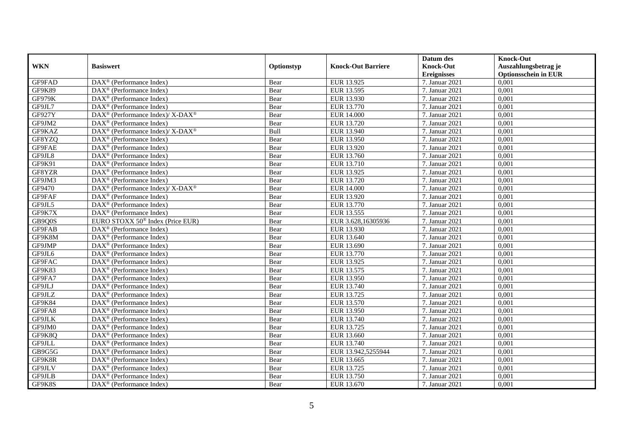|            |                                                             |            |                           | Datum des          | <b>Knock-Out</b>            |
|------------|-------------------------------------------------------------|------------|---------------------------|--------------------|-----------------------------|
| <b>WKN</b> | <b>Basiswert</b>                                            | Optionstyp | <b>Knock-Out Barriere</b> | <b>Knock-Out</b>   | Auszahlungsbetrag je        |
|            |                                                             |            |                           | <b>Ereignisses</b> | <b>Optionsschein in EUR</b> |
| GF9FAD     | DAX <sup>®</sup> (Performance Index)                        | Bear       | EUR 13.925                | 7. Januar 2021     | 0,001                       |
| GF9K89     | $DAX^{\circledR}$ (Performance Index)                       | Bear       | EUR 13.595                | 7. Januar 2021     | 0,001                       |
| GF979K     | $DAX^{\circledR}$ (Performance Index)                       | Bear       | EUR 13.930                | 7. Januar 2021     | 0,001                       |
| GF9JL7     | DAX <sup>®</sup> (Performance Index)                        | Bear       | EUR 13.770                | 7. Januar 2021     | 0,001                       |
| GF927Y     | DAX <sup>®</sup> (Performance Index)/ X-DAX <sup>®</sup>    | Bear       | <b>EUR 14.000</b>         | 7. Januar 2021     | 0,001                       |
| GF9JM2     | $\text{DAX}^{\textcircled{p}}$ (Performance Index)          | Bear       | EUR 13.720                | 7. Januar 2021     | 0,001                       |
| GF9KAZ     | $DAX^{\circledcirc}$ (Performance Index)/X-DAX <sup>®</sup> | Bull       | EUR 13.940                | 7. Januar 2021     | 0,001                       |
| GF8YZQ     | $\text{DAX}^{\textcircled{n}}$ (Performance Index)          | Bear       | EUR 13.950                | 7. Januar 2021     | 0,001                       |
| GF9FAE     | DAX <sup>®</sup> (Performance Index)                        | Bear       | EUR 13.920                | 7. Januar 2021     | 0,001                       |
| GF9JL8     | DAX <sup>®</sup> (Performance Index)                        | Bear       | EUR 13.760                | 7. Januar 2021     | 0,001                       |
| GF9K91     | $\overline{\text{DAX}^{\otimes}}$ (Performance Index)       | Bear       | EUR 13.710                | 7. Januar 2021     | 0,001                       |
| GF8YZR     | DAX <sup>®</sup> (Performance Index)                        | Bear       | EUR 13.925                | 7. Januar 2021     | 0,001                       |
| GF9JM3     | $\text{DAX}^{\circledast}$ (Performance Index)              | Bear       | EUR 13.720                | 7. Januar 2021     | 0,001                       |
| GF9470     | $DAX^{\circledcirc}$ (Performance Index)/X-DAX <sup>®</sup> | Bear       | <b>EUR 14.000</b>         | 7. Januar 2021     | 0.001                       |
| GF9FAF     | $DAX^{\otimes}$ (Performance Index)                         | Bear       | EUR 13.920                | 7. Januar 2021     | 0,001                       |
| GF9JL5     | DAX <sup>®</sup> (Performance Index)                        | Bear       | EUR 13.770                | 7. Januar 2021     | 0,001                       |
| GF9K7X     | $\text{DAX}^{\textcircled{p}}$ (Performance Index)          | Bear       | EUR 13.555                | 7. Januar 2021     | 0,001                       |
| GB9Q0S     | EURO STOXX 50 <sup>®</sup> Index (Price EUR)                | Bear       | EUR 3.628,16305936        | 7. Januar 2021     | 0,001                       |
| GF9FAB     | $\text{DAX}^{\textcircled{n}}$ (Performance Index)          | Bear       | EUR 13.930                | 7. Januar 2021     | 0,001                       |
| GF9K8M     | $\text{DAX}^{\otimes}$ (Performance Index)                  | Bear       | EUR 13.640                | 7. Januar 2021     | 0,001                       |
| GF9JMP     | DAX <sup>®</sup> (Performance Index)                        | Bear       | EUR 13.690                | 7. Januar 2021     | 0,001                       |
| GF9JL6     | $DAX^{\circledR}$ (Performance Index)                       | Bear       | EUR 13.770                | 7. Januar 2021     | 0,001                       |
| GF9FAC     | $\text{DAX}^{\textcircled{p}}$ (Performance Index)          | Bear       | EUR 13.925                | 7. Januar 2021     | 0,001                       |
| GF9K83     | $\text{DAX}^{\textcircled{p}}$ (Performance Index)          | Bear       | EUR 13.575                | 7. Januar 2021     | 0,001                       |
| GF9FA7     | $DAX^{\circledR}$ (Performance Index)                       | Bear       | EUR 13.950                | 7. Januar 2021     | 0,001                       |
| GF9JLJ     | DAX <sup>®</sup> (Performance Index)                        | Bear       | EUR 13.740                | 7. Januar 2021     | 0,001                       |
| GF9JLZ     | DAX <sup>®</sup> (Performance Index)                        | Bear       | EUR 13.725                | 7. Januar 2021     | 0,001                       |
| GF9K84     | DAX <sup>®</sup> (Performance Index)                        | Bear       | EUR 13.570                | 7. Januar 2021     | 0,001                       |
| GF9FA8     | $\text{DAX}^{\textcircled{n}}$ (Performance Index)          | Bear       | EUR 13.950                | 7. Januar 2021     | 0,001                       |
| GF9JLK     | $\text{DAX}^{\textcircled{n}}$ (Performance Index)          | Bear       | EUR 13.740                | 7. Januar 2021     | 0,001                       |
| GF9JM0     | $DAX^{\otimes}$ (Performance Index)                         | Bear       | EUR 13.725                | 7. Januar 2021     | 0,001                       |
| GF9K8Q     | DAX <sup>®</sup> (Performance Index)                        | Bear       | EUR 13.660                | 7. Januar 2021     | 0,001                       |
| GF9JLL     | $\overline{\text{DAX}^{\otimes}}$ (Performance Index)       | Bear       | EUR 13.740                | 7. Januar 2021     | 0,001                       |
| GB9G5G     | $\overline{\text{DAX}}^{\textcirc}$ (Performance Index)     | Bear       | EUR 13.942,5255944        | 7. Januar 2021     | 0,001                       |
| GF9K8R     | $\text{DAX}^{\textcircled{n}}$ (Performance Index)          | Bear       | EUR 13.665                | 7. Januar 2021     | 0,001                       |
| GF9JLV     | $\text{DAX}^{\textcircled{n}}$ (Performance Index)          | Bear       | EUR 13.725                | 7. Januar 2021     | 0,001                       |
| GF9JLB     | $\text{DAX}^{\otimes}$ (Performance Index)                  | Bear       | EUR 13.750                | 7. Januar 2021     | 0,001                       |
| GF9K8S     | $\text{DAX}^{\textcircled{n}}$ (Performance Index)          | Bear       | EUR 13.670                | 7. Januar 2021     | 0,001                       |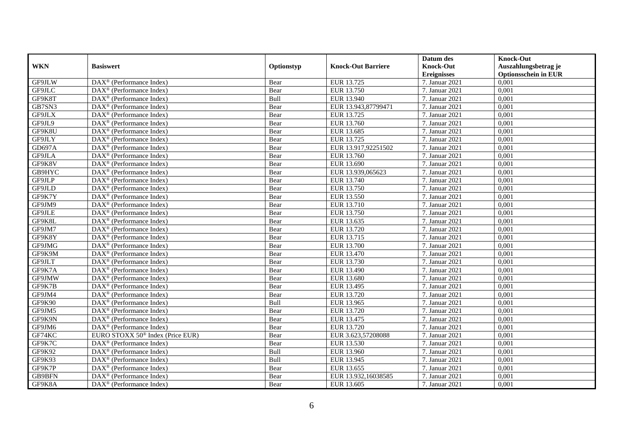|               |                                                              |            |                           | Datum des          | <b>Knock-Out</b>            |
|---------------|--------------------------------------------------------------|------------|---------------------------|--------------------|-----------------------------|
| <b>WKN</b>    | <b>Basiswert</b>                                             | Optionstyp | <b>Knock-Out Barriere</b> | <b>Knock-Out</b>   | Auszahlungsbetrag je        |
|               |                                                              |            |                           | <b>Ereignisses</b> | <b>Optionsschein in EUR</b> |
| GF9JLW        | $\overline{\text{DAX}}^{\textcircled{}}$ (Performance Index) | Bear       | EUR 13.725                | 7. Januar 2021     | 0,001                       |
| GF9JLC        | $DAX^{\circledR}$ (Performance Index)                        | Bear       | EUR 13.750                | 7. Januar 2021     | 0,001                       |
| GF9K8T        | DAX <sup>®</sup> (Performance Index)                         | Bull       | EUR 13.940                | 7. Januar 2021     | 0,001                       |
| GB7SN3        | $\text{DAX}^{\circledast}$ (Performance Index)               | Bear       | EUR 13.943,87799471       | 7. Januar 2021     | 0,001                       |
| GF9JLX        | DAX <sup>®</sup> (Performance Index)                         | Bear       | EUR 13.725                | 7. Januar 2021     | 0,001                       |
| GF9JL9        | $\text{DAX}^{\circledast}$ (Performance Index)               | Bear       | EUR 13.760                | 7. Januar 2021     | 0,001                       |
| GF9K8U        | $\text{DAX}^{\textcircled{n}}$ (Performance Index)           | Bear       | EUR 13.685                | 7. Januar 2021     | 0,001                       |
| GF9JLY        | $\text{DAX}^{\textcircled{}}$ (Performance Index)            | Bear       | EUR 13.725                | 7. Januar 2021     | 0,001                       |
| <b>GD697A</b> | $\text{DAX}^{\textcircled{p}}$ (Performance Index)           | Bear       | EUR 13.917,92251502       | 7. Januar 2021     | 0,001                       |
| GF9JLA        | $DAX^{\otimes}$ (Performance Index)                          | Bear       | EUR 13.760                | 7. Januar 2021     | 0,001                       |
| GF9K8V        | $\overline{\text{DAX}}^{\textcircled{}}$ (Performance Index) | Bear       | EUR 13.690                | 7. Januar 2021     | 0,001                       |
| GB9HYC        | $\overline{\text{DAX}^{\otimes}}$ (Performance Index)        | Bear       | EUR 13.939,065623         | 7. Januar 2021     | 0,001                       |
| GF9JLP        | $\text{DAX}^{\textcircled{n}}$ (Performance Index)           | Bear       | EUR 13.740                | 7. Januar 2021     | 0,001                       |
| GF9JLD        | DAX <sup>®</sup> (Performance Index)                         | Bear       | EUR 13.750                | 7. Januar 2021     | 0,001                       |
| GF9K7Y        | DAX <sup>®</sup> (Performance Index)                         | Bear       | EUR 13.550                | 7. Januar 2021     | 0,001                       |
| GF9JM9        | DAX <sup>®</sup> (Performance Index)                         | Bear       | EUR 13.710                | 7. Januar 2021     | 0,001                       |
| GF9JLE        | DAX <sup>®</sup> (Performance Index)                         | Bear       | EUR 13.750                | 7. Januar 2021     | 0,001                       |
| GF9K8L        | $DAX^{\circledR}$ (Performance Index)                        | Bear       | EUR 13.635                | 7. Januar 2021     | 0,001                       |
| GF9JM7        | DAX <sup>®</sup> (Performance Index)                         | Bear       | EUR 13.720                | 7. Januar 2021     | 0,001                       |
| GF9K8Y        | DAX <sup>®</sup> (Performance Index)                         | Bear       | EUR 13.715                | 7. Januar 2021     | 0,001                       |
| GF9JMG        | DAX <sup>®</sup> (Performance Index)                         | Bear       | EUR 13.700                | 7. Januar 2021     | 0,001                       |
| GF9K9M        | $\overline{\text{DAX}^{\otimes}}$ (Performance Index)        | Bear       | EUR 13.470                | 7. Januar 2021     | 0,001                       |
| GF9JLT        | $\text{DAX}^{\circledast}$ (Performance Index)               | Bear       | EUR 13.730                | 7. Januar 2021     | 0,001                       |
| GF9K7A        | DAX <sup>®</sup> (Performance Index)                         | Bear       | EUR 13.490                | 7. Januar 2021     | 0,001                       |
| GF9JMW        | DAX <sup>®</sup> (Performance Index)                         | Bear       | EUR 13.680                | 7. Januar 2021     | 0,001                       |
| GF9K7B        | $\text{DAX}^{\otimes}$ (Performance Index)                   | Bear       | EUR 13.495                | 7. Januar 2021     | 0,001                       |
| GF9JM4        | $\text{DAX}^{\circledast}$ (Performance Index)               | Bear       | EUR 13.720                | 7. Januar 2021     | 0,001                       |
| GF9K90        | $DAX^{\circledR}$ (Performance Index)                        | Bull       | EUR 13.965                | 7. Januar 2021     | 0,001                       |
| GF9JM5        | $\text{DAX}^{\textcircled{p}}$ (Performance Index)           | Bear       | EUR 13.720                | 7. Januar 2021     | 0,001                       |
| GF9K9N        | $\text{DAX}^{\textcircled{D}}$ (Performance Index)           | Bear       | EUR 13.475                | 7. Januar 2021     | 0,001                       |
| GF9JM6        | DAX <sup>®</sup> (Performance Index)                         | Bear       | EUR 13.720                | 7. Januar 2021     | 0,001                       |
| GF74KC        | EURO STOXX 50 <sup>®</sup> Index (Price EUR)                 | Bear       | EUR 3.623,57208088        | 7. Januar 2021     | 0,001                       |
| GF9K7C        | $\overline{\text{DAX}}^{\textcirc}$ (Performance Index)      | Bear       | EUR 13.530                | 7. Januar 2021     | 0,001                       |
| GF9K92        | DAX <sup>®</sup> (Performance Index)                         | Bull       | EUR 13.960                | 7. Januar 2021     | 0,001                       |
| GF9K93        | $\text{DAX}^{\textcircled{n}}$ (Performance Index)           | Bull       | EUR 13.945                | 7. Januar 2021     | 0,001                       |
| GF9K7P        | $\text{DAX}^{\textcircled{n}}$ (Performance Index)           | Bear       | EUR 13.655                | 7. Januar 2021     | 0,001                       |
| GB9BFN        | $\text{DAX}^{\otimes}$ (Performance Index)                   | Bear       | EUR 13.932,16038585       | 7. Januar 2021     | 0,001                       |
| GF9K8A        | $\overline{\text{DAX}}^{\textcirc}$ (Performance Index)      | Bear       | EUR 13.605                | 7. Januar 2021     | 0,001                       |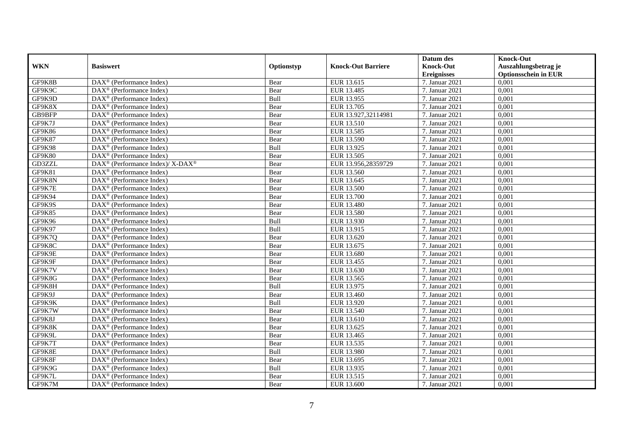|               |                                                          |             |                           | Datum des          | <b>Knock-Out</b>            |
|---------------|----------------------------------------------------------|-------------|---------------------------|--------------------|-----------------------------|
| <b>WKN</b>    | <b>Basiswert</b>                                         | Optionstyp  | <b>Knock-Out Barriere</b> | <b>Knock-Out</b>   | Auszahlungsbetrag je        |
|               |                                                          |             |                           | <b>Ereignisses</b> | <b>Optionsschein in EUR</b> |
| GF9K8B        | DAX <sup>®</sup> (Performance Index)                     | Bear        | EUR 13.615                | 7. Januar 2021     | 0,001                       |
| GF9K9C        | $DAX^{\circledR}$ (Performance Index)                    | Bear        | EUR 13.485                | 7. Januar 2021     | 0,001                       |
| GF9K9D        | DAX <sup>®</sup> (Performance Index)                     | Bull        | EUR 13.955                | 7. Januar 2021     | 0,001                       |
| GF9K8X        | $\text{DAX}^{\otimes}$ (Performance Index)               | Bear        | EUR 13.705                | 7. Januar 2021     | 0,001                       |
| GB9BFP        | DAX <sup>®</sup> (Performance Index)                     | Bear        | EUR 13.927,32114981       | 7. Januar 2021     | 0,001                       |
| GF9K7J        | $\text{DAX}^{\textcircled{n}}$ (Performance Index)       | Bear        | EUR 13.510                | 7. Januar 2021     | 0,001                       |
| GF9K86        | $\text{DAX}^{\textcircled{n}}$ (Performance Index)       | Bear        | EUR 13.585                | 7. Januar 2021     | 0,001                       |
| <b>GF9K87</b> | $\text{DAX}^{\textcircled{}}$ (Performance Index)        | Bear        | EUR 13.590                | 7. Januar 2021     | 0,001                       |
| GF9K98        | $\text{DAX}^{\textcircled{D}}$ (Performance Index)       | Bull        | EUR 13.925                | 7. Januar 2021     | 0,001                       |
| GF9K80        | $DAX^{\otimes}$ (Performance Index)                      | Bear        | EUR 13.505                | 7. Januar 2021     | 0,001                       |
| GD3ZZL        | DAX <sup>®</sup> (Performance Index)/ X-DAX <sup>®</sup> | Bear        | EUR 13.956,28359729       | 7. Januar 2021     | 0,001                       |
| GF9K81        | $\overline{\text{DAX}^{\otimes}}$ (Performance Index)    | Bear        | EUR 13.560                | 7. Januar 2021     | 0,001                       |
| GF9K8N        | $\text{DAX}^{\textcircled{n}}$ (Performance Index)       | Bear        | EUR 13.645                | 7. Januar 2021     | 0,001                       |
| GF9K7E        | DAX <sup>®</sup> (Performance Index)                     | Bear        | <b>EUR 13.500</b>         | 7. Januar 2021     | 0,001                       |
| GF9K94        | DAX <sup>®</sup> (Performance Index)                     | Bear        | EUR 13.700                | 7. Januar 2021     | 0,001                       |
| GF9K9S        | DAX <sup>®</sup> (Performance Index)                     | Bear        | <b>EUR 13.480</b>         | 7. Januar 2021     | 0,001                       |
| GF9K85        | DAX <sup>®</sup> (Performance Index)                     | Bear        | EUR 13.580                | 7. Januar 2021     | 0,001                       |
| GF9K96        | $\overline{\text{DAX}}^{\textcirc}$ (Performance Index)  | <b>Bull</b> | EUR 13.930                | 7. Januar 2021     | 0,001                       |
| GF9K97        | DAX <sup>®</sup> (Performance Index)                     | Bull        | EUR 13.915                | 7. Januar 2021     | 0,001                       |
| GF9K7Q        | DAX <sup>®</sup> (Performance Index)                     | Bear        | EUR 13.620                | 7. Januar 2021     | 0,001                       |
| GF9K8C        | DAX <sup>®</sup> (Performance Index)                     | Bear        | EUR 13.675                | 7. Januar 2021     | 0,001                       |
| GF9K9E        | $\overline{\text{DAX}^{\otimes}}$ (Performance Index)    | Bear        | EUR 13.680                | 7. Januar 2021     | 0,001                       |
| GF9K9F        | $\text{DAX}^{\circledast}$ (Performance Index)           | Bear        | EUR 13.455                | 7. Januar 2021     | 0,001                       |
| GF9K7V        | DAX <sup>®</sup> (Performance Index)                     | Bear        | EUR 13.630                | 7. Januar 2021     | 0,001                       |
| GF9K8G        | DAX <sup>®</sup> (Performance Index)                     | Bear        | EUR 13.565                | 7. Januar 2021     | 0,001                       |
| GF9K8H        | $\text{DAX}^{\otimes}$ (Performance Index)               | Bull        | EUR 13.975                | 7. Januar 2021     | 0,001                       |
| GF9K9J        | $\text{DAX}^{\circledast}$ (Performance Index)           | Bear        | EUR 13.460                | 7. Januar 2021     | 0,001                       |
| GF9K9K        | $\text{DAX}^{\textcircled{D}}$ (Performance Index)       | Bull        | EUR 13.920                | 7. Januar 2021     | 0,001                       |
| GF9K7W        | $\text{DAX}^{\textcircled{D}}$ (Performance Index)       | Bear        | EUR 13.540                | 7. Januar 2021     | 0,001                       |
| GF9K8J        | $\text{DAX}^{\textcircled{D}}$ (Performance Index)       | Bear        | EUR 13.610                | 7. Januar 2021     | 0,001                       |
| GF9K8K        | DAX <sup>®</sup> (Performance Index)                     | Bear        | EUR 13.625                | 7. Januar 2021     | 0,001                       |
| GF9K9L        | DAX <sup>®</sup> (Performance Index)                     | Bear        | EUR 13.465                | 7. Januar 2021     | 0,001                       |
| GF9K7T        | $\overline{\text{DAX}^{\otimes}}$ (Performance Index)    | Bear        | EUR 13.535                | 7. Januar 2021     | 0,001                       |
| GF9K8E        | DAX <sup>®</sup> (Performance Index)                     | Bull        | <b>EUR 13.980</b>         | 7. Januar 2021     | 0,001                       |
| GF9K8F        | $\text{DAX}^{\textcircled{n}}$ (Performance Index)       | Bear        | EUR 13.695                | 7. Januar 2021     | 0,001                       |
| GF9K9G        | $\text{DAX}^{\textcircled{n}}$ (Performance Index)       | Bull        | EUR 13.935                | 7. Januar 2021     | 0,001                       |
| GF9K7L        | $\text{DAX}^{\otimes}$ (Performance Index)               | Bear        | EUR 13.515                | 7. Januar 2021     | 0,001                       |
| GF9K7M        | $\overline{\text{DAX}}^{\textcirc}$ (Performance Index)  | Bear        | EUR 13.600                | 7. Januar 2021     | 0,001                       |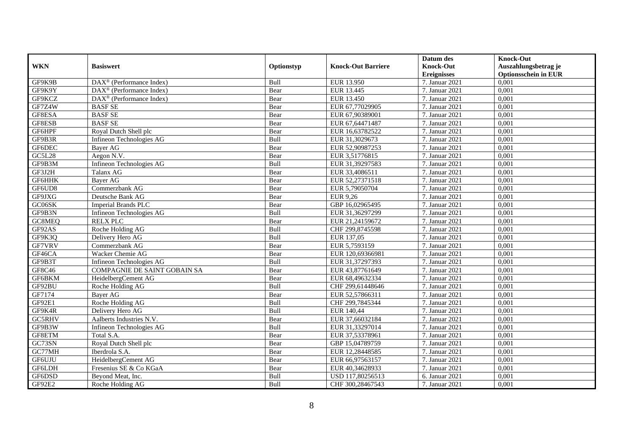|            |                                                       |            |                           | Datum des          | <b>Knock-Out</b>            |
|------------|-------------------------------------------------------|------------|---------------------------|--------------------|-----------------------------|
| <b>WKN</b> | <b>Basiswert</b>                                      | Optionstyp | <b>Knock-Out Barriere</b> | <b>Knock-Out</b>   | Auszahlungsbetrag je        |
|            |                                                       |            |                           | <b>Ereignisses</b> | <b>Optionsschein in EUR</b> |
| GF9K9B     | $\overline{\text{DAX}^{\otimes}}$ (Performance Index) | Bull       | EUR 13.950                | 7. Januar 2021     | 0,001                       |
| GF9K9Y     | $\text{DAX}^{\textcircled{D}}$ (Performance Index)    | Bear       | EUR 13.445                | 7. Januar 2021     | 0,001                       |
| GF9KCZ     | DAX <sup>®</sup> (Performance Index)                  | Bear       | EUR 13.450                | 7. Januar 2021     | 0,001                       |
| GF7Z4W     | <b>BASF SE</b>                                        | Bear       | EUR 67,77029905           | 7. Januar 2021     | 0,001                       |
| GF8ESA     | <b>BASF SE</b>                                        | Bear       | EUR 67,90389001           | 7. Januar 2021     | 0,001                       |
| GF8ESB     | <b>BASF SE</b>                                        | Bear       | EUR 67,64471487           | 7. Januar 2021     | 0,001                       |
| GF6HPF     | Royal Dutch Shell plc                                 | Bear       | EUR 16,63782522           | 7. Januar 2021     | 0,001                       |
| GF9B3R     | Infineon Technologies AG                              | Bull       | EUR 31,3029673            | 7. Januar 2021     | 0,001                       |
| GF6DEC     | <b>Baver AG</b>                                       | Bear       | EUR 52,90987253           | 7. Januar 2021     | 0,001                       |
| GC5L28     | Aegon N.V.                                            | Bear       | EUR 3,51776815            | 7. Januar 2021     | 0,001                       |
| GF9B3M     | Infineon Technologies AG                              | Bull       | EUR 31,39297583           | 7. Januar 2021     | 0,001                       |
| GF3J2H     | Talanx AG                                             | Bear       | EUR 33,4086511            | 7. Januar 2021     | 0,001                       |
| GF6HHK     | <b>Baver AG</b>                                       | Bear       | EUR 52,27371518           | 7. Januar 2021     | 0,001                       |
| GF6UD8     | Commerzbank AG                                        | Bear       | EUR 5,79050704            | 7. Januar 2021     | 0,001                       |
| GF9JXG     | Deutsche Bank AG                                      | Bear       | <b>EUR 9,26</b>           | 7. Januar 2021     | 0,001                       |
| GC06SK     | <b>Imperial Brands PLC</b>                            | Bear       | GBP 16,02965495           | 7. Januar 2021     | 0,001                       |
| GF9B3N     | Infineon Technologies AG                              | Bull       | EUR 31,36297299           | 7. Januar 2021     | 0,001                       |
| GC8MEQ     | <b>RELX PLC</b>                                       | Bear       | EUR 21.24159672           | 7. Januar 2021     | 0,001                       |
| GF92AS     | Roche Holding AG                                      | Bull       | CHF 299,8745598           | 7. Januar 2021     | 0,001                       |
| GF9K3Q     | Delivery Hero AG                                      | Bull       | EUR 137,05                | 7. Januar 2021     | 0,001                       |
| GF7VRV     | Commerzbank AG                                        | Bear       | EUR 5,7593159             | 7. Januar 2021     | 0,001                       |
| GF46CA     | Wacker Chemie AG                                      | Bear       | EUR 120,69366981          | 7. Januar 2021     | 0,001                       |
| GF9B3T     | Infineon Technologies AG                              | Bull       | EUR 31,37297393           | 7. Januar 2021     | 0,001                       |
| GF8C46     | <b>COMPAGNIE DE SAINT GOBAIN SA</b>                   | Bear       | EUR 43,87761649           | 7. Januar 2021     | 0,001                       |
| GF6BKM     | HeidelbergCement AG                                   | Bear       | EUR 68,49632334           | 7. Januar 2021     | 0,001                       |
| GF92BU     | Roche Holding AG                                      | Bull       | CHF 299,61448646          | 7. Januar 2021     | 0,001                       |
| GF7174     | Bayer AG                                              | Bear       | EUR 52,57866311           | 7. Januar 2021     | 0,001                       |
| GF92E1     | Roche Holding AG                                      | Bull       | CHF 299,7845344           | 7. Januar 2021     | 0,001                       |
| GF9K4R     | Delivery Hero AG                                      | Bull       | EUR 140,44                | 7. Januar 2021     | 0,001                       |
| GC5RHV     | Aalberts Industries N.V.                              | Bear       | EUR 37,66032184           | 7. Januar 2021     | 0,001                       |
| GF9B3W     | Infineon Technologies AG                              | Bull       | EUR 31,33297014           | 7. Januar 2021     | 0,001                       |
| GF8ETM     | Total S.A.                                            | Bear       | EUR 37,53378961           | 7. Januar 2021     | 0,001                       |
| GC73SN     | Royal Dutch Shell plc                                 | Bear       | GBP 15,04789759           | 7. Januar 2021     | 0,001                       |
| GC77MH     | Iberdrola S.A.                                        | Bear       | EUR 12,28448585           | 7. Januar 2021     | 0,001                       |
| GF6UJU     | HeidelbergCement AG                                   | Bear       | EUR 66,97563157           | 7. Januar 2021     | 0,001                       |
| GF6LDH     | Fresenius SE & Co KGaA                                | Bear       | EUR 40,34628933           | 7. Januar 2021     | 0,001                       |
| GF6DSD     | Beyond Meat, Inc.                                     | Bull       | USD 117,80256513          | 6. Januar 2021     | 0,001                       |
| GF92E2     | Roche Holding AG                                      | Bull       | CHF 300,28467543          | 7. Januar 2021     | 0,001                       |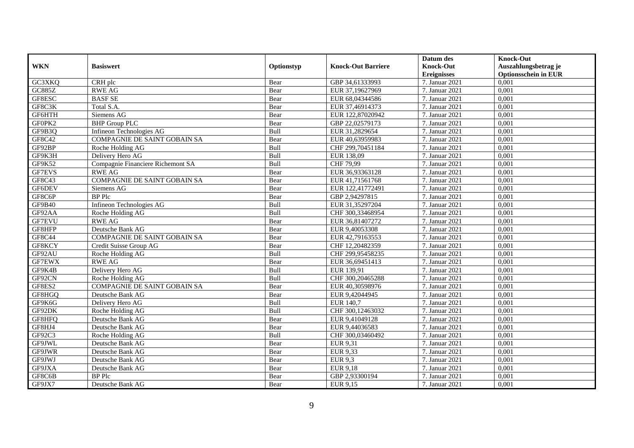|               |                                     |            |                           | Datum des          | <b>Knock-Out</b>            |
|---------------|-------------------------------------|------------|---------------------------|--------------------|-----------------------------|
| <b>WKN</b>    | <b>Basiswert</b>                    | Optionstyp | <b>Knock-Out Barriere</b> | <b>Knock-Out</b>   | Auszahlungsbetrag je        |
|               |                                     |            |                           | <b>Ereignisses</b> | <b>Optionsschein in EUR</b> |
| GC3XKQ        | CRH plc                             | Bear       | GBP 34,61333993           | 7. Januar 2021     | 0,001                       |
| <b>GC885Z</b> | <b>RWE AG</b>                       | Bear       | EUR 37,19627969           | 7. Januar 2021     | 0,001                       |
| GF8ESC        | <b>BASF SE</b>                      | Bear       | EUR 68,04344586           | 7. Januar 2021     | 0,001                       |
| GF8C3K        | Total S.A.                          | Bear       | EUR 37,46914373           | 7. Januar 2021     | 0,001                       |
| GF6HTH        | Siemens AG                          | Bear       | EUR 122,87020942          | 7. Januar 2021     | 0,001                       |
| GF0PK2        | <b>BHP</b> Group PLC                | Bear       | GBP 22,02579173           | 7. Januar 2021     | 0,001                       |
| GF9B3Q        | Infineon Technologies AG            | Bull       | EUR 31,2829654            | 7. Januar 2021     | 0,001                       |
| GF8C42        | <b>COMPAGNIE DE SAINT GOBAIN SA</b> | Bear       | EUR 40,63959983           | 7. Januar 2021     | 0,001                       |
| GF92BP        | Roche Holding AG                    | Bull       | CHF 299,70451184          | 7. Januar 2021     | 0,001                       |
| GF9K3H        | Delivery Hero AG                    | Bull       | EUR 138,09                | 7. Januar 2021     | 0,001                       |
| GF9K52        | Compagnie Financiere Richemont SA   | Bull       | CHF 79,99                 | 7. Januar 2021     | 0,001                       |
| GF7EVS        | <b>RWE AG</b>                       | Bear       | EUR 36,93363128           | 7. Januar 2021     | 0,001                       |
| GF8C43        | <b>COMPAGNIE DE SAINT GOBAIN SA</b> | Bear       | EUR 41,71561768           | 7. Januar 2021     | 0,001                       |
| GF6DEV        | Siemens AG                          | Bear       | EUR 122,41772491          | 7. Januar 2021     | 0,001                       |
| GF8C6P        | BP Plc                              | Bear       | GBP 2,94297815            | 7. Januar 2021     | 0,001                       |
| GF9B40        | Infineon Technologies AG            | Bull       | EUR 31,35297204           | 7. Januar 2021     | 0,001                       |
| GF92AA        | Roche Holding AG                    | Bull       | CHF 300,33468954          | 7. Januar 2021     | 0,001                       |
| <b>GF7EVU</b> | <b>RWE AG</b>                       | Bear       | EUR 36.81407272           | 7. Januar 2021     | 0,001                       |
| GF8HFP        | Deutsche Bank AG                    | Bear       | EUR 9,40053308            | 7. Januar 2021     | 0,001                       |
| GF8C44        | <b>COMPAGNIE DE SAINT GOBAIN SA</b> | Bear       | EUR 42,79163553           | 7. Januar 2021     | 0,001                       |
| GF8KCY        | Credit Suisse Group AG              | Bear       | CHF 12,20482359           | 7. Januar 2021     | 0,001                       |
| GF92AU        | Roche Holding AG                    | Bull       | CHF 299,95458235          | 7. Januar 2021     | 0,001                       |
| GF7EWX        | <b>RWE AG</b>                       | Bear       | EUR 36,69451413           | 7. Januar 2021     | 0,001                       |
| GF9K4B        | Delivery Hero AG                    | Bull       | EUR 139,91                | 7. Januar 2021     | 0,001                       |
| GF92CN        | Roche Holding AG                    | Bull       | CHF 300,20465288          | 7. Januar 2021     | 0,001                       |
| GF8ES2        | COMPAGNIE DE SAINT GOBAIN SA        | Bear       | EUR 40,30598976           | 7. Januar 2021     | 0,001                       |
| GF8HGQ        | Deutsche Bank AG                    | Bear       | EUR 9,42044945            | 7. Januar 2021     | 0,001                       |
| GF9K6G        | Delivery Hero AG                    | Bull       | EUR 140,7                 | 7. Januar 2021     | 0,001                       |
| GF92DK        | Roche Holding AG                    | Bull       | CHF 300,12463032          | 7. Januar 2021     | 0,001                       |
| GF8HFQ        | Deutsche Bank AG                    | Bear       | EUR 9,41049128            | 7. Januar 2021     | 0,001                       |
| GF8HJ4        | Deutsche Bank AG                    | Bear       | EUR 9,44036583            | 7. Januar 2021     | 0,001                       |
| GF92C3        | Roche Holding AG                    | Bull       | CHF 300,03460492          | 7. Januar 2021     | 0,001                       |
| GF9JWL        | Deutsche Bank AG                    | Bear       | <b>EUR 9,31</b>           | 7. Januar 2021     | 0,001                       |
| GF9JWR        | Deutsche Bank AG                    | Bear       | EUR 9,33                  | 7. Januar 2021     | 0,001                       |
| GF9JWJ        | Deutsche Bank AG                    | Bear       | <b>EUR 9,3</b>            | 7. Januar 2021     | 0,001                       |
| GF9JXA        | Deutsche Bank AG                    | Bear       | <b>EUR 9,18</b>           | 7. Januar 2021     | 0,001                       |
| GF8C6B        | <b>BP</b> Plc                       | Bear       | GBP 2,93300194            | 7. Januar 2021     | 0,001                       |
| GF9JX7        | Deutsche Bank AG                    | Bear       | EUR 9,15                  | 7. Januar 2021     | 0,001                       |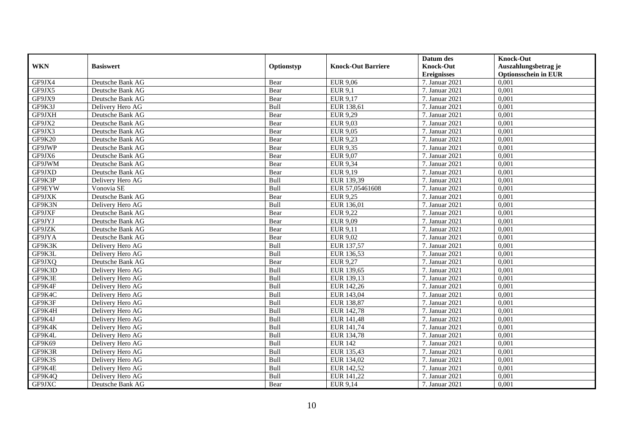|               |                  |            |                           | Datum des          | <b>Knock-Out</b>            |
|---------------|------------------|------------|---------------------------|--------------------|-----------------------------|
| <b>WKN</b>    | <b>Basiswert</b> | Optionstyp | <b>Knock-Out Barriere</b> | <b>Knock-Out</b>   | Auszahlungsbetrag je        |
|               |                  |            |                           | <b>Ereignisses</b> | <b>Optionsschein in EUR</b> |
| GF9JX4        | Deutsche Bank AG | Bear       | <b>EUR 9,06</b>           | 7. Januar 2021     | 0,001                       |
| GF9JX5        | Deutsche Bank AG | Bear       | <b>EUR 9.1</b>            | 7. Januar 2021     | 0,001                       |
| GF9JX9        | Deutsche Bank AG | Bear       | EUR 9,17                  | 7. Januar 2021     | 0,001                       |
| GF9K3J        | Delivery Hero AG | Bull       | EUR 138,61                | 7. Januar 2021     | 0,001                       |
| GF9JXH        | Deutsche Bank AG | Bear       | <b>EUR 9,29</b>           | 7. Januar 2021     | 0,001                       |
| GF9JX2        | Deutsche Bank AG | Bear       | <b>EUR 9,03</b>           | 7. Januar 2021     | 0,001                       |
| GF9JX3        | Deutsche Bank AG | Bear       | EUR 9,05                  | 7. Januar 2021     | 0,001                       |
| <b>GF9K20</b> | Deutsche Bank AG | Bear       | EUR 9,23                  | 7. Januar 2021     | 0,001                       |
| GF9JWP        | Deutsche Bank AG | Bear       | <b>EUR 9,35</b>           | 7. Januar 2021     | 0,001                       |
| GF9JX6        | Deutsche Bank AG | Bear       | EUR $9,07$                | 7. Januar 2021     | 0,001                       |
| GF9JWM        | Deutsche Bank AG | Bear       | EUR 9,34                  | 7. Januar 2021     | 0,001                       |
| GF9JXD        | Deutsche Bank AG | Bear       | EUR 9,19                  | 7. Januar 2021     | 0,001                       |
| GF9K3P        | Delivery Hero AG | Bull       | EUR 139,39                | 7. Januar 2021     | 0,001                       |
| GF9EYW        | Vonovia SE       | Bull       | EUR 57,05461608           | 7. Januar 2021     | 0,001                       |
| GF9JXK        | Deutsche Bank AG | Bear       | <b>EUR 9,25</b>           | 7. Januar 2021     | 0,001                       |
| GF9K3N        | Delivery Hero AG | Bull       | EUR 136,01                | 7. Januar 2021     | 0,001                       |
| GF9JXF        | Deutsche Bank AG | Bear       | <b>EUR 9,22</b>           | 7. Januar 2021     | 0,001                       |
| GF9JYJ        | Deutsche Bank AG | Bear       | EUR 9,09                  | 7. Januar 2021     | 0.001                       |
| GF9JZK        | Deutsche Bank AG | Bear       | EUR 9,11                  | 7. Januar 2021     | 0,001                       |
| GF9JYA        | Deutsche Bank AG | Bear       | <b>EUR 9,02</b>           | 7. Januar 2021     | 0,001                       |
| GF9K3K        | Delivery Hero AG | Bull       | EUR 137,57                | 7. Januar 2021     | 0,001                       |
| GF9K3L        | Delivery Hero AG | Bull       | EUR 136,53                | 7. Januar 2021     | 0,001                       |
| GF9JXQ        | Deutsche Bank AG | Bear       | <b>EUR 9,27</b>           | 7. Januar 2021     | 0,001                       |
| GF9K3D        | Delivery Hero AG | Bull       | EUR 139,65                | 7. Januar 2021     | 0,001                       |
| GF9K3E        | Delivery Hero AG | Bull       | EUR 139,13                | 7. Januar 2021     | 0,001                       |
| GF9K4F        | Delivery Hero AG | Bull       | EUR 142,26                | 7. Januar 2021     | 0,001                       |
| GF9K4C        | Delivery Hero AG | Bull       | EUR 143,04                | 7. Januar 2021     | 0,001                       |
| GF9K3F        | Delivery Hero AG | Bull       | EUR 138,87                | 7. Januar 2021     | 0,001                       |
| GF9K4H        | Delivery Hero AG | Bull       | EUR 142,78                | 7. Januar 2021     | 0,001                       |
| GF9K4J        | Delivery Hero AG | Bull       | EUR 141,48                | 7. Januar 2021     | 0,001                       |
| GF9K4K        | Delivery Hero AG | Bull       | EUR 141,74                | 7. Januar 2021     | 0,001                       |
| GF9K4L        | Delivery Hero AG | Bull       | EUR 134,78                | 7. Januar 2021     | 0,001                       |
| GF9K69        | Delivery Hero AG | Bull       | <b>EUR 142</b>            | 7. Januar 2021     | 0,001                       |
| GF9K3R        | Delivery Hero AG | Bull       | EUR 135,43                | 7. Januar 2021     | 0,001                       |
| GF9K3S        | Delivery Hero AG | Bull       | EUR 134,02                | 7. Januar 2021     | 0,001                       |
| GF9K4E        | Delivery Hero AG | Bull       | EUR 142,52                | 7. Januar 2021     | 0,001                       |
| GF9K4Q        | Delivery Hero AG | Bull       | EUR 141,22                | 7. Januar 2021     | 0,001                       |
| GF9JXC        | Deutsche Bank AG | Bear       | EUR 9,14                  | 7. Januar 2021     | 0,001                       |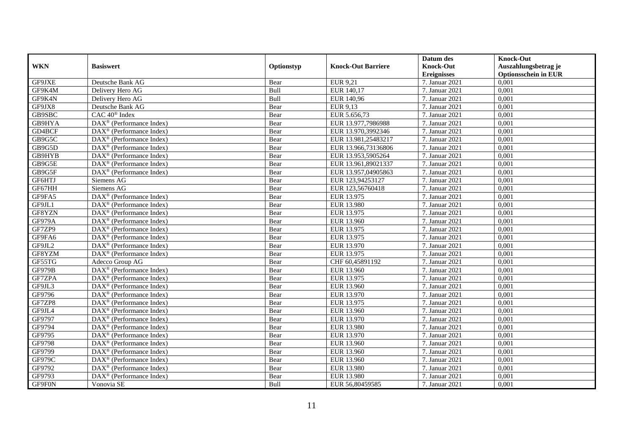|               |                                                              |            |                           | Datum des          | <b>Knock-Out</b>            |
|---------------|--------------------------------------------------------------|------------|---------------------------|--------------------|-----------------------------|
| <b>WKN</b>    | <b>Basiswert</b>                                             | Optionstyp | <b>Knock-Out Barriere</b> | <b>Knock-Out</b>   | Auszahlungsbetrag je        |
|               |                                                              |            |                           | <b>Ereignisses</b> | <b>Optionsschein in EUR</b> |
| GF9JXE        | Deutsche Bank AG                                             | Bear       | <b>EUR 9,21</b>           | 7. Januar 2021     | 0,001                       |
| GF9K4M        | Delivery Hero AG                                             | Bull       | EUR 140,17                | 7. Januar 2021     | 0,001                       |
| GF9K4N        | Delivery Hero AG                                             | Bull       | EUR 140,96                | 7. Januar 2021     | 0,001                       |
| GF9JX8        | Deutsche Bank AG                                             | Bear       | EUR 9,13                  | 7. Januar 2021     | 0,001                       |
| GB9SBC        | CAC 40 <sup>®</sup> Index                                    | Bear       | EUR 5.656,73              | 7. Januar 2021     | 0,001                       |
| GB9HYA        | $\overline{\text{DAX}^{\otimes}}$ (Performance Index)        | Bear       | EUR 13.977,7986988        | 7. Januar 2021     | 0,001                       |
| GD4BCF        | $DAX^{\otimes}$ (Performance Index)                          | Bear       | EUR 13.970,3992346        | 7. Januar 2021     | 0,001                       |
| GB9G5C        | $\overline{\text{DAX}}^{\textcirc}$ (Performance Index)      | Bear       | EUR 13.981,25483217       | 7. Januar 2021     | 0,001                       |
| GB9G5D        | $\text{DAX}^{\textcircled{n}}$ (Performance Index)           | Bear       | EUR 13.966,73136806       | 7. Januar 2021     | 0,001                       |
| GB9HYB        | $\text{DAX}^{\otimes}$ (Performance Index)                   | Bear       | EUR 13.953,5905264        | 7. Januar 2021     | 0,001                       |
| GB9G5E        | $\overline{\text{DAX}^{\otimes}(\text{Performance Index})}$  | Bear       | EUR 13.961,89021337       | 7. Januar 2021     | 0,001                       |
| GB9G5F        | $\overline{\text{DAX}}^{\textcircled{}}$ (Performance Index) | Bear       | EUR 13.957,04905863       | 7. Januar 2021     | 0,001                       |
| GF6HTJ        | Siemens AG                                                   | Bear       | EUR 123,94253127          | 7. Januar 2021     | 0,001                       |
| GF67HH        | Siemens AG                                                   | Bear       | EUR 123,56760418          | 7. Januar 2021     | 0,001                       |
| GF9FA5        | DAX <sup>®</sup> (Performance Index)                         | Bear       | EUR 13.975                | 7. Januar 2021     | 0,001                       |
| GF9JL1        | DAX <sup>®</sup> (Performance Index)                         | Bear       | <b>EUR 13.980</b>         | 7. Januar 2021     | 0,001                       |
| GF8YZN        | DAX <sup>®</sup> (Performance Index)                         | Bear       | EUR 13.975                | 7. Januar 2021     | 0,001                       |
| <b>GF979A</b> | $DAX^{\circledR}$ (Performance Index)                        | Bear       | EUR 13.960                | 7. Januar 2021     | 0,001                       |
| GF7ZP9        | $\overline{\text{DAX}}^{\textcircled{}}$ (Performance Index) | Bear       | EUR 13.975                | 7. Januar 2021     | 0,001                       |
| GF9FA6        | DAX <sup>®</sup> (Performance Index)                         | Bear       | EUR 13.975                | 7. Januar 2021     | 0,001                       |
| GF9JL2        | $DAX^{\otimes}$ (Performance Index)                          | Bear       | EUR 13.970                | 7. Januar 2021     | 0,001                       |
| GF8YZM        | DAX <sup>®</sup> (Performance Index)                         | Bear       | EUR 13.975                | 7. Januar 2021     | 0,001                       |
| GF55TG        | Adecco Group AG                                              | Bear       | CHF 60,45891192           | 7. Januar 2021     | 0,001                       |
| GF979B        | DAX <sup>®</sup> (Performance Index)                         | Bear       | EUR 13.960                | 7. Januar 2021     | 0,001                       |
| GF7ZPA        | $\overline{\text{DAX}^{\otimes}}$ (Performance Index)        | Bear       | EUR 13.975                | 7. Januar 2021     | 0.001                       |
| GF9JL3        | DAX <sup>®</sup> (Performance Index)                         | Bear       | EUR 13.960                | 7. Januar 2021     | 0,001                       |
| GF9796        | $\overline{\text{DAX}^{\otimes}}$ (Performance Index)        | Bear       | EUR 13.970                | 7. Januar 2021     | 0,001                       |
| GF7ZP8        | $\text{DAX}^{\textcircled{p}}$ (Performance Index)           | Bear       | EUR 13.975                | 7. Januar 2021     | 0,001                       |
| GF9JL4        | $\overline{\text{DAX}^{\otimes}}$ (Performance Index)        | Bear       | EUR 13.960                | 7. Januar 2021     | 0,001                       |
| GF9797        | $\text{DAX}^{\circledast}$ (Performance Index)               | Bear       | EUR 13.970                | 7. Januar $2021$   | 0,001                       |
| GF9794        | $\text{DAX}^{\textcircled{n}}$ (Performance Index)           | Bear       | <b>EUR 13.980</b>         | 7. Januar 2021     | 0,001                       |
| GF9795        | $DAX^{\circledR}$ (Performance Index)                        | Bear       | EUR 13.970                | 7. Januar 2021     | 0,001                       |
| GF9798        | $\overline{\text{DAX}^{\otimes}}$ (Performance Index)        | Bear       | EUR 13.960                | 7. Januar 2021     | 0,001                       |
| GF9799        | DAX <sup>®</sup> (Performance Index)                         | Bear       | EUR 13.960                | 7. Januar 2021     | 0,001                       |
| GF979C        | DAX <sup>®</sup> (Performance Index)                         | Bear       | EUR 13.960                | 7. Januar 2021     | 0,001                       |
| GF9792        | $\text{DAX}^{\textcircled{n}}$ (Performance Index)           | Bear       | <b>EUR 13.980</b>         | 7. Januar 2021     | 0,001                       |
| GF9793        | $DAX^{\circledast}$ (Performance Index)                      | Bear       | EUR 13.980                | 7. Januar 2021     | 0,001                       |
| GF9F0N        | Vonovia SE                                                   | Bull       | EUR 56,80459585           | 7. Januar 2021     | 0,001                       |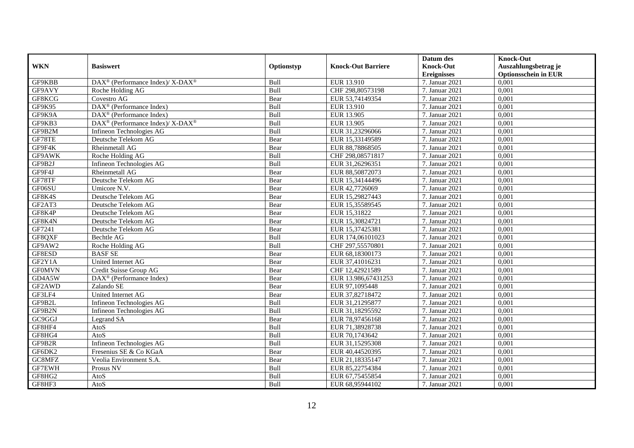|               |                                                                  |            |                           | Datum des          | <b>Knock-Out</b>            |
|---------------|------------------------------------------------------------------|------------|---------------------------|--------------------|-----------------------------|
| <b>WKN</b>    | <b>Basiswert</b>                                                 | Optionstyp | <b>Knock-Out Barriere</b> | <b>Knock-Out</b>   | Auszahlungsbetrag je        |
|               |                                                                  |            |                           | <b>Ereignisses</b> | <b>Optionsschein in EUR</b> |
| GF9KBB        | $\text{DAX}^{\circledR}$ (Performance Index)/ X-DAX <sup>®</sup> | Bull       | EUR 13.910                | 7. Januar 2021     | 0,001                       |
| GF9AVY        | Roche Holding AG                                                 | Bull       | CHF 298,80573198          | 7. Januar 2021     | 0,001                       |
| GF8KCG        | Covestro AG                                                      | Bear       | EUR 53,74149354           | 7. Januar 2021     | 0,001                       |
| GF9K95        | $\text{DAX}^{\textcircled{n}}$ (Performance Index)               | Bull       | EUR 13.910                | 7. Januar 2021     | 0,001                       |
| GF9K9A        | DAX <sup>®</sup> (Performance Index)                             | Bull       | EUR 13.905                | 7. Januar 2021     | 0,001                       |
| GF9KB3        | DAX <sup>®</sup> (Performance Index)/ X-DAX <sup>®</sup>         | Bull       | EUR 13.905                | 7. Januar 2021     | 0,001                       |
| GF9B2M        | Infineon Technologies AG                                         | Bull       | EUR 31,23296066           | 7. Januar 2021     | 0,001                       |
| GF78TE        | Deutsche Telekom AG                                              | Bear       | EUR 15,33149589           | 7. Januar 2021     | 0,001                       |
| GF9F4K        | Rheinmetall AG                                                   | Bear       | EUR 88,78868505           | 7. Januar 2021     | 0,001                       |
| GF9AWK        | Roche Holding AG                                                 | Bull       | CHF 298,08571817          | 7. Januar 2021     | 0,001                       |
| GF9B2J        | Infineon Technologies AG                                         | Bull       | EUR 31,26296351           | 7. Januar 2021     | 0,001                       |
| GF9F4J        | Rheinmetall AG                                                   | Bear       | EUR 88,50872073           | 7. Januar 2021     | 0,001                       |
| GF78TF        | Deutsche Telekom AG                                              | Bear       | EUR 15,34144496           | 7. Januar 2021     | 0,001                       |
| GF06SU        | Umicore N.V.                                                     | Bear       | EUR 42,7726069            | 7. Januar 2021     | 0,001                       |
| GF8K4S        | Deutsche Telekom AG                                              | Bear       | EUR 15,29827443           | 7. Januar 2021     | 0,001                       |
| GF2AT3        | Deutsche Telekom AG                                              | Bear       | EUR 15,35589545           | 7. Januar 2021     | 0,001                       |
| GF8K4P        | Deutsche Telekom AG                                              | Bear       | EUR 15,31822              | 7. Januar 2021     | 0,001                       |
| GF8K4N        | Deutsche Telekom AG                                              | Bear       | EUR 15,30824721           | 7. Januar 2021     | 0,001                       |
| GF7241        | Deutsche Telekom AG                                              | Bear       | EUR 15,37425381           | 7. Januar 2021     | 0,001                       |
| GF8QXF        | Bechtle AG                                                       | Bull       | EUR 174,06101023          | 7. Januar 2021     | 0,001                       |
| GF9AW2        | Roche Holding AG                                                 | Bull       | CHF 297,55570801          | 7. Januar 2021     | 0,001                       |
| GF8ESD        | <b>BASF SE</b>                                                   | Bear       | EUR 68,18300173           | 7. Januar 2021     | 0,001                       |
| GF2Y1A        | United Internet AG                                               | Bear       | EUR 37,41016231           | 7. Januar 2021     | 0,001                       |
| <b>GF0MVN</b> | Credit Suisse Group AG                                           | Bear       | CHF 12,42921589           | 7. Januar 2021     | 0,001                       |
| GD4A5W        | $\overline{\text{DAX}^{\otimes}}$ (Performance Index)            | Bear       | EUR 13.986,67431253       | 7. Januar 2021     | 0,001                       |
| GF2AWD        | Zalando SE                                                       | Bear       | EUR 97,1095448            | 7. Januar 2021     | 0,001                       |
| GF3LF4        | United Internet AG                                               | Bear       | EUR 37,82718472           | 7. Januar 2021     | 0,001                       |
| GF9B2L        | Infineon Technologies AG                                         | Bull       | EUR 31,21295877           | 7. Januar 2021     | 0,001                       |
| GF9B2N        | Infineon Technologies AG                                         | Bull       | EUR 31,18295592           | 7. Januar 2021     | 0,001                       |
| GC9GGJ        | Legrand SA                                                       | Bear       | EUR 78,97456168           | 7. Januar 2021     | 0,001                       |
| GF8HF4        | AtoS                                                             | Bull       | EUR 71,38928738           | 7. Januar 2021     | 0,001                       |
| GF8HG4        | AtoS                                                             | Bull       | EUR 70,1743642            | 7. Januar 2021     | 0,001                       |
| GF9B2R        | Infineon Technologies AG                                         | Bull       | EUR 31,15295308           | 7. Januar 2021     | 0,001                       |
| GF6DK2        | Fresenius SE & Co KGaA                                           | Bear       | EUR 40,44520395           | 7. Januar 2021     | 0,001                       |
| GC8MFZ        | Veolia Environment S.A.                                          | Bear       | EUR 21,18335147           | 7. Januar 2021     | 0,001                       |
| GF7EWH        | Prosus NV                                                        | Bull       | EUR 85,22754384           | 7. Januar 2021     | 0,001                       |
| GF8HG2        | AtoS                                                             | Bull       | EUR 67,75455854           | 7. Januar 2021     | 0,001                       |
| GF8HF3        | AtoS                                                             | Bull       | EUR 68,95944102           | 7. Januar 2021     | 0,001                       |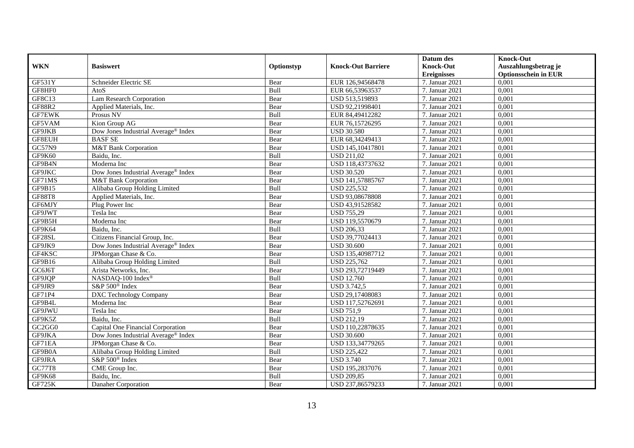|               |                                                 |             |                           | Datum des          | <b>Knock-Out</b>            |
|---------------|-------------------------------------------------|-------------|---------------------------|--------------------|-----------------------------|
| <b>WKN</b>    | <b>Basiswert</b>                                | Optionstyp  | <b>Knock-Out Barriere</b> | <b>Knock-Out</b>   | Auszahlungsbetrag je        |
|               |                                                 |             |                           | <b>Ereignisses</b> | <b>Optionsschein in EUR</b> |
| GF531Y        | Schneider Electric SE                           | Bear        | EUR 126,94568478          | 7. Januar 2021     | 0,001                       |
| GF8HF0        | AtoS                                            | Bull        | EUR 66,53963537           | 7. Januar 2021     | 0,001                       |
| GF8C13        | Lam Research Corporation                        | Bear        | USD 513,519893            | 7. Januar 2021     | 0,001                       |
| GF88R2        | Applied Materials, Inc.                         | Bear        | USD 92,21998401           | 7. Januar 2021     | 0,001                       |
| <b>GF7EWK</b> | Prosus NV                                       | Bull        | EUR 84,49412282           | 7. Januar 2021     | 0,001                       |
| GF5VAM        | Kion Group AG                                   | Bear        | EUR 76,15726295           | 7. Januar 2021     | 0,001                       |
| GF9JKB        | Dow Jones Industrial Average® Index             | Bear        | <b>USD 30.580</b>         | 7. Januar 2021     | 0,001                       |
| GF8EUH        | <b>BASF SE</b>                                  | Bear        | EUR 68,34249413           | 7. Januar 2021     | 0,001                       |
| GC57N9        | M&T Bank Corporation                            | Bear        | USD 145,10417801          | 7. Januar 2021     | 0,001                       |
| GF9K60        | Baidu, Inc.                                     | Bull        | <b>USD 211,02</b>         | 7. Januar 2021     | 0,001                       |
| GF9B4N        | Moderna Inc                                     | Bear        | USD 118,43737632          | 7. Januar 2021     | 0,001                       |
| GF9JKC        | Dow Jones Industrial Average® Index             | Bear        | <b>USD 30.520</b>         | 7. Januar 2021     | 0,001                       |
| GF71MS        | M&T Bank Corporation                            | Bear        | USD 141,57885767          | 7. Januar 2021     | 0,001                       |
| GF9B15        | Alibaba Group Holding Limited                   | <b>Bull</b> | <b>USD 225,532</b>        | 7. Januar 2021     | 0.001                       |
| <b>GF88T8</b> | Applied Materials, Inc.                         | Bear        | USD 93,08678808           | 7. Januar 2021     | 0,001                       |
| GF6MJY        | Plug Power Inc                                  | Bear        | USD 43,91528582           | 7. Januar 2021     | 0,001                       |
| GF9JWT        | Tesla Inc                                       | Bear        | <b>USD 755,29</b>         | 7. Januar 2021     | 0,001                       |
| GF9B5H        | Moderna Inc                                     | Bear        | USD 119,5570679           | 7. Januar 2021     | 0,001                       |
| GF9K64        | Baidu. Inc.                                     | Bull        | <b>USD 206,33</b>         | 7. Januar 2021     | 0,001                       |
| GF28SL        | Citizens Financial Group, Inc.                  | Bear        | USD 39,77024413           | 7. Januar 2021     | 0,001                       |
| GF9JK9        | Dow Jones Industrial Average <sup>®</sup> Index | Bear        | <b>USD 30.600</b>         | 7. Januar 2021     | 0,001                       |
| GF4KSC        | JPM organ Chase & Co.                           | Bear        | USD 135,40987712          | 7. Januar 2021     | 0,001                       |
| GF9B16        | Alibaba Group Holding Limited                   | Bull        | <b>USD 225,762</b>        | 7. Januar 2021     | 0,001                       |
| GC6J6T        | Arista Networks, Inc.                           | Bear        | USD 293,72719449          | 7. Januar 2021     | 0,001                       |
| GF9JQP        | NASDAQ-100 Index®                               | Bull        | <b>USD 12.760</b>         | 7. Januar 2021     | 0,001                       |
| GF9JR9        | S&P 500 <sup>®</sup> Index                      | Bear        | <b>USD 3.742,5</b>        | 7. Januar 2021     | 0,001                       |
| GF71P4        | <b>DXC</b> Technology Company                   | Bear        | USD 29,17408083           | 7. Januar 2021     | 0,001                       |
| GF9B4L        | Moderna Inc                                     | Bear        | USD 117,52762691          | 7. Januar 2021     | 0,001                       |
| GF9JWU        | Tesla Inc                                       | Bear        | <b>USD 751,9</b>          | 7. Januar 2021     | 0,001                       |
| GF9K5Z        | Baidu, Inc.                                     | Bull        | <b>USD 212,19</b>         | 7. Januar 2021     | 0,001                       |
| GC2GG0        | Capital One Financial Corporation               | Bear        | USD 110,22878635          | 7. Januar 2021     | 0,001                       |
| GF9JKA        | Dow Jones Industrial Average <sup>®</sup> Index | Bear        | <b>USD 30.600</b>         | 7. Januar 2021     | 0,001                       |
| GF71EA        | JPMorgan Chase & Co.                            | Bear        | USD 133,34779265          | 7. Januar 2021     | 0,001                       |
| GF9B0A        | Alibaba Group Holding Limited                   | Bull        | <b>USD 225,422</b>        | 7. Januar 2021     | 0,001                       |
| GF9JRA        | S&P 500 <sup>®</sup> Index                      | Bear        | <b>USD 3.740</b>          | 7. Januar 2021     | 0,001                       |
| <b>GC77T8</b> | CME Group Inc.                                  | Bear        | USD 195,2837076           | 7. Januar 2021     | 0,001                       |
| GF9K68        | Baidu, Inc.                                     | Bull        | <b>USD 209,85</b>         | 7. Januar 2021     | 0,001                       |
| GF725K        | Danaher Corporation                             | Bear        | USD 237,86579233          | 7. Januar 2021     | 0,001                       |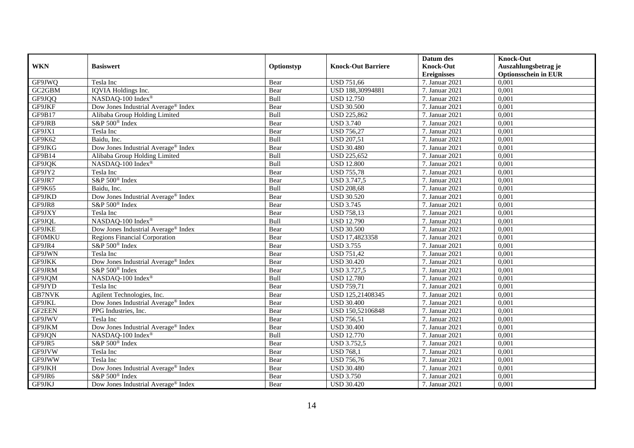|               |                                                 |            |                           | Datum des          | <b>Knock-Out</b>            |
|---------------|-------------------------------------------------|------------|---------------------------|--------------------|-----------------------------|
| <b>WKN</b>    | <b>Basiswert</b>                                | Optionstyp | <b>Knock-Out Barriere</b> | <b>Knock-Out</b>   | Auszahlungsbetrag je        |
|               |                                                 |            |                           | <b>Ereignisses</b> | <b>Optionsschein in EUR</b> |
| GF9JWQ        | Tesla Inc                                       | Bear       | <b>USD 751,66</b>         | 7. Januar 2021     | 0,001                       |
| GC2GBM        | IQVIA Holdings Inc.                             | Bear       | USD 188,30994881          | 7. Januar 2021     | 0,001                       |
| GF9JQQ        | NASDAQ-100 Index®                               | Bull       | <b>USD 12.750</b>         | 7. Januar 2021     | 0,001                       |
| GF9JKF        | Dow Jones Industrial Average® Index             | Bear       | <b>USD 30.500</b>         | 7. Januar 2021     | 0,001                       |
| GF9B17        | Alibaba Group Holding Limited                   | Bull       | <b>USD 225,862</b>        | 7. Januar 2021     | 0,001                       |
| GF9JRB        | S&P 500 <sup>®</sup> Index                      | Bear       | <b>USD 3.740</b>          | 7. Januar 2021     | 0,001                       |
| GF9JX1        | Tesla Inc                                       | Bear       | <b>USD 756,27</b>         | 7. Januar 2021     | 0,001                       |
| GF9K62        | Baidu, Inc.                                     | Bull       | <b>USD 207,51</b>         | 7. Januar 2021     | 0,001                       |
| GF9JKG        | Dow Jones Industrial Average® Index             | Bear       | <b>USD 30.480</b>         | 7. Januar 2021     | 0,001                       |
| GF9B14        | Alibaba Group Holding Limited                   | Bull       | <b>USD 225,652</b>        | 7. Januar 2021     | 0,001                       |
| GF9JQK        | NASDAQ-100 Index <sup>®</sup>                   | Bull       | <b>USD 12.800</b>         | 7. Januar 2021     | 0,001                       |
| GF9JY2        | Tesla Inc                                       | Bear       | <b>USD 755,78</b>         | 7. Januar 2021     | 0,001                       |
| GF9JR7        | S&P 500 <sup>®</sup> Index                      | Bear       | <b>USD 3.747,5</b>        | 7. Januar 2021     | 0,001                       |
| GF9K65        | Baidu, Inc.                                     | Bull       | <b>USD 208,68</b>         | 7. Januar 2021     | 0,001                       |
| GF9JKD        | Dow Jones Industrial Average <sup>®</sup> Index | Bear       | <b>USD 30.520</b>         | 7. Januar 2021     | 0,001                       |
| GF9JR8        | S&P 500 <sup>®</sup> Index                      | Bear       | <b>USD 3.745</b>          | 7. Januar 2021     | 0,001                       |
| GF9JXY        | Tesla Inc                                       | Bear       | <b>USD 758,13</b>         | 7. Januar 2021     | 0,001                       |
| GF9JQL        | NASDAQ-100 Index®                               | Bull       | <b>USD 12.790</b>         | 7. Januar 2021     | 0,001                       |
| GF9JKE        | Dow Jones Industrial Average® Index             | Bear       | <b>USD 30.500</b>         | 7. Januar 2021     | 0,001                       |
| <b>GFOMKU</b> | <b>Regions Financial Corporation</b>            | Bear       | USD 17,4823358            | 7. Januar 2021     | 0,001                       |
| GF9JR4        | S&P 500 <sup>®</sup> Index                      | Bear       | <b>USD 3.755</b>          | 7. Januar 2021     | 0,001                       |
| GF9JWN        | Tesla Inc                                       | Bear       | <b>USD 751,42</b>         | 7. Januar 2021     | 0,001                       |
| GF9JKK        | Dow Jones Industrial Average® Index             | Bear       | <b>USD 30.420</b>         | 7. Januar 2021     | 0,001                       |
| GF9JRM        | S&P 500 <sup>®</sup> Index                      | Bear       | <b>USD 3.727,5</b>        | 7. Januar 2021     | 0,001                       |
| GF9JQM        | NASDAQ-100 Index®                               | Bull       | <b>USD 12.780</b>         | 7. Januar 2021     | 0.001                       |
| GF9JYD        | Tesla Inc                                       | Bear       | <b>USD 759,71</b>         | 7. Januar 2021     | 0,001                       |
| <b>GB7NVK</b> | Agilent Technologies, Inc.                      | Bear       | USD 125,21408345          | 7. Januar 2021     | 0,001                       |
| GF9JKL        | Dow Jones Industrial Average <sup>®</sup> Index | Bear       | <b>USD 30.400</b>         | 7. Januar 2021     | 0,001                       |
| <b>GF2EEN</b> | PPG Industries, Inc.                            | Bear       | USD 150,52106848          | 7. Januar 2021     | 0,001                       |
| GF9JWV        | Tesla Inc                                       | Bear       | <b>USD 756,51</b>         | 7. Januar 2021     | 0,001                       |
| GF9JKM        | Dow Jones Industrial Average® Index             | Bear       | <b>USD 30.400</b>         | 7. Januar 2021     | 0,001                       |
| GF9JQN        | NASDAQ-100 Index <sup>®</sup>                   | Bull       | <b>USD 12.770</b>         | 7. Januar 2021     | 0,001                       |
| GF9JR5        | S&P 500 <sup>®</sup> Index                      | Bear       | <b>USD 3.752,5</b>        | 7. Januar 2021     | 0,001                       |
| GF9JVW        | Tesla Inc                                       | Bear       | <b>USD 768,1</b>          | 7. Januar 2021     | 0,001                       |
| GF9JWW        | Tesla Inc                                       | Bear       | <b>USD 756,76</b>         | 7. Januar 2021     | 0,001                       |
| GF9JKH        | Dow Jones Industrial Average® Index             | Bear       | <b>USD 30.480</b>         | 7. Januar 2021     | 0,001                       |
| GF9JR6        | S&P 500 <sup>®</sup> Index                      | Bear       | <b>USD 3.750</b>          | 7. Januar 2021     | 0,001                       |
| GF9JKJ        | Dow Jones Industrial Average <sup>®</sup> Index | Bear       | <b>USD 30.420</b>         | 7. Januar 2021     | 0,001                       |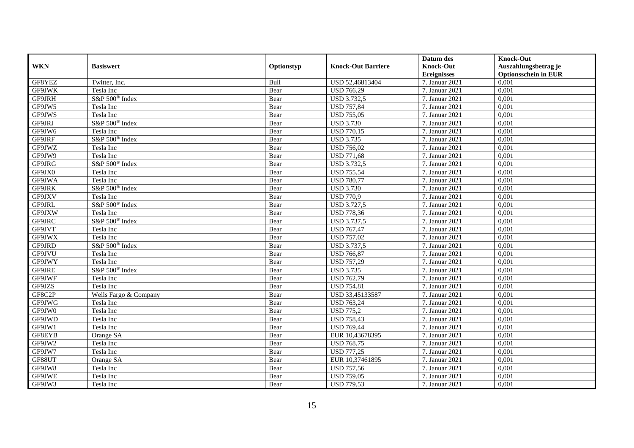|            |                            |            |                           | Datum des          | <b>Knock-Out</b>            |
|------------|----------------------------|------------|---------------------------|--------------------|-----------------------------|
| <b>WKN</b> | <b>Basiswert</b>           | Optionstyp | <b>Knock-Out Barriere</b> | <b>Knock-Out</b>   | Auszahlungsbetrag je        |
|            |                            |            |                           | <b>Ereignisses</b> | <b>Optionsschein in EUR</b> |
| GF8YEZ     | Twitter, Inc.              | Bull       | USD 52,46813404           | 7. Januar 2021     | 0,001                       |
| GF9JWK     | Tesla Inc                  | Bear       | <b>USD 766,29</b>         | 7. Januar 2021     | 0,001                       |
| GF9JRH     | S&P 500 <sup>®</sup> Index | Bear       | <b>USD 3.732,5</b>        | 7. Januar 2021     | 0,001                       |
| GF9JW5     | Tesla Inc                  | Bear       | <b>USD 757,84</b>         | 7. Januar 2021     | 0,001                       |
| GF9JWS     | Tesla Inc                  | Bear       | <b>USD 755,05</b>         | 7. Januar 2021     | 0,001                       |
| GF9JRJ     | S&P 500 <sup>®</sup> Index | Bear       | <b>USD 3.730</b>          | 7. Januar 2021     | 0,001                       |
| GF9JW6     | Tesla Inc                  | Bear       | <b>USD 770,15</b>         | 7. Januar 2021     | 0,001                       |
| GF9JRF     | S&P 500 <sup>®</sup> Index | Bear       | <b>USD 3.735</b>          | 7. Januar 2021     | 0,001                       |
| GF9JWZ     | Tesla Inc                  | Bear       | <b>USD 756,02</b>         | 7. Januar 2021     | 0,001                       |
| GF9JW9     | Tesla Inc                  | Bear       | <b>USD 771,68</b>         | 7. Januar 2021     | 0,001                       |
| GF9JRG     | S&P 500 <sup>®</sup> Index | Bear       | <b>USD 3.732,5</b>        | 7. Januar 2021     | 0,001                       |
| GF9JX0     | Tesla Inc                  | Bear       | <b>USD 755,54</b>         | 7. Januar 2021     | 0,001                       |
| GF9JWA     | Tesla Inc                  | Bear       | <b>USD 780,77</b>         | 7. Januar 2021     | 0,001                       |
| GF9JRK     | S&P 500 <sup>®</sup> Index | Bear       | <b>USD 3.730</b>          | 7. Januar 2021     | 0,001                       |
| GF9JXV     | Tesla Inc                  | Bear       | <b>USD 770,9</b>          | 7. Januar 2021     | 0,001                       |
| GF9JRL     | S&P 500 <sup>®</sup> Index | Bear       | <b>USD 3.727,5</b>        | 7. Januar 2021     | 0,001                       |
| GF9JXW     | Tesla Inc                  | Bear       | <b>USD 778,36</b>         | 7. Januar 2021     | 0,001                       |
| GF9JRC     | S&P 500 <sup>®</sup> Index | Bear       | <b>USD 3.737,5</b>        | 7. Januar 2021     | 0,001                       |
| GF9JVT     | Tesla Inc                  | Bear       | <b>USD 767,47</b>         | 7. Januar 2021     | 0,001                       |
| GF9JWX     | Tesla Inc                  | Bear       | <b>USD 757,02</b>         | 7. Januar 2021     | 0,001                       |
| GF9JRD     | S&P 500 <sup>®</sup> Index | Bear       | <b>USD 3.737,5</b>        | 7. Januar 2021     | 0,001                       |
| GF9JVU     | Tesla Inc                  | Bear       | <b>USD 766,87</b>         | 7. Januar 2021     | 0,001                       |
| GF9JWY     | Tesla Inc                  | Bear       | <b>USD 757,29</b>         | 7. Januar 2021     | 0,001                       |
| GF9JRE     | S&P 500 <sup>®</sup> Index | Bear       | <b>USD 3.735</b>          | 7. Januar 2021     | 0,001                       |
| GF9JWF     | Tesla Inc                  | Bear       | <b>USD 762,79</b>         | 7. Januar 2021     | 0,001                       |
| GF9JZS     | Tesla Inc                  | Bear       | <b>USD 754,81</b>         | 7. Januar 2021     | 0,001                       |
| GF8C2P     | Wells Fargo & Company      | Bear       | USD 33,45133587           | 7. Januar 2021     | 0,001                       |
| GF9JWG     | Tesla Inc                  | Bear       | <b>USD 763,24</b>         | 7. Januar 2021     | 0,001                       |
| GF9JW0     | Tesla Inc                  | Bear       | <b>USD 775,2</b>          | 7. Januar 2021     | 0,001                       |
| GF9JWD     | Tesla Inc                  | Bear       | <b>USD 758,43</b>         | 7. Januar 2021     | 0,001                       |
| GF9JW1     | Tesla Inc                  | Bear       | <b>USD 769,44</b>         | 7. Januar 2021     | 0,001                       |
| GF8EYB     | Orange SA                  | Bear       | EUR 10,43678395           | 7. Januar 2021     | 0,001                       |
| GF9JW2     | Tesla Inc                  | Bear       | <b>USD 768,75</b>         | 7. Januar 2021     | 0,001                       |
| GF9JW7     | Tesla Inc                  | Bear       | <b>USD 777,25</b>         | 7. Januar 2021     | 0,001                       |
| GF88UT     | Orange SA                  | Bear       | EUR 10,37461895           | 7. Januar 2021     | 0,001                       |
| GF9JW8     | Tesla Inc                  | Bear       | <b>USD 757,56</b>         | 7. Januar 2021     | 0,001                       |
| GF9JWE     | Tesla Inc                  | Bear       | <b>USD 759,05</b>         | 7. Januar 2021     | 0,001                       |
| GF9JW3     | Tesla Inc                  | Bear       | <b>USD 779,53</b>         | 7. Januar 2021     | 0,001                       |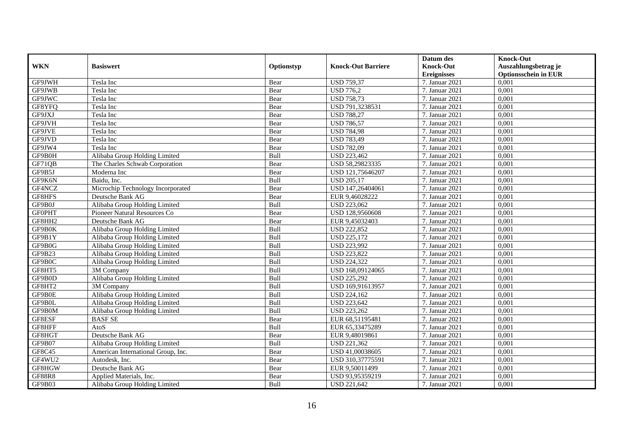|               | <b>Basiswert</b>                   |            | <b>Knock-Out Barriere</b> | Datum des<br><b>Knock-Out</b> | <b>Knock-Out</b>                                    |
|---------------|------------------------------------|------------|---------------------------|-------------------------------|-----------------------------------------------------|
| <b>WKN</b>    |                                    | Optionstyp |                           | <b>Ereignisses</b>            | Auszahlungsbetrag je<br><b>Optionsschein in EUR</b> |
| GF9JWH        | Tesla Inc                          | Bear       | <b>USD 759,37</b>         | 7. Januar 2021                | 0,001                                               |
| GF9JWB        | Tesla Inc                          | Bear       | <b>USD 776,2</b>          | 7. Januar 2021                | 0,001                                               |
| GF9JWC        | Tesla Inc                          | Bear       | <b>USD 758,73</b>         | 7. Januar 2021                | 0,001                                               |
| GF8YFQ        | Tesla Inc                          | Bear       | USD 791,3238531           | 7. Januar 2021                | 0,001                                               |
| GF9JXJ        | Tesla Inc                          | Bear       | <b>USD 788,27</b>         | 7. Januar 2021                | 0,001                                               |
| GF9JVH        | Tesla Inc                          | Bear       | <b>USD 786,57</b>         | 7. Januar 2021                | 0,001                                               |
| GF9JVE        | Tesla Inc                          | Bear       | <b>USD 784,98</b>         | 7. Januar 2021                | 0,001                                               |
| GF9JVD        | Tesla Inc                          | Bear       | <b>USD 783,49</b>         | 7. Januar 2021                | 0,001                                               |
| GF9JW4        | Tesla Inc                          | Bear       | <b>USD 782,09</b>         | 7. Januar 2021                | 0,001                                               |
| GF9B0H        | Alibaba Group Holding Limited      | Bull       | <b>USD 223,462</b>        | 7. Januar 2021                | 0,001                                               |
| GF71QB        | The Charles Schwab Corporation     | Bear       | USD 58,29823335           | 7. Januar 2021                | 0,001                                               |
| GF9B5J        | Moderna Inc                        | Bear       | USD 121,75646207          | 7. Januar 2021                | 0,001                                               |
| GF9K6N        | Baidu. Inc.                        | Bull       | <b>USD 205,17</b>         | 7. Januar 2021                | 0,001                                               |
| GF4NCZ        | Microchip Technology Incorporated  | Bear       | USD 147,26404061          | 7. Januar 2021                | 0,001                                               |
| GF8HFS        | Deutsche Bank AG                   | Bear       | EUR 9,46028222            | 7. Januar 2021                | 0,001                                               |
| GF9B0J        | Alibaba Group Holding Limited      | Bull       | <b>USD 223,062</b>        | 7. Januar 2021                | 0,001                                               |
| <b>GFOPHT</b> | Pioneer Natural Resources Co       | Bear       | USD 128,9560608           | 7. Januar 2021                | 0,001                                               |
| GF8HH2        | Deutsche Bank AG                   | Bear       | EUR 9,45032403            | 7. Januar 2021                | 0,001                                               |
| GF9B0K        | Alibaba Group Holding Limited      | Bull       | <b>USD 222,852</b>        | 7. Januar 2021                | 0,001                                               |
| GF9B1Y        | Alibaba Group Holding Limited      | Bull       | USD 225,172               | 7. Januar 2021                | 0,001                                               |
| GF9B0G        | Alibaba Group Holding Limited      | Bull       | <b>USD 223,992</b>        | 7. Januar 2021                | 0,001                                               |
| GF9B23        | Alibaba Group Holding Limited      | Bull       | <b>USD 223,822</b>        | 7. Januar 2021                | 0,001                                               |
| GF9B0C        | Alibaba Group Holding Limited      | Bull       | <b>USD 224,322</b>        | 7. Januar 2021                | 0,001                                               |
| GF8HT5        | $\overline{3M}$ Company            | Bull       | USD 168,09124065          | 7. Januar 2021                | 0,001                                               |
| GF9B0D        | Alibaba Group Holding Limited      | Bull       | <b>USD 225,292</b>        | 7. Januar 2021                | 0,001                                               |
| GF8HT2        | 3M Company                         | Bull       | USD 169,91613957          | 7. Januar 2021                | 0,001                                               |
| GF9B0E        | Alibaba Group Holding Limited      | Bull       | <b>USD 224,162</b>        | 7. Januar 2021                | 0,001                                               |
| GF9B0L        | Alibaba Group Holding Limited      | Bull       | <b>USD 223,642</b>        | 7. Januar 2021                | 0,001                                               |
| GF9B0M        | Alibaba Group Holding Limited      | Bull       | <b>USD 223,262</b>        | 7. Januar 2021                | 0,001                                               |
| GF8ESF        | <b>BASF SE</b>                     | Bear       | EUR 68,51195481           | 7. Januar 2021                | 0,001                                               |
| GF8HFF        | AtoS                               | Bull       | EUR 65,33475289           | 7. Januar 2021                | 0,001                                               |
| GF8HGT        | Deutsche Bank AG                   | Bear       | EUR 9,48019861            | 7. Januar 2021                | 0,001                                               |
| GF9B07        | Alibaba Group Holding Limited      | Bull       | USD 221,362               | 7. Januar 2021                | 0,001                                               |
| GF8C45        | American International Group, Inc. | Bear       | USD 41,00038605           | 7. Januar 2021                | 0,001                                               |
| GF4WU2        | Autodesk, Inc.                     | Bear       | USD 310,37775591          | 7. Januar 2021                | 0,001                                               |
| GF8HGW        | Deutsche Bank AG                   | Bear       | EUR 9,50011499            | 7. Januar 2021                | 0,001                                               |
| <b>GF88R8</b> | Applied Materials, Inc.            | Bear       | USD 93,95359219           | 7. Januar 2021                | 0,001                                               |
| GF9B03        | Alibaba Group Holding Limited      | Bull       | <b>USD 221,642</b>        | 7. Januar 2021                | 0,001                                               |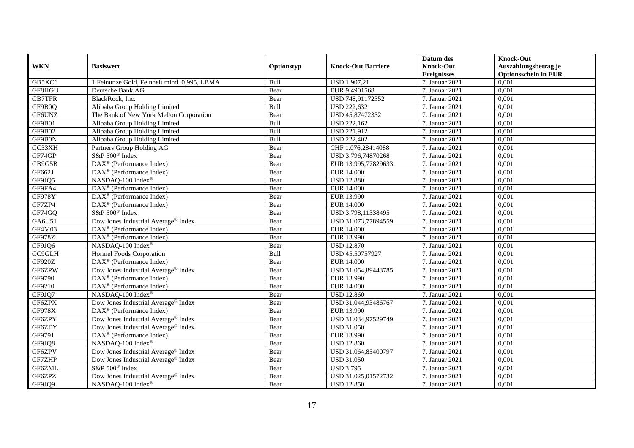|               |                                                   |            |                           | Datum des          | <b>Knock-Out</b>            |
|---------------|---------------------------------------------------|------------|---------------------------|--------------------|-----------------------------|
| <b>WKN</b>    | <b>Basiswert</b>                                  | Optionstyp | <b>Knock-Out Barriere</b> | <b>Knock-Out</b>   | Auszahlungsbetrag je        |
|               |                                                   |            |                           | <b>Ereignisses</b> | <b>Optionsschein in EUR</b> |
| GB5XC6        | 1 Feinunze Gold, Feinheit mind. 0,995, LBMA       | Bull       | <b>USD 1.907,21</b>       | 7. Januar 2021     | 0,001                       |
| GF8HGU        | Deutsche Bank AG                                  | Bear       | EUR 9,4901568             | 7. Januar 2021     | 0,001                       |
| <b>GB7TFR</b> | BlackRock, Inc.                                   | Bear       | USD 748,91172352          | 7. Januar 2021     | 0,001                       |
| GF9B0Q        | Alibaba Group Holding Limited                     | Bull       | <b>USD 222,632</b>        | 7. Januar 2021     | 0,001                       |
| GF6UNZ        | The Bank of New York Mellon Corporation           | Bear       | USD 45,87472332           | 7. Januar 2021     | 0,001                       |
| GF9B01        | Alibaba Group Holding Limited                     | Bull       | <b>USD 222,162</b>        | 7. Januar 2021     | 0,001                       |
| GF9B02        | Alibaba Group Holding Limited                     | Bull       | <b>USD 221,912</b>        | 7. Januar 2021     | 0,001                       |
| GF9B0N        | Alibaba Group Holding Limited                     | Bull       | <b>USD 222,402</b>        | 7. Januar 2021     | 0,001                       |
| GC33XH        | Partners Group Holding AG                         | Bear       | CHF 1.076,28414088        | 7. Januar 2021     | 0,001                       |
| GF74GP        | S&P 500 <sup>®</sup> Index                        | Bear       | USD 3.796,74870268        | 7. Januar 2021     | 0,001                       |
| GB9G5B        | DAX <sup>®</sup> (Performance Index)              | Bear       | EUR 13.995,77829633       | 7. Januar 2021     | 0,001                       |
| GF662J        | $\text{DAX}^{\circledast}$ (Performance Index)    | Bear       | <b>EUR 14.000</b>         | 7. Januar 2021     | 0,001                       |
| GF9JQ5        | NASDAQ-100 Index®                                 | Bear       | <b>USD 12.880</b>         | 7. Januar 2021     | 0,001                       |
| GF9FA4        | $DAX^{\circledR}$ (Performance Index)             | Bear       | EUR 14.000                | 7. Januar 2021     | 0.001                       |
| <b>GF978Y</b> | $DAX^{\circledast}$ (Performance Index)           | Bear       | EUR 13.990                | 7. Januar 2021     | 0,001                       |
| GF7ZP4        | DAX <sup>®</sup> (Performance Index)              | Bear       | <b>EUR 14.000</b>         | 7. Januar 2021     | 0,001                       |
| GF74GQ        | S&P 500 <sup>®</sup> Index                        | Bear       | USD 3.798,11338495        | 7. Januar 2021     | 0,001                       |
| GA6U51        | Dow Jones Industrial Average® Index               | Bear       | USD 31.073,77894559       | 7. Januar 2021     | 0,001                       |
| GF4M03        | $\text{DAX}^{\circledast}$ (Performance Index)    | Bear       | <b>EUR 14.000</b>         | 7. Januar 2021     | 0,001                       |
| GF978Z        | DAX <sup>®</sup> (Performance Index)              | Bear       | EUR 13.990                | 7. Januar 2021     | 0,001                       |
| GF9JQ6        | NASDAQ-100 Index®                                 | Bear       | <b>USD 12.870</b>         | 7. Januar 2021     | 0,001                       |
| GC9GLH        | Hormel Foods Corporation                          | Bull       | USD 45,50757927           | 7. Januar 2021     | 0,001                       |
| <b>GF920Z</b> | $\text{DAX}^{\textcircled{}}$ (Performance Index) | Bear       | <b>EUR 14.000</b>         | 7. Januar 2021     | 0,001                       |
| GF6ZPW        | Dow Jones Industrial Average® Index               | Bear       | USD 31.054,89443785       | 7. Januar 2021     | 0,001                       |
| GF9790        | $\text{DAX}^{\textcircled{}}$ (Performance Index) | Bear       | EUR 13.990                | 7. Januar 2021     | 0,001                       |
| GF9210        | DAX <sup>®</sup> (Performance Index)              | Bear       | <b>EUR 14.000</b>         | 7. Januar 2021     | 0,001                       |
| GF9JQ7        | NASDAQ-100 Index®                                 | Bear       | <b>USD 12.860</b>         | 7. Januar 2021     | 0,001                       |
| GF6ZPX        | Dow Jones Industrial Average <sup>®</sup> Index   | Bear       | USD 31.044,93486767       | 7. Januar 2021     | 0,001                       |
| <b>GF978X</b> | $DAX^{\circledast}$ (Performance Index)           | Bear       | EUR 13.990                | 7. Januar 2021     | 0,001                       |
| GF6ZPY        | Dow Jones Industrial Average <sup>®</sup> Index   | Bear       | USD 31.034,97529749       | 7. Januar 2021     | 0,001                       |
| GF6ZEY        | Dow Jones Industrial Average <sup>®</sup> Index   | Bear       | <b>USD 31.050</b>         | 7. Januar 2021     | 0,001                       |
| GF9791        | DAX <sup>®</sup> (Performance Index)              | Bear       | EUR 13.990                | 7. Januar 2021     | 0,001                       |
| GF9JQ8        | NASDAQ-100 Index®                                 | Bear       | <b>USD 12.860</b>         | 7. Januar 2021     | 0,001                       |
| GF6ZPV        | Dow Jones Industrial Average® Index               | Bear       | USD 31.064,85400797       | 7. Januar 2021     | 0,001                       |
| <b>GF7ZHP</b> | Dow Jones Industrial Average® Index               | Bear       | <b>USD 31.050</b>         | 7. Januar 2021     | 0,001                       |
| GF6ZML        | S&P 500 <sup>®</sup> Index                        | Bear       | <b>USD 3.795</b>          | 7. Januar 2021     | 0,001                       |
| GF6ZPZ        | Dow Jones Industrial Average® Index               | Bear       | USD 31.025,01572732       | 7. Januar 2021     | 0,001                       |
| GF9JQ9        | NASDAQ-100 Index®                                 | Bear       | <b>USD 12.850</b>         | 7. Januar 2021     | 0,001                       |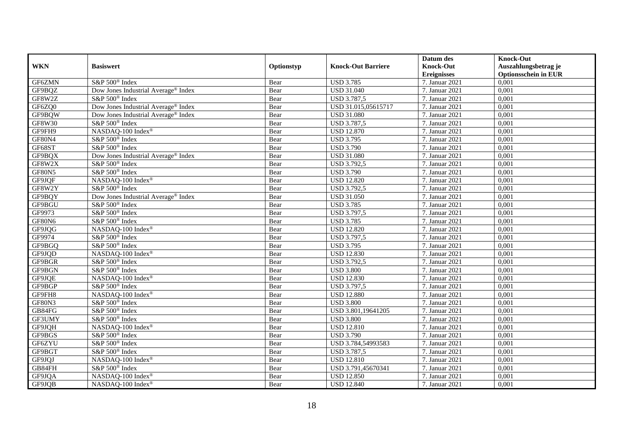|               |                                                 |            |                           | Datum des          | <b>Knock-Out</b>            |
|---------------|-------------------------------------------------|------------|---------------------------|--------------------|-----------------------------|
| <b>WKN</b>    | <b>Basiswert</b>                                | Optionstyp | <b>Knock-Out Barriere</b> | <b>Knock-Out</b>   | Auszahlungsbetrag je        |
|               |                                                 |            |                           | <b>Ereignisses</b> | <b>Optionsschein in EUR</b> |
| GF6ZMN        | S&P 500 <sup>®</sup> Index                      | Bear       | <b>USD 3.785</b>          | 7. Januar 2021     | 0,001                       |
| GF9BQZ        | Dow Jones Industrial Average® Index             | Bear       | <b>USD 31.040</b>         | 7. Januar 2021     | 0,001                       |
| GF8W2Z        | S&P 500 <sup>®</sup> Index                      | Bear       | <b>USD 3.787,5</b>        | 7. Januar 2021     | 0,001                       |
| GF6ZQ0        | Dow Jones Industrial Average <sup>®</sup> Index | Bear       | USD 31.015,05615717       | 7. Januar 2021     | 0,001                       |
| GF9BQW        | Dow Jones Industrial Average® Index             | Bear       | <b>USD 31.080</b>         | 7. Januar 2021     | 0,001                       |
| <b>GF8W30</b> | S&P 500 <sup>®</sup> Index                      | Bear       | <b>USD 3.787,5</b>        | 7. Januar 2021     | 0,001                       |
| GF9FH9        | NASDAQ-100 Index®                               | Bear       | <b>USD 12.870</b>         | 7. Januar 2021     | 0,001                       |
| GF80N4        | S&P 500 <sup>®</sup> Index                      | Bear       | <b>USD 3.795</b>          | 7. Januar 2021     | 0,001                       |
| GF68ST        | S&P 500 <sup>®</sup> Index                      | Bear       | <b>USD 3.790</b>          | 7. Januar 2021     | 0,001                       |
| GF9BQX        | Dow Jones Industrial Average® Index             | Bear       | <b>USD 31.080</b>         | 7. Januar 2021     | 0,001                       |
| GF8W2X        | S&P 500 <sup>®</sup> Index                      | Bear       | <b>USD 3.792,5</b>        | 7. Januar 2021     | 0,001                       |
| <b>GF80N5</b> | S&P 500 <sup>®</sup> Index                      | Bear       | <b>USD 3.790</b>          | 7. Januar 2021     | 0,001                       |
| GF9JQF        | NASDAQ-100 Index®                               | Bear       | <b>USD 12.820</b>         | 7. Januar 2021     | 0,001                       |
| GF8W2Y        | S&P 500 <sup>®</sup> Index                      | Bear       | <b>USD 3.792,5</b>        | 7. Januar 2021     | 0,001                       |
| GF9BQY        | Dow Jones Industrial Average® Index             | Bear       | <b>USD 31.050</b>         | 7. Januar 2021     | 0,001                       |
| GF9BGU        | S&P 500 <sup>®</sup> Index                      | Bear       | <b>USD 3.785</b>          | 7. Januar 2021     | 0,001                       |
| GF9973        | S&P 500 <sup>®</sup> Index                      | Bear       | <b>USD 3.797,5</b>        | 7. Januar 2021     | 0,001                       |
| GF80N6        | $S\&P 500^{\circ}$ Index                        | Bear       | <b>USD 3.785</b>          | 7. Januar 2021     | 0,001                       |
| GF9JQG        | NASDAQ-100 Index®                               | Bear       | <b>USD 12.820</b>         | 7. Januar 2021     | 0,001                       |
| GF9974        | S&P 500 <sup>®</sup> Index                      | Bear       | USD 3.797,5               | 7. Januar 2021     | 0,001                       |
| GF9BGQ        | S&P 500 <sup>®</sup> Index                      | Bear       | <b>USD 3.795</b>          | 7. Januar 2021     | 0,001                       |
| GF9JQD        | NASDAQ-100 Index®                               | Bear       | <b>USD 12.830</b>         | 7. Januar 2021     | 0,001                       |
| GF9BGR        | S&P 500 <sup>®</sup> Index                      | Bear       | <b>USD 3.792,5</b>        | 7. Januar 2021     | 0,001                       |
| GF9BGN        | S&P 500 <sup>®</sup> Index                      | Bear       | <b>USD 3.800</b>          | 7. Januar 2021     | 0,001                       |
| GF9JQE        | NASDAQ-100 Index®                               | Bear       | <b>USD 12.830</b>         | 7. Januar 2021     | 0,001                       |
| GF9BGP        | S&P 500 <sup>®</sup> Index                      | Bear       | <b>USD 3.797,5</b>        | 7. Januar 2021     | 0,001                       |
| GF9FH8        | NASDAQ-100 Index®                               | Bear       | <b>USD 12.880</b>         | 7. Januar 2021     | 0,001                       |
| <b>GF80N3</b> | S&P 500 <sup>®</sup> Index                      | Bear       | <b>USD 3.800</b>          | 7. Januar 2021     | 0,001                       |
| GB84FG        | S&P 500 <sup>®</sup> Index                      | Bear       | USD 3.801,19641205        | 7. Januar 2021     | 0,001                       |
| GF3UMY        | S&P 500 <sup>®</sup> Index                      | Bear       | <b>USD 3.800</b>          | 7. Januar 2021     | 0,001                       |
| GF9JQH        | NASDAQ-100 Index®                               | Bear       | <b>USD 12.810</b>         | 7. Januar 2021     | 0,001                       |
| GF9BGS        | S&P 500 <sup>®</sup> Index                      | Bear       | <b>USD 3.790</b>          | 7. Januar 2021     | 0,001                       |
| GF6ZYU        | S&P 500 <sup>®</sup> Index                      | Bear       | USD 3.784,54993583        | 7. Januar 2021     | 0,001                       |
| GF9BGT        | $S\&P 500^{\circ}$ Index                        | Bear       | <b>USD 3.787,5</b>        | 7. Januar 2021     | 0,001                       |
| GF9JQJ        | NASDAQ-100 Index®                               | Bear       | <b>USD 12.810</b>         | 7. Januar 2021     | 0,001                       |
| GB84FH        | S&P 500 <sup>®</sup> Index                      | Bear       | USD 3.791,45670341        | 7. Januar 2021     | 0,001                       |
| GF9JQA        | NASDAQ-100 Index®                               | Bear       | <b>USD 12.850</b>         | 7. Januar 2021     | 0,001                       |
| GF9JQB        | NASDAQ-100 Index®                               | Bear       | <b>USD 12.840</b>         | 7. Januar 2021     | 0,001                       |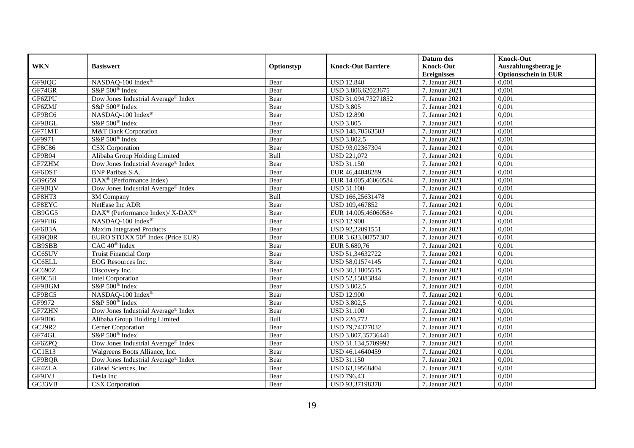|               |                                                          |            |                           | Datum des          | <b>Knock-Out</b>            |
|---------------|----------------------------------------------------------|------------|---------------------------|--------------------|-----------------------------|
| <b>WKN</b>    | <b>Basiswert</b>                                         | Optionstyp | <b>Knock-Out Barriere</b> | <b>Knock-Out</b>   | Auszahlungsbetrag je        |
|               |                                                          |            |                           | <b>Ereignisses</b> | <b>Optionsschein in EUR</b> |
| GF9JQC        | NASDAQ-100 Index®                                        | Bear       | <b>USD 12.840</b>         | 7. Januar 2021     | 0,001                       |
| GF74GR        | S&P 500 <sup>®</sup> Index                               | Bear       | USD 3.806,62023675        | 7. Januar 2021     | 0,001                       |
| GF6ZPU        | Dow Jones Industrial Average <sup>®</sup> Index          | Bear       | USD 31.094,73271852       | 7. Januar 2021     | 0,001                       |
| GF6ZMJ        | S&P 500 <sup>®</sup> Index                               | Bear       | <b>USD 3.805</b>          | 7. Januar 2021     | 0,001                       |
| GF9BC6        | NASDAQ-100 Index®                                        | Bear       | <b>USD 12.890</b>         | 7. Januar 2021     | 0,001                       |
| GF9BGL        | S&P 500 <sup>®</sup> Index                               | Bear       | <b>USD 3.805</b>          | 7. Januar 2021     | 0,001                       |
| GF71MT        | M&T Bank Corporation                                     | Bear       | USD 148,70563503          | 7. Januar 2021     | 0,001                       |
| GF9971        | S&P 500 <sup>®</sup> Index                               | Bear       | <b>USD 3.802,5</b>        | 7. Januar 2021     | 0,001                       |
| GF8C86        | CSX Corporation                                          | Bear       | USD 93,02367304           | 7. Januar 2021     | 0,001                       |
| GF9B04        | Alibaba Group Holding Limited                            | Bull       | <b>USD 221,072</b>        | 7. Januar 2021     | 0,001                       |
| GF7ZHM        | Dow Jones Industrial Average <sup>®</sup> Index          | Bear       | <b>USD 31.150</b>         | 7. Januar 2021     | 0,001                       |
| GF6DST        | <b>BNP</b> Paribas S.A.                                  | Bear       | EUR 46,44848289           | 7. Januar 2021     | 0,001                       |
| GB9G59        | $\text{DAX}^{\textcircled{n}}$ (Performance Index)       | Bear       | EUR 14.005,46060584       | 7. Januar 2021     | 0,001                       |
| GF9BQV        | Dow Jones Industrial Average <sup>®</sup> Index          | Bear       | <b>USD 31.100</b>         | 7. Januar 2021     | 0,001                       |
| GF8HT3        | 3M Company                                               | Bull       | USD 166,25631478          | 7. Januar 2021     | 0,001                       |
| GF8EYC        | NetEase Inc ADR                                          | Bear       | USD 109,467852            | 7. Januar 2021     | 0,001                       |
| GB9GG5        | DAX <sup>®</sup> (Performance Index)/ X-DAX <sup>®</sup> | Bear       | EUR 14.005,46060584       | 7. Januar 2021     | 0,001                       |
| GF9FH6        | NASDAQ-100 Index®                                        | Bear       | <b>USD 12.900</b>         | 7. Januar 2021     | 0,001                       |
| GF6B3A        | Maxim Integrated Products                                | Bear       | USD 92,22091551           | 7. Januar 2021     | 0,001                       |
| GB9Q0R        | EURO STOXX 50 <sup>®</sup> Index (Price EUR)             | Bear       | EUR 3.633,00757307        | 7. Januar 2021     | 0,001                       |
| GB9SBB        | CAC 40 <sup>®</sup> Index                                | Bear       | EUR 5.680,76              | 7. Januar 2021     | 0,001                       |
| GC65UV        | <b>Truist Financial Corp</b>                             | Bear       | USD 51,34632722           | 7. Januar 2021     | 0,001                       |
| <b>GC6ELL</b> | EOG Resources Inc.                                       | Bear       | USD 58,01574145           | 7. Januar 2021     | 0,001                       |
| GC690Z        | Discovery Inc.                                           | Bear       | USD 30,11805515           | 7. Januar 2021     | 0,001                       |
| GF8C5H        | <b>Intel Corporation</b>                                 | Bear       | USD 52,15083844           | 7. Januar 2021     | 0,001                       |
| GF9BGM        | S&P 500 <sup>®</sup> Index                               | Bear       | <b>USD 3.802,5</b>        | 7. Januar 2021     | 0,001                       |
| GF9BC5        | NASDAQ-100 Index®                                        | Bear       | <b>USD 12.900</b>         | 7. Januar 2021     | 0,001                       |
| GF9972        | S&P 500 <sup>®</sup> Index                               | Bear       | <b>USD 3.802,5</b>        | 7. Januar 2021     | 0,001                       |
| <b>GF7ZHN</b> | Dow Jones Industrial Average® Index                      | Bear       | <b>USD 31.100</b>         | 7. Januar 2021     | 0,001                       |
| GF9B06        | Alibaba Group Holding Limited                            | Bull       | <b>USD 220,772</b>        | 7. Januar 2021     | 0,001                       |
| GC29R2        | Cerner Corporation                                       | Bear       | USD 79,74377032           | 7. Januar 2021     | 0,001                       |
| GF74GL        | S&P 500 <sup>®</sup> Index                               | Bear       | USD 3.807,35736441        | 7. Januar 2021     | 0,001                       |
| GF6ZPQ        | Dow Jones Industrial Average® Index                      | Bear       | USD 31.134,5709992        | 7. Januar 2021     | 0,001                       |
| GC1E13        | Walgreens Boots Alliance, Inc.                           | Bear       | USD 46,14640459           | 7. Januar 2021     | 0,001                       |
| GF9BQR        | Dow Jones Industrial Average® Index                      | Bear       | <b>USD 31.150</b>         | 7. Januar 2021     | 0,001                       |
| GF4ZLA        | Gilead Sciences, Inc.                                    | Bear       | USD 63,19568404           | 7. Januar 2021     | 0,001                       |
| GF9JVJ        | Tesla Inc                                                | Bear       | <b>USD 796,43</b>         | 7. Januar 2021     | 0,001                       |
| GC33VB        | CSX Corporation                                          | Bear       | USD 93,37198378           | 7. Januar 2021     | 0,001                       |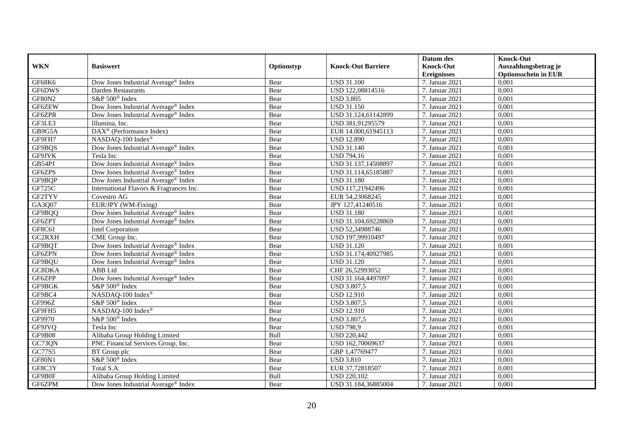|               |                                                       |            |                           | Datum des          | <b>Knock-Out</b>            |
|---------------|-------------------------------------------------------|------------|---------------------------|--------------------|-----------------------------|
| <b>WKN</b>    | <b>Basiswert</b>                                      | Optionstyp | <b>Knock-Out Barriere</b> | <b>Knock-Out</b>   | Auszahlungsbetrag je        |
|               |                                                       |            |                           | <b>Ereignisses</b> | <b>Optionsschein in EUR</b> |
| GF68K6        | Dow Jones Industrial Average® Index                   | Bear       | <b>USD 31.100</b>         | 7. Januar 2021     | 0,001                       |
| GF6DWS        | <b>Darden Restaurants</b>                             | Bear       | USD 122,08814516          | 7. Januar 2021     | 0,001                       |
| <b>GF80N2</b> | S&P 500 <sup>®</sup> Index                            | Bear       | <b>USD 3.805</b>          | 7. Januar 2021     | 0,001                       |
| GF6ZEW        | Dow Jones Industrial Average® Index                   | Bear       | <b>USD 31.150</b>         | 7. Januar 2021     | 0,001                       |
| GF6ZPR        | Dow Jones Industrial Average® Index                   | Bear       | USD 31.124,61142899       | 7. Januar 2021     | 0,001                       |
| GF3LE3        | Illumina, Inc.                                        | Bear       | USD 381,91295579          | 7. Januar 2021     | 0,001                       |
| GB9G5A        | $\overline{\text{DAX}^{\otimes}}$ (Performance Index) | Bear       | EUR 14.000,61945113       | 7. Januar 2021     | 0,001                       |
| GF9FH7        | NASDAQ-100 Index®                                     | Bear       | <b>USD 12.890</b>         | 7. Januar 2021     | 0,001                       |
| GF9BQS        | Dow Jones Industrial Average <sup>®</sup> Index       | Bear       | <b>USD 31.140</b>         | 7. Januar 2021     | 0,001                       |
| GF9JVK        | Tesla Inc                                             | Bear       | <b>USD 794,16</b>         | 7. Januar 2021     | 0,001                       |
| GB54PJ        | Dow Jones Industrial Average® Index                   | Bear       | USD 31.137,14508897       | 7. Januar 2021     | 0,001                       |
| GF6ZPS        | Dow Jones Industrial Average® Index                   | Bear       | USD 31.114,65185887       | 7. Januar 2021     | 0,001                       |
| GF9BQP        | Dow Jones Industrial Average® Index                   | Bear       | <b>USD 31.180</b>         | 7. Januar 2021     | 0,001                       |
| GF725C        | International Flavors & Fragrances Inc.               | Bear       | USD 117,21942496          | 7. Januar 2021     | 0,001                       |
| GF2TYV        | Covestro AG                                           | Bear       | EUR 54,23068245           | 7. Januar 2021     | 0,001                       |
| GA3Q07        | EUR/JPY (WM-Fixing)                                   | Bear       | JPY 127,41240516          | 7. Januar 2021     | 0,001                       |
| GF9BQQ        | Dow Jones Industrial Average <sup>®</sup> Index       | Bear       | <b>USD 31.180</b>         | 7. Januar 2021     | 0,001                       |
| GF6ZPT        | Dow Jones Industrial Average® Index                   | Bear       | USD 31.104,69228869       | 7. Januar 2021     | 0,001                       |
| GF8C61        | Intel Corporation                                     | Bear       | USD 52,34988746           | 7. Januar 2021     | 0,001                       |
| GC2RXH        | CME Group Inc.                                        | Bear       | USD 197,99910497          | 7. Januar 2021     | 0,001                       |
| GF9BQT        | Dow Jones Industrial Average <sup>®</sup> Index       | Bear       | <b>USD 31.120</b>         | 7. Januar 2021     | 0,001                       |
| GF6ZPN        | Dow Jones Industrial Average <sup>®</sup> Index       | Bear       | USD 31.174,40927985       | 7. Januar 2021     | 0,001                       |
| GF9BQU        | Dow Jones Industrial Average® Index                   | Bear       | <b>USD 31.120</b>         | 7. Januar 2021     | 0,001                       |
| GC8DKA        | <b>ABB</b> Ltd                                        | Bear       | CHF 26,52993052           | 7. Januar 2021     | 0,001                       |
| GF6ZPP        | Dow Jones Industrial Average® Index                   | Bear       | USD 31.164,4497097        | 7. Januar 2021     | 0,001                       |
| GF9BGK        | S&P 500 <sup>®</sup> Index                            | Bear       | <b>USD 3.807,5</b>        | 7. Januar 2021     | 0,001                       |
| GF9BC4        | NASDAQ-100 Index®                                     | Bear       | <b>USD 12.910</b>         | 7. Januar 2021     | 0,001                       |
| GF996Z        | S&P 500 <sup>®</sup> Index                            | Bear       | <b>USD 3.807,5</b>        | 7. Januar 2021     | 0,001                       |
| GF9FH5        | NASDAQ-100 Index®                                     | Bear       | <b>USD 12.910</b>         | 7. Januar 2021     | 0,001                       |
| GF9970        | S&P 500 <sup>®</sup> Index                            | Bear       | <b>USD 3.807,5</b>        | 7. Januar 2021     | 0,001                       |
| GF9JVQ        | Tesla Inc                                             | Bear       | <b>USD 798,9</b>          | 7. Januar 2021     | 0,001                       |
| GF9B08        | Alibaba Group Holding Limited                         | Bull       | <b>USD 220,442</b>        | 7. Januar 2021     | 0,001                       |
| GC73QN        | PNC Financial Services Group, Inc.                    | Bear       | USD 162,70069637          | 7. Januar 2021     | 0,001                       |
| GC77S5        | BT Group plc                                          | Bear       | GBP 1,47769477            | 7. Januar 2021     | 0,001                       |
| GF80N1        | S&P 500 <sup>®</sup> Index                            | Bear       | <b>USD 3.810</b>          | 7. Januar 2021     | 0,001                       |
| GF8C3Y        | Total S.A.                                            | Bear       | EUR 37,72818507           | 7. Januar 2021     | 0,001                       |
| GF9B0F        | Alibaba Group Holding Limited                         | Bull       | <b>USD 220,102</b>        | 7. Januar 2021     | 0,001                       |
| GF6ZPM        | Dow Jones Industrial Average® Index                   | Bear       | USD 31.184,36885004       | 7. Januar 2021     | 0,001                       |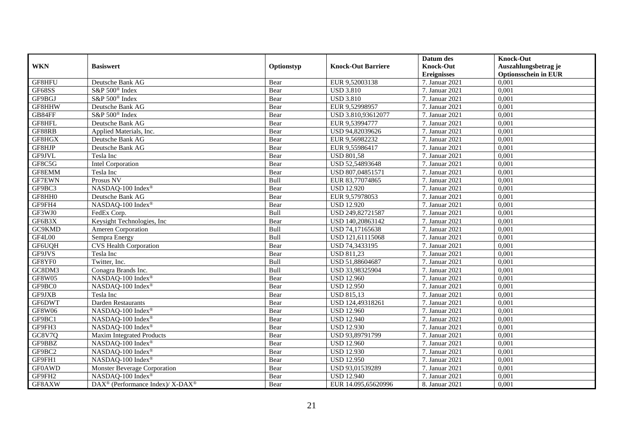|               |                                                          |            |                           | Datum des          | <b>Knock-Out</b>            |
|---------------|----------------------------------------------------------|------------|---------------------------|--------------------|-----------------------------|
| <b>WKN</b>    | <b>Basiswert</b>                                         | Optionstyp | <b>Knock-Out Barriere</b> | <b>Knock-Out</b>   | Auszahlungsbetrag je        |
|               |                                                          |            |                           | <b>Ereignisses</b> | <b>Optionsschein in EUR</b> |
| GF8HFU        | Deutsche Bank AG                                         | Bear       | EUR 9,52003138            | 7. Januar 2021     | 0,001                       |
| GF68SS        | S&P 500 <sup>®</sup> Index                               | Bear       | <b>USD 3.810</b>          | 7. Januar 2021     | 0,001                       |
| GF9BGJ        | S&P 500 <sup>®</sup> Index                               | Bear       | <b>USD 3.810</b>          | 7. Januar 2021     | 0,001                       |
| GF8HHW        | Deutsche Bank AG                                         | Bear       | EUR 9,52998957            | 7. Januar 2021     | 0,001                       |
| GB84FF        | S&P 500 <sup>®</sup> Index                               | Bear       | USD 3.810,93612077        | 7. Januar 2021     | 0,001                       |
| GF8HFL        | Deutsche Bank AG                                         | Bear       | EUR 9,53994777            | 7. Januar 2021     | 0,001                       |
| GF88RB        | Applied Materials, Inc.                                  | Bear       | USD 94,82039626           | 7. Januar 2021     | 0,001                       |
| GF8HGX        | Deutsche Bank AG                                         | Bear       | EUR 9,56982232            | 7. Januar 2021     | 0,001                       |
| GF8HJP        | Deutsche Bank AG                                         | Bear       | EUR 9,55986417            | 7. Januar 2021     | 0,001                       |
| GF9JVL        | Tesla Inc                                                | Bear       | <b>USD 801,58</b>         | 7. Januar 2021     | 0,001                       |
| GF8C5G        | <b>Intel Corporation</b>                                 | Bear       | USD 52,54893648           | 7. Januar 2021     | 0,001                       |
| GF8EMM        | Tesla Inc                                                | Bear       | USD 807,04851571          | 7. Januar 2021     | 0,001                       |
| <b>GF7EWN</b> | Prosus NV                                                | Bull       | EUR 83,77074865           | 7. Januar 2021     | 0,001                       |
| GF9BC3        | NASDAQ-100 Index®                                        | Bear       | <b>USD 12.920</b>         | 7. Januar 2021     | 0,001                       |
| GF8HH0        | Deutsche Bank AG                                         | Bear       | EUR 9,57978053            | 7. Januar 2021     | 0,001                       |
| GF9FH4        | NASDAQ-100 Index®                                        | Bear       | <b>USD 12.920</b>         | 7. Januar 2021     | 0,001                       |
| GF3WJ0        | FedEx Corp.                                              | Bull       | USD 249,82721587          | 7. Januar 2021     | 0,001                       |
| GF6B3X        | Keysight Technologies, Inc.                              | Bear       | USD 140.20863142          | 7. Januar 2021     | 0,001                       |
| GC9KMD        | Ameren Corporation                                       | Bull       | USD 74,17165638           | 7. Januar 2021     | 0,001                       |
| GF4L00        | Sempra Energy                                            | Bull       | USD 121,61115068          | 7. Januar 2021     | 0,001                       |
| GF6UQH        | <b>CVS Health Corporation</b>                            | Bear       | USD 74,3433195            | 7. Januar 2021     | 0,001                       |
| GF9JVS        | Tesla Inc                                                | Bear       | <b>USD 811,23</b>         | 7. Januar 2021     | 0,001                       |
| GF8YF0        | Twitter, Inc.                                            | Bull       | USD 51,88604687           | 7. Januar 2021     | 0,001                       |
| GC8DM3        | Conagra Brands Inc.                                      | Bull       | USD 33,98325904           | 7. Januar 2021     | 0,001                       |
| <b>GF8W05</b> | NASDAQ-100 Index®                                        | Bear       | <b>USD 12.960</b>         | 7. Januar 2021     | 0.001                       |
| GF9BC0        | NASDAQ-100 Index <sup>®</sup>                            | Bear       | <b>USD 12.950</b>         | 7. Januar 2021     | 0,001                       |
| GF9JXB        | Tesla Inc                                                | Bear       | USD 815,13                | 7. Januar 2021     | 0,001                       |
| GF6DWT        | <b>Darden Restaurants</b>                                | Bear       | USD 124,49318261          | 7. Januar 2021     | 0,001                       |
| <b>GF8W06</b> | NASDAQ-100 Index®                                        | Bear       | <b>USD 12.960</b>         | 7. Januar 2021     | 0,001                       |
| GF9BC1        | NASDAQ-100 Index®                                        | Bear       | <b>USD 12.940</b>         | 7. Januar $2021$   | 0,001                       |
| GF9FH3        | NASDAQ-100 Index®                                        | Bear       | <b>USD 12.930</b>         | 7. Januar 2021     | 0,001                       |
| <b>GC8V7Q</b> | Maxim Integrated Products                                | Bear       | USD 93,89791799           | 7. Januar 2021     | 0,001                       |
| GF9BBZ        | NASDAQ-100 Index®                                        | Bear       | <b>USD 12.960</b>         | 7. Januar 2021     | 0,001                       |
| GF9BC2        | NASDAQ-100 Index®                                        | Bear       | <b>USD 12.930</b>         | 7. Januar 2021     | 0,001                       |
| GF9FH1        | NASDAQ-100 Index®                                        | Bear       | <b>USD 12.950</b>         | 7. Januar 2021     | 0,001                       |
| <b>GF0AWD</b> | Monster Beverage Corporation                             | Bear       | USD 93,01539289           | 7. Januar 2021     | 0,001                       |
| GF9FH2        | NASDAQ-100 Index®                                        | Bear       | <b>USD 12.940</b>         | 7. Januar 2021     | 0,001                       |
| GF8AXW        | DAX <sup>®</sup> (Performance Index)/ X-DAX <sup>®</sup> | Bear       | EUR 14.095,65620996       | 8. Januar 2021     | 0,001                       |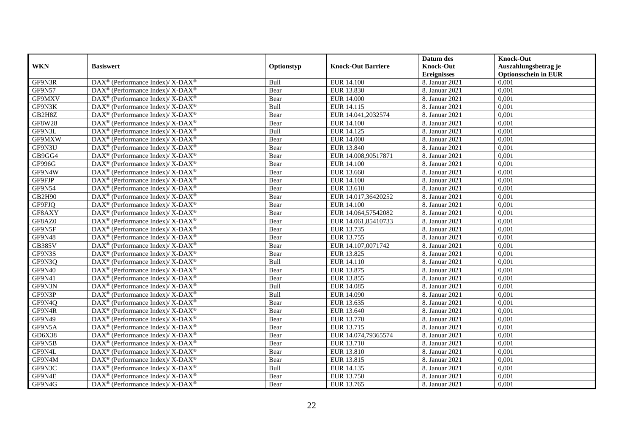|               |                                                                    |            |                           | Datum des          | <b>Knock-Out</b>            |
|---------------|--------------------------------------------------------------------|------------|---------------------------|--------------------|-----------------------------|
| <b>WKN</b>    | <b>Basiswert</b>                                                   | Optionstyp | <b>Knock-Out Barriere</b> | <b>Knock-Out</b>   | Auszahlungsbetrag je        |
|               |                                                                    |            |                           | <b>Ereignisses</b> | <b>Optionsschein in EUR</b> |
| GF9N3R        | DAX <sup>®</sup> (Performance Index)/ X-DAX <sup>®</sup>           | Bull       | <b>EUR 14.100</b>         | 8. Januar 2021     | 0,001                       |
| <b>GF9N57</b> | $\text{DAX}^{\circledR}$ (Performance Index)/ X-DAX <sup>®</sup>   | Bear       | EUR 13.830                | 8. Januar 2021     | 0,001                       |
| GF9MXV        | $\text{DAX}^{\otimes}$ (Performance Index)/X-DAX <sup>®</sup>      | Bear       | <b>EUR 14.000</b>         | 8. Januar 2021     | 0,001                       |
| GF9N3K        | DAX <sup>®</sup> (Performance Index)/ X-DAX <sup>®</sup>           | Bull       | EUR 14.115                | 8. Januar 2021     | 0,001                       |
| GB2H8Z        | $\text{DAX}^{\otimes}$ (Performance Index)/X-DAX <sup>®</sup>      | Bear       | EUR 14.041,2032574        | 8. Januar 2021     | 0,001                       |
| <b>GF8W28</b> | DAX <sup>®</sup> (Performance Index)/ X-DAX <sup>®</sup>           | Bear       | <b>EUR 14.100</b>         | 8. Januar 2021     | 0,001                       |
| GF9N3L        | DAX <sup>®</sup> (Performance Index)/ X-DAX <sup>®</sup>           | Bull       | EUR 14.125                | 8. Januar 2021     | 0,001                       |
| GF9MXW        | DAX <sup>®</sup> (Performance Index)/ X-DAX <sup>®</sup>           | Bear       | <b>EUR 14.000</b>         | 8. Januar 2021     | 0,001                       |
| GF9N3U        | $\text{DAX}^{\otimes}$ (Performance Index)/X-DAX <sup>®</sup>      | Bear       | EUR 13.840                | 8. Januar 2021     | 0,001                       |
| GB9GG4        | $DAX^{\circledast}$ (Performance Index)/ X-DAX <sup>®</sup>        | Bear       | EUR 14.008,90517871       | 8. Januar 2021     | 0,001                       |
| GF996G        | $\text{DAX}^{\circledast}$ (Performance Index)/ X-DAX <sup>®</sup> | Bear       | <b>EUR 14.100</b>         | 8. Januar 2021     | 0,001                       |
| GF9N4W        | $\text{DAX}^{\circledast}$ (Performance Index)/ X-DAX <sup>®</sup> | Bear       | EUR 13.660                | 8. Januar 2021     | 0,001                       |
| GF9FJP        | $\text{DAX}^{\circledast}$ (Performance Index)/ X-DAX <sup>®</sup> | Bear       | <b>EUR 14.100</b>         | 8. Januar 2021     | 0,001                       |
| <b>GF9N54</b> | $\text{DAX}^{\otimes}$ (Performance Index)/X-DAX <sup>®</sup>      | Bear       | EUR 13.610                | 8. Januar 2021     | 0,001                       |
| GB2H90        | DAX <sup>®</sup> (Performance Index)/ X-DAX <sup>®</sup>           | Bear       | EUR 14.017,36420252       | 8. Januar 2021     | 0,001                       |
| GF9FJQ        | $\text{DAX}^{\otimes}$ (Performance Index)/X-DAX <sup>®</sup>      | Bear       | <b>EUR 14.100</b>         | 8. Januar 2021     | 0,001                       |
| GF8AXY        | DAX <sup>®</sup> (Performance Index)/ X-DAX <sup>®</sup>           | Bear       | EUR 14.064,57542082       | 8. Januar 2021     | 0,001                       |
| GF8AZ0        | DAX <sup>®</sup> (Performance Index)/ X-DAX <sup>®</sup>           | Bear       | EUR 14.061,85410733       | 8. Januar 2021     | 0,001                       |
| GF9N5F        | $\text{DAX}^{\otimes}$ (Performance Index)/X-DAX <sup>®</sup>      | Bear       | EUR 13.735                | 8. Januar 2021     | 0,001                       |
| GF9N48        | $\text{DAX}^{\otimes}$ (Performance Index)/X-DAX <sup>®</sup>      | Bear       | EUR 13.755                | 8. Januar 2021     | 0,001                       |
| <b>GB385V</b> | $DAX^{\circledast}$ (Performance Index)/ X-DAX <sup>®</sup>        | Bear       | EUR 14.107,0071742        | 8. Januar 2021     | 0,001                       |
| GF9N3S        | $\text{DAX}^{\otimes}$ (Performance Index)/X-DAX <sup>®</sup>      | Bear       | EUR 13.825                | 8. Januar 2021     | 0,001                       |
| GF9N3Q        | $\text{DAX}^{\circledR}$ (Performance Index)/ X-DAX <sup>®</sup>   | Bull       | <b>EUR 14.110</b>         | 8. Januar 2021     | 0,001                       |
| GF9N40        | $DAX^{\circledast}$ (Performance Index)/X-DAX <sup>®</sup>         | Bear       | EUR 13.875                | 8. Januar 2021     | 0,001                       |
| GF9N41        | $\text{DAX}^{\circledast}$ (Performance Index)/ X-DAX <sup>®</sup> | Bear       | EUR 13.855                | 8. Januar 2021     | 0,001                       |
| GF9N3N        | $DAX^{\circledast}$ (Performance Index)/ X-DAX <sup>®</sup>        | Bull       | <b>EUR 14.085</b>         | 8. Januar 2021     | 0,001                       |
| GF9N3P        | $\text{DAX}^{\otimes}$ (Performance Index)/X-DAX <sup>®</sup>      | Bull       | EUR 14.090                | 8. Januar 2021     | 0,001                       |
| GF9N4Q        | $\text{DAX}^{\circledast}$ (Performance Index)/ X-DAX <sup>®</sup> | Bear       | EUR 13.635                | 8. Januar 2021     | 0,001                       |
| GF9N4R        | $\text{DAX}^{\circledast}$ (Performance Index)/ X-DAX <sup>®</sup> | Bear       | EUR 13.640                | 8. Januar 2021     | 0,001                       |
| <b>GF9N49</b> | $DAX^{\circledcirc}$ (Performance Index)/ X-DAX <sup>®</sup>       | Bear       | EUR 13.770                | 8. Januar 2021     | 0.001                       |
| GF9N5A        | $DAX^{\circledast}$ (Performance Index)/X-DAX <sup>®</sup>         | Bear       | EUR 13.715                | 8. Januar 2021     | 0,001                       |
| GD6X38        | DAX <sup>®</sup> (Performance Index)/ X-DAX <sup>®</sup>           | Bear       | EUR 14.074,79365574       | 8. Januar 2021     | 0,001                       |
| GF9N5B        | $\text{DAX}^{\otimes}$ (Performance Index)/X-DAX <sup>®</sup>      | Bear       | EUR 13.710                | 8. Januar 2021     | 0,001                       |
| GF9N4L        | DAX <sup>®</sup> (Performance Index)/ X-DAX <sup>®</sup>           | Bear       | EUR 13.810                | 8. Januar 2021     | 0,001                       |
| GF9N4M        | $\text{DAX}^{\circledR}$ (Performance Index)/ X-DAX <sup>®</sup>   | Bear       | EUR 13.815                | 8. Januar 2021     | 0,001                       |
| GF9N3C        | $\text{DAX}^{\otimes}$ (Performance Index)/X-DAX <sup>®</sup>      | Bull       | EUR 14.135                | 8. Januar 2021     | 0,001                       |
| GF9N4E        | DAX <sup>®</sup> (Performance Index)/ X-DAX <sup>®</sup>           | Bear       | EUR 13.750                | 8. Januar 2021     | 0,001                       |
| GF9N4G        | DAX <sup>®</sup> (Performance Index)/ X-DAX <sup>®</sup>           | Bear       | EUR 13.765                | 8. Januar 2021     | 0,001                       |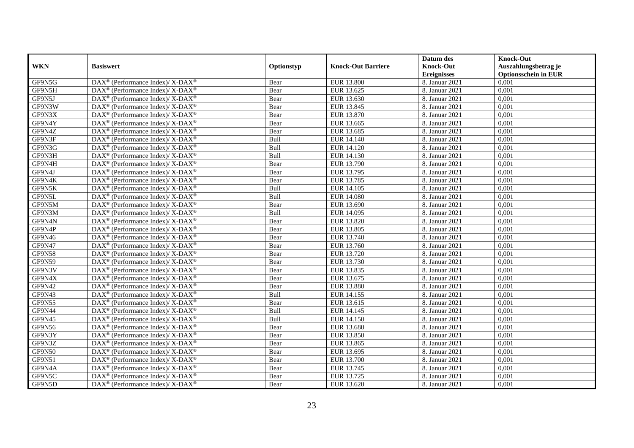|               |                                                                          |            |                           | Datum des          | <b>Knock-Out</b>            |
|---------------|--------------------------------------------------------------------------|------------|---------------------------|--------------------|-----------------------------|
| <b>WKN</b>    | <b>Basiswert</b>                                                         | Optionstyp | <b>Knock-Out Barriere</b> | <b>Knock-Out</b>   | Auszahlungsbetrag je        |
|               |                                                                          |            |                           | <b>Ereignisses</b> | <b>Optionsschein in EUR</b> |
| GF9N5G        | DAX <sup>®</sup> (Performance Index)/X-DAX <sup>®</sup>                  | Bear       | <b>EUR 13.800</b>         | 8. Januar 2021     | 0,001                       |
| GF9N5H        | $\text{DAX}^{\circledast}$ (Performance Index)/ X-DAX <sup>®</sup>       | Bear       | EUR 13.625                | 8. Januar 2021     | 0,001                       |
| GF9N5J        | $\text{DAX}^{\circledast}$ (Performance Index)/ X-DAX <sup>®</sup>       | Bear       | EUR 13.630                | 8. Januar 2021     | 0,001                       |
| GF9N3W        | DAX <sup>®</sup> (Performance Index)/X-DAX <sup>®</sup>                  | Bear       | EUR 13.845                | 8. Januar 2021     | 0,001                       |
| GF9N3X        | DAX <sup>®</sup> (Performance Index)/ X-DAX <sup>®</sup>                 | Bear       | EUR 13.870                | 8. Januar 2021     | 0,001                       |
| GF9N4Y        | DAX <sup>®</sup> (Performance Index)/ X-DAX <sup>®</sup>                 | Bear       | EUR 13.665                | 8. Januar 2021     | 0,001                       |
| GF9N4Z        | DAX <sup>®</sup> (Performance Index)/ X-DAX <sup>®</sup>                 | Bear       | EUR 13.685                | 8. Januar 2021     | 0,001                       |
| GF9N3F        | $\text{DAX}^{\circledast}$ (Performance Index)/ X-DAX <sup>®</sup>       | Bull       | EUR 14.140                | 8. Januar 2021     | 0,001                       |
| GF9N3G        | $\text{DAX}^{\circledast}$ (Performance Index)/ X-DAX <sup>®</sup>       | Bull       | EUR 14.120                | 8. Januar 2021     | 0,001                       |
| GF9N3H        | DAX <sup>®</sup> (Performance Index)/X-DAX <sup>®</sup>                  | Bull       | EUR 14.130                | 8. Januar 2021     | 0,001                       |
| GF9N4H        | DAX <sup>®</sup> (Performance Index)/ X-DAX <sup>®</sup>                 | Bear       | EUR 13.790                | 8. Januar 2021     | 0,001                       |
| GF9N4J        | DAX <sup>®</sup> (Performance Index)/ X-DAX <sup>®</sup>                 | Bear       | EUR 13.795                | 8. Januar 2021     | 0,001                       |
| GF9N4K        | $\text{DAX}^{\circledast}$ (Performance Index)/ X-DAX <sup>®</sup>       | Bear       | EUR 13.785                | 8. Januar 2021     | 0,001                       |
| GF9N5K        | $\text{DAX}^{\circledast}$ (Performance Index)/ X-DAX <sup>®</sup>       | Bull       | EUR 14.105                | 8. Januar 2021     | 0,001                       |
| GF9N5L        | DAX <sup>®</sup> (Performance Index)/ X-DAX <sup>®</sup>                 | Bull       | <b>EUR 14.080</b>         | 8. Januar 2021     | 0,001                       |
| GF9N5M        | DAX <sup>®</sup> (Performance Index)/ X-DAX <sup>®</sup>                 | Bear       | EUR 13.690                | 8. Januar 2021     | 0,001                       |
| GF9N3M        | DAX <sup>®</sup> (Performance Index)/ X-DAX <sup>®</sup>                 | Bull       | EUR 14.095                | 8. Januar 2021     | 0,001                       |
| GF9N4N        | $\text{DAX}^{\circledast}$ (Performance Index)/ X-DAX <sup>®</sup>       | Bear       | EUR 13.820                | 8. Januar 2021     | 0,001                       |
| GF9N4P        | $\text{DAX}^{\circledast}$ (Performance Index)/ X-DAX <sup>®</sup>       | Bear       | <b>EUR 13.805</b>         | 8. Januar 2021     | 0,001                       |
| GF9N46        | DAX <sup>®</sup> (Performance Index)/X-DAX <sup>®</sup>                  | Bear       | EUR 13.740                | 8. Januar 2021     | 0,001                       |
| GF9N47        | $\text{DAX}^{\circledast}$ (Performance Index)/ X-DAX <sup>®</sup>       | Bear       | EUR 13.760                | 8. Januar 2021     | 0,001                       |
| GF9N58        | $\text{DAX}^{\circledast}$ (Performance Index)/ X-DAX <sup>®</sup>       | Bear       | EUR 13.720                | 8. Januar 2021     | 0,001                       |
| <b>GF9N59</b> | DAX <sup>®</sup> (Performance Index)/ X-DAX <sup>®</sup>                 | Bear       | EUR 13.730                | 8. Januar 2021     | 0,001                       |
| GF9N3V        | DAX <sup>®</sup> (Performance Index)/ X-DAX <sup>®</sup>                 | Bear       | EUR 13.835                | 8. Januar 2021     | 0,001                       |
| GF9N4X        | $\overline{\text{DAX}^{\otimes}}$ (Performance Index)/X-DAX <sup>®</sup> | Bear       | EUR 13.675                | 8. Januar 2021     | 0.001                       |
| <b>GF9N42</b> | $\text{DAX}^{\circledast}$ (Performance Index)/ X-DAX <sup>®</sup>       | Bear       | <b>EUR 13.880</b>         | 8. Januar 2021     | 0,001                       |
| GF9N43        | DAX <sup>®</sup> (Performance Index)/ X-DAX <sup>®</sup>                 | Bull       | EUR 14.155                | 8. Januar 2021     | 0,001                       |
| GF9N55        | DAX <sup>®</sup> (Performance Index)/ X-DAX <sup>®</sup>                 | Bear       | EUR 13.615                | 8. Januar 2021     | 0,001                       |
| GF9N44        | DAX <sup>®</sup> (Performance Index)/ X-DAX <sup>®</sup>                 | Bull       | EUR 14.145                | 8. Januar 2021     | 0,001                       |
| GF9N45        | $\text{DAX}^{\otimes}$ (Performance Index)/X-DAX <sup>®</sup>            | Bull       | EUR 14.150                | 8. Januar 2021     | 0,001                       |
| GF9N56        | $\text{DAX}^{\circledast}$ (Performance Index)/ X-DAX <sup>®</sup>       | Bear       | EUR 13.680                | 8. Januar 2021     | 0,001                       |
| GF9N3Y        | $\overline{\text{DAX}^{\otimes}}$ (Performance Index)/X-DAX <sup>®</sup> | Bear       | EUR 13.850                | 8. Januar 2021     | 0,001                       |
| GF9N3Z        | $\text{DAX}^{\circledast}$ (Performance Index)/ X-DAX <sup>®</sup>       | Bear       | EUR 13.865                | 8. Januar 2021     | 0,001                       |
| GF9N50        | DAX <sup>®</sup> (Performance Index)/ X-DAX <sup>®</sup>                 | Bear       | EUR 13.695                | 8. Januar 2021     | 0,001                       |
| GF9N51        | DAX <sup>®</sup> (Performance Index)/ X-DAX <sup>®</sup>                 | Bear       | EUR 13.700                | 8. Januar 2021     | 0,001                       |
| GF9N4A        | $\text{DAX}^{\otimes}$ (Performance Index)/X-DAX <sup>®</sup>            | Bear       | EUR 13.745                | 8. Januar 2021     | 0,001                       |
| GF9N5C        | DAX <sup>®</sup> (Performance Index)/ X-DAX <sup>®</sup>                 | Bear       | EUR 13.725                | 8. Januar 2021     | 0,001                       |
| GF9N5D        | DAX <sup>®</sup> (Performance Index)/ X-DAX <sup>®</sup>                 | Bear       | EUR 13.620                | 8. Januar 2021     | 0,001                       |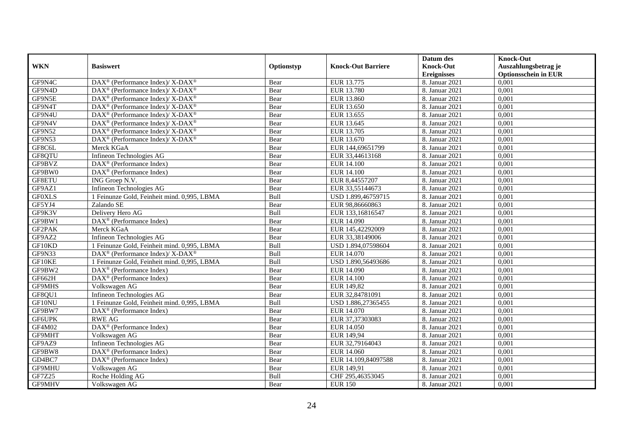|               |                                                                                        |            |                           | Datum des          | <b>Knock-Out</b>            |
|---------------|----------------------------------------------------------------------------------------|------------|---------------------------|--------------------|-----------------------------|
| <b>WKN</b>    | <b>Basiswert</b>                                                                       | Optionstyp | <b>Knock-Out Barriere</b> | <b>Knock-Out</b>   | Auszahlungsbetrag je        |
|               |                                                                                        |            |                           | <b>Ereignisses</b> | <b>Optionsschein in EUR</b> |
| GF9N4C        | DAX <sup>®</sup> (Performance Index)/ X-DAX <sup>®</sup>                               | Bear       | EUR 13.775                | 8. Januar 2021     | 0,001                       |
| GF9N4D        | $DAX^{\circledcirc}$ (Performance Index)/ X-DAX <sup>®</sup>                           | Bear       | <b>EUR 13.780</b>         | 8. Januar 2021     | 0,001                       |
| GF9N5E        | $\text{DAX}^{\circledast}$ (Performance Index)/ X-DAX <sup>®</sup>                     | Bear       | EUR 13.860                | 8. Januar 2021     | 0,001                       |
| GF9N4T        | $\text{DAX}^{\circledast}$ (Performance Index)/ X-DAX <sup>®</sup>                     | Bear       | EUR 13.650                | 8. Januar 2021     | 0,001                       |
| GF9N4U        | DAX <sup>®</sup> (Performance Index)/ X-DAX <sup>®</sup>                               | Bear       | EUR 13.655                | 8. Januar 2021     | 0,001                       |
| GF9N4V        | $DAX^{\circledcirc}$ (Performance Index)/ X-DAX <sup>®</sup>                           | Bear       | EUR 13.645                | 8. Januar 2021     | 0,001                       |
| GF9N52        | $DAX^{\circledcirc}$ (Performance Index)/ X-DAX <sup>®</sup>                           | Bear       | EUR 13.705                | 8. Januar 2021     | 0,001                       |
| GF9N53        | DAX <sup>®</sup> (Performance Index)/ X-DAX <sup>®</sup>                               | Bear       | EUR 13.670                | 8. Januar 2021     | 0,001                       |
| GF8C6L        | Merck KGaA                                                                             | Bear       | EUR 144,69651799          | 8. Januar 2021     | 0,001                       |
| GF8QTU        | Infineon Technologies AG                                                               | Bear       | EUR 33,44613168           | 8. Januar 2021     | 0,001                       |
| GF9BVZ        | $\text{DAX}^{\textcircled{D}}$ (Performance Index)                                     | Bear       | <b>EUR 14.100</b>         | 8. Januar 2021     | 0,001                       |
| GF9BW0        | DAX <sup>®</sup> (Performance Index)                                                   | Bear       | <b>EUR 14.100</b>         | 8. Januar 2021     | 0,001                       |
| GF8ETU        | ING Groep N.V.                                                                         | Bear       | EUR 8,44557207            | 8. Januar 2021     | 0,001                       |
| GF9AZ1        | Infineon Technologies AG                                                               | Bear       | EUR 33,55144673           | 8. Januar 2021     | 0.001                       |
| <b>GF0XLS</b> | 1 Feinunze Gold, Feinheit mind. 0,995, LBMA                                            | Bull       | USD 1.899,46759715        | 8. Januar 2021     | 0,001                       |
| GF5YJ4        | Zalando SE                                                                             | Bear       | EUR 98,86660863           | 8. Januar 2021     | 0,001                       |
| GF9K3V        | Delivery Hero AG                                                                       | Bull       | EUR 133,16816547          | 8. Januar 2021     | 0,001                       |
| GF9BW1        | DAX <sup>®</sup> (Performance Index)                                                   | Bear       | EUR 14.090                | 8. Januar 2021     | 0,001                       |
| GF2PAK        | Merck KGaA                                                                             | Bear       | EUR 145,42292009          | 8. Januar 2021     | 0,001                       |
| GF9AZ2        | Infineon Technologies AG                                                               | Bear       | EUR 33,38149006           | 8. Januar 2021     | 0,001                       |
| GF10KD        | 1 Feinunze Gold, Feinheit mind. 0,995, LBMA                                            | Bull       | USD 1.894,07598604        | 8. Januar 2021     | 0,001                       |
| <b>GF9N33</b> | $\overline{\text{DAX}^{\textcircled{\tiny 0}}}$ (Performance Index)/X-DAX <sup>®</sup> | Bull       | EUR 14.070                | 8. Januar 2021     | 0,001                       |
| GF10KE        | 1 Feinunze Gold, Feinheit mind. 0,995, LBMA                                            | Bull       | USD 1.890,56493686        | 8. Januar 2021     | 0,001                       |
| GF9BW2        | $\text{DAX}^{\textcircled{D}}$ (Performance Index)                                     | Bear       | <b>EUR 14.090</b>         | 8. Januar 2021     | 0,001                       |
| GF662H        | $\text{DAX}^{\textcircled{p}}$ (Performance Index)                                     | Bear       | <b>EUR 14.100</b>         | 8. Januar 2021     | 0,001                       |
| GF9MHS        | Volkswagen AG                                                                          | Bear       | EUR 149,82                | 8. Januar 2021     | 0,001                       |
| GF8QU1        | Infineon Technologies AG                                                               | Bear       | EUR 32,84781091           | 8. Januar 2021     | 0,001                       |
| GF10NU        | 1 Feinunze Gold, Feinheit mind. 0,995, LBMA                                            | Bull       | USD 1.886,27365455        | 8. Januar 2021     | 0,001                       |
| GF9BW7        | $\text{DAX}^{\textcircled{n}}$ (Performance Index)                                     | Bear       | EUR 14.070                | 8. Januar 2021     | 0,001                       |
| GF6UPK        | <b>RWE AG</b>                                                                          | Bear       | EUR 37,37303083           | 8. Januar 2021     | 0,001                       |
| <b>GF4M02</b> | DAX <sup>®</sup> (Performance Index)                                                   | Bear       | EUR 14.050                | 8. Januar 2021     | 0,001                       |
| GF9MHT        | Volkswagen AG                                                                          | Bear       | EUR 149,94                | 8. Januar 2021     | 0,001                       |
| GF9AZ9        | Infineon Technologies AG                                                               | Bear       | EUR 32,79164043           | 8. Januar 2021     | 0,001                       |
| GF9BW8        | $DAX^{\otimes}$ (Performance Index)                                                    | Bear       | EUR 14.060                | 8. Januar 2021     | 0,001                       |
| GD4BC7        | $\text{DAX}^{\textcircled{n}}$ (Performance Index)                                     | Bear       | EUR 14.109,84097588       | 8. Januar 2021     | 0,001                       |
| GF9MHU        | Volkswagen AG                                                                          | Bear       | EUR 149,91                | 8. Januar 2021     | 0,001                       |
| GF7Z25        | Roche Holding AG                                                                       | Bull       | CHF 295,46353045          | 8. Januar 2021     | 0,001                       |
| GF9MHV        | Volkswagen AG                                                                          | Bear       | <b>EUR 150</b>            | 8. Januar 2021     | 0,001                       |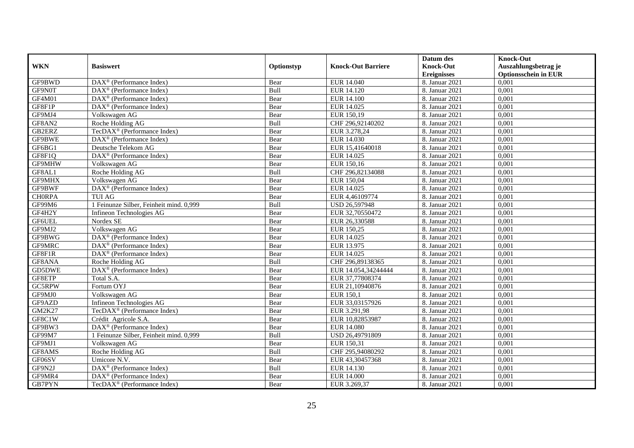|               |                                                    |            |                           | Datum des          | <b>Knock-Out</b>            |
|---------------|----------------------------------------------------|------------|---------------------------|--------------------|-----------------------------|
| <b>WKN</b>    | <b>Basiswert</b>                                   | Optionstyp | <b>Knock-Out Barriere</b> | <b>Knock-Out</b>   | Auszahlungsbetrag je        |
|               |                                                    |            |                           | <b>Ereignisses</b> | <b>Optionsschein in EUR</b> |
| GF9BWD        | $\text{DAX}^{\textcircled{p}}$ (Performance Index) | Bear       | EUR 14.040                | 8. Januar 2021     | 0,001                       |
| GF9N0T        | $\text{DAX}^{\textcircled{p}}$ (Performance Index) | Bull       | EUR 14.120                | 8. Januar 2021     | 0,001                       |
| GF4M01        | DAX <sup>®</sup> (Performance Index)               | Bear       | <b>EUR 14.100</b>         | 8. Januar 2021     | 0,001                       |
| GF8F1P        | $\text{DAX}^{\circledast}$ (Performance Index)     | Bear       | EUR 14.025                | 8. Januar 2021     | 0,001                       |
| GF9MJ4        | Volkswagen AG                                      | Bear       | EUR 150,19                | 8. Januar 2021     | 0,001                       |
| GF8AN2        | Roche Holding AG                                   | Bull       | CHF 296,92140202          | 8. Januar 2021     | 0,001                       |
| GB2ERZ        | TecDAX <sup>®</sup> (Performance Index)            | Bear       | EUR 3.278,24              | 8. Januar 2021     | 0,001                       |
| GF9BWE        | $DAX^{\otimes}$ (Performance Index)                | Bear       | EUR 14.030                | 8. Januar 2021     | 0,001                       |
| GF6BG1        | Deutsche Telekom AG                                | Bear       | EUR 15,41640018           | 8. Januar 2021     | 0,001                       |
| GF8F1Q        | $DAX^{\otimes}$ (Performance Index)                | Bear       | EUR 14.025                | 8. Januar 2021     | 0,001                       |
| GF9MHW        | Volkswagen AG                                      | Bear       | EUR 150,16                | 8. Januar 2021     | 0,001                       |
| GF8AL1        | Roche Holding AG                                   | Bull       | CHF 296,82134088          | 8. Januar 2021     | 0,001                       |
| GF9MHX        | Volkswagen AG                                      | Bear       | EUR 150,04                | 8. Januar 2021     | 0,001                       |
| GF9BWF        | DAX <sup>®</sup> (Performance Index)               | Bear       | EUR 14.025                | 8. Januar 2021     | 0,001                       |
| <b>CHORPA</b> | <b>TUI AG</b>                                      | Bear       | EUR 4,46109774            | 8. Januar 2021     | 0,001                       |
| GF99M6        | 1 Feinunze Silber, Feinheit mind. 0,999            | Bull       | USD 26,597948             | 8. Januar 2021     | 0,001                       |
| GF4H2Y        | Infineon Technologies AG                           | Bear       | EUR 32,70550472           | 8. Januar 2021     | 0,001                       |
| GF6UEL        | Nordex SE                                          | Bear       | EUR 26,330588             | 8. Januar 2021     | 0,001                       |
| GF9MJ2        | Volkswagen AG                                      | Bear       | EUR 150,25                | 8. Januar 2021     | 0,001                       |
| GF9BWG        | DAX <sup>®</sup> (Performance Index)               | Bear       | EUR 14.025                | 8. Januar 2021     | 0,001                       |
| GF9MRC        | $\text{DAX}^{\textcircled{p}}$ (Performance Index) | Bear       | EUR 13.975                | 8. Januar 2021     | 0,001                       |
| GF8F1R        | DAX <sup>®</sup> (Performance Index)               | Bear       | EUR 14.025                | 8. Januar 2021     | 0,001                       |
| GF8ANA        | Roche Holding AG                                   | Bull       | CHF 296,89138365          | 8. Januar 2021     | 0,001                       |
| GD5DWE        | DAX <sup>®</sup> (Performance Index)               | Bear       | EUR 14.054,34244444       | 8. Januar 2021     | 0,001                       |
| GF8ETP        | Total S.A.                                         | Bear       | EUR 37,77808374           | 8. Januar 2021     | 0,001                       |
| GC5RPW        | Fortum OYJ                                         | Bear       | EUR 21,10940876           | 8. Januar 2021     | 0,001                       |
| GF9MJ0        | Volkswagen AG                                      | Bear       | <b>EUR 150,1</b>          | 8. Januar 2021     | 0,001                       |
| GF9AZD        | Infineon Technologies AG                           | Bear       | EUR 33,03157926           | 8. Januar 2021     | 0,001                       |
| <b>GM2K27</b> | TecDAX <sup>®</sup> (Performance Index)            | Bear       | EUR 3.291,98              | 8. Januar 2021     | 0,001                       |
| GF8C1W        | Crédit Agricole S.A.                               | Bear       | EUR 10,82853987           | 8. Januar 2021     | 0,001                       |
| GF9BW3        | $DAX^{\otimes}$ (Performance Index)                | Bear       | <b>EUR 14.080</b>         | 8. Januar 2021     | 0,001                       |
| GF99M7        | 1 Feinunze Silber, Feinheit mind. 0,999            | Bull       | USD 26,49791809           | 8. Januar 2021     | 0,001                       |
| GF9MJ1        | Volkswagen AG                                      | Bear       | EUR 150,31                | 8. Januar 2021     | 0,001                       |
| GF8AMS        | Roche Holding AG                                   | Bull       | CHF 295,94080292          | 8. Januar 2021     | 0,001                       |
| GF06SV        | Umicore N.V.                                       | Bear       | EUR 43,30457368           | 8. Januar 2021     | 0,001                       |
| GF9N2J        | $\text{DAX}^{\textcircled{n}}$ (Performance Index) | Bull       | EUR 14.130                | 8. Januar 2021     | 0,001                       |
| GF9MR4        | DAX <sup>®</sup> (Performance Index)               | Bear       | <b>EUR 14.000</b>         | 8. Januar 2021     | 0,001                       |
| GB7PYN        | TecDAX <sup>®</sup> (Performance Index)            | Bear       | EUR 3.269,37              | 8. Januar 2021     | 0,001                       |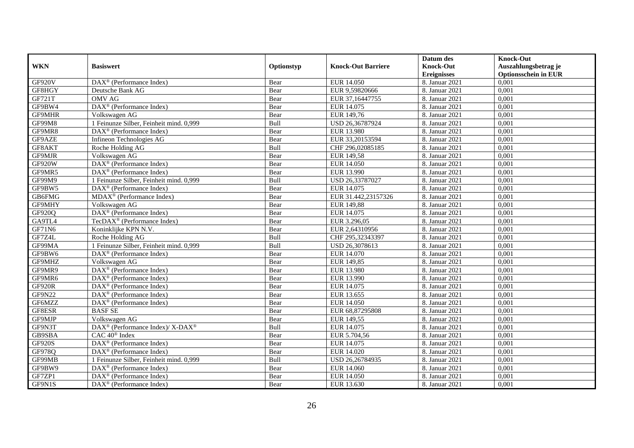|               |                                                           |            |                           | Datum des          | <b>Knock-Out</b>            |
|---------------|-----------------------------------------------------------|------------|---------------------------|--------------------|-----------------------------|
| <b>WKN</b>    | <b>Basiswert</b>                                          | Optionstyp | <b>Knock-Out Barriere</b> | <b>Knock-Out</b>   | Auszahlungsbetrag je        |
|               |                                                           |            |                           | <b>Ereignisses</b> | <b>Optionsschein in EUR</b> |
| GF920V        | DAX <sup>®</sup> (Performance Index)                      | Bear       | EUR 14.050                | 8. Januar 2021     | 0,001                       |
| GF8HGY        | Deutsche Bank AG                                          | Bear       | EUR 9,59820666            | 8. Januar 2021     | 0,001                       |
| GF721T        | <b>OMV AG</b>                                             | Bear       | EUR 37,16447755           | 8. Januar 2021     | 0,001                       |
| GF9BW4        | DAX <sup>®</sup> (Performance Index)                      | Bear       | EUR 14.075                | 8. Januar 2021     | 0,001                       |
| <b>GF9MHR</b> | Volkswagen AG                                             | Bear       | EUR 149,76                | 8. Januar 2021     | 0,001                       |
| <b>GF99M8</b> | 1 Feinunze Silber, Feinheit mind. 0,999                   | Bull       | USD 26,36787924           | 8. Januar 2021     | 0,001                       |
| GF9MR8        | $DAX^{\otimes}$ (Performance Index)                       | Bear       | <b>EUR 13.980</b>         | 8. Januar 2021     | 0,001                       |
| GF9AZE        | Infineon Technologies AG                                  | Bear       | EUR 33,20153594           | 8. Januar 2021     | 0,001                       |
| GF8AKT        | Roche Holding AG                                          | Bull       | CHF 296,02085185          | 8. Januar 2021     | 0,001                       |
| GF9MJR        | Volkswagen AG                                             | Bear       | EUR 149,58                | 8. Januar 2021     | 0,001                       |
| GF920W        | DAX <sup>®</sup> (Performance Index)                      | Bear       | <b>EUR 14.050</b>         | 8. Januar 2021     | 0,001                       |
| GF9MR5        | $\overline{\text{DAX}^{\otimes}}$ (Performance Index)     | Bear       | EUR 13.990                | 8. Januar 2021     | 0,001                       |
| GF99M9        | 1 Feinunze Silber, Feinheit mind. 0,999                   | Bull       | USD 26,33787027           | 8. Januar 2021     | 0,001                       |
| GF9BW5        | DAX <sup>®</sup> (Performance Index)                      | Bear       | EUR 14.075                | 8. Januar 2021     | 0,001                       |
| GB6FMG        | MDAX <sup>®</sup> (Performance Index)                     | Bear       | EUR 31.442,23157326       | 8. Januar 2021     | 0,001                       |
| GF9MHY        | Volkswagen AG                                             | Bear       | EUR 149,88                | 8. Januar 2021     | 0,001                       |
| <b>GF920Q</b> | DAX <sup>®</sup> (Performance Index)                      | Bear       | EUR 14.075                | 8. Januar 2021     | 0,001                       |
| GA9TL4        | TecDAX <sup>®</sup> (Performance Index)                   | Bear       | EUR 3.296.05              | 8. Januar 2021     | 0,001                       |
| GF71N6        | Koninklijke KPN N.V.                                      | Bear       | EUR 2,64310956            | 8. Januar 2021     | 0,001                       |
| GF7Z4L        | Roche Holding AG                                          | Bull       | CHF 295,32343397          | 8. Januar 2021     | 0,001                       |
| GF99MA        | 1 Feinunze Silber, Feinheit mind. 0,999                   | Bull       | USD 26,3078613            | 8. Januar 2021     | 0,001                       |
| GF9BW6        | $\overline{\text{DAX}^{\otimes}}$ (Performance Index)     | Bear       | <b>EUR 14.070</b>         | 8. Januar 2021     | 0,001                       |
| GF9MHZ        | Volkswagen AG                                             | Bear       | EUR 149,85                | 8. Januar 2021     | 0,001                       |
| GF9MR9        | $\overline{\text{DAX}}^{\textcirc}$ (Performance Index)   | Bear       | <b>EUR 13.980</b>         | 8. Januar 2021     | 0,001                       |
| GF9MR6        | $\overline{\text{DAX}^{\otimes}}$ (Performance Index)     | Bear       | EUR 13.990                | 8. Januar 2021     | 0,001                       |
| <b>GF920R</b> | DAX <sup>®</sup> (Performance Index)                      | Bear       | EUR 14.075                | 8. Januar 2021     | 0,001                       |
| GF9N22        | $\text{DAX}^{\textcircled{p}}$ (Performance Index)        | Bear       | EUR 13.655                | 8. Januar 2021     | 0,001                       |
| GF6MZZ        | $\overline{\text{DA}}X^{\circledast}$ (Performance Index) | Bear       | EUR 14.050                | 8. Januar 2021     | 0,001                       |
| GF8ESR        | <b>BASFSE</b>                                             | Bear       | EUR 68,87295808           | 8. Januar 2021     | 0,001                       |
| GF9MJP        | Volkswagen AG                                             | Bear       | EUR 149,55                | 8. Januar 2021     | 0,001                       |
| GF9N3T        | DAX <sup>®</sup> (Performance Index)/ X-DAX <sup>®</sup>  | Bull       | EUR 14.075                | 8. Januar 2021     | 0,001                       |
| GB9SBA        | CAC 40 <sup>®</sup> Index                                 | Bear       | EUR 5.704,56              | 8. Januar 2021     | 0,001                       |
| <b>GF920S</b> | DAX <sup>®</sup> (Performance Index)                      | Bear       | EUR 14.075                | 8. Januar 2021     | 0,001                       |
| GF978Q        | $\text{DAX}^{\textcircled{n}}$ (Performance Index)        | Bear       | EUR 14.020                | 8. Januar 2021     | 0,001                       |
| GF99MB        | 1 Feinunze Silber, Feinheit mind. 0,999                   | Bull       | USD 26,26784935           | 8. Januar 2021     | 0,001                       |
| GF9BW9        | $\text{DAX}^{\textcircled{n}}$ (Performance Index)        | Bear       | EUR 14.060                | 8. Januar 2021     | 0,001                       |
| GF7ZP1        | $\text{DAX}^{\circledast}$ (Performance Index)            | Bear       | <b>EUR 14.050</b>         | 8. Januar 2021     | 0,001                       |
| GF9N1S        | $\text{DAX}^{\textcircled{n}}$ (Performance Index)        | Bear       | EUR 13.630                | 8. Januar 2021     | 0,001                       |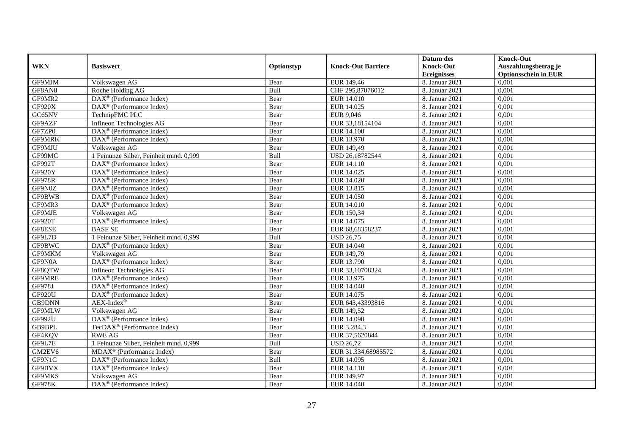|               |                                                           |            |                           | Datum des          | <b>Knock-Out</b>            |
|---------------|-----------------------------------------------------------|------------|---------------------------|--------------------|-----------------------------|
| <b>WKN</b>    | <b>Basiswert</b>                                          | Optionstyp | <b>Knock-Out Barriere</b> | <b>Knock-Out</b>   | Auszahlungsbetrag je        |
|               |                                                           |            |                           | <b>Ereignisses</b> | <b>Optionsschein in EUR</b> |
| GF9MJM        | Volkswagen AG                                             | Bear       | EUR 149,46                | 8. Januar 2021     | 0,001                       |
| GF8AN8        | Roche Holding AG                                          | Bull       | CHF 295,87076012          | 8. Januar 2021     | 0,001                       |
| GF9MR2        | $\text{DAX}^{\textcircled{n}}$ (Performance Index)        | Bear       | EUR 14.010                | 8. Januar 2021     | 0,001                       |
| GF920X        | $\text{DAX}^{\circledast}$ (Performance Index)            | Bear       | EUR 14.025                | 8. Januar 2021     | 0,001                       |
| GC65NV        | TechnipFMC PLC                                            | Bear       | EUR 9,046                 | 8. Januar 2021     | 0,001                       |
| GF9AZF        | Infineon Technologies AG                                  | Bear       | EUR 33,18154104           | 8. Januar 2021     | 0,001                       |
| GF7ZP0        | $\overline{\text{DAX}}^{\textcirc}$ (Performance Index)   | Bear       | <b>EUR 14.100</b>         | 8. Januar 2021     | 0,001                       |
| <b>GF9MRK</b> | $DAX^{\otimes}$ (Performance Index)                       | Bear       | EUR 13.970                | 8. Januar 2021     | 0,001                       |
| GF9MJU        | Volkswagen AG                                             | Bear       | EUR 149,49                | 8. Januar 2021     | 0,001                       |
| GF99MC        | 1 Feinunze Silber, Feinheit mind. 0,999                   | Bull       | USD 26,18782544           | 8. Januar 2021     | 0,001                       |
| GF992T        | $\overline{\text{DAX}}^{\textcirc}$ (Performance Index)   | Bear       | <b>EUR 14.110</b>         | 8. Januar 2021     | 0,001                       |
| GF920Y        | DAX <sup>®</sup> (Performance Index)                      | Bear       | EUR 14.025                | 8. Januar 2021     | 0,001                       |
| <b>GF978R</b> | $\text{DAX}^{\textcircled{n}}$ (Performance Index)        | Bear       | EUR 14.020                | 8. Januar 2021     | 0,001                       |
| GF9N0Z        | DAX <sup>®</sup> (Performance Index)                      | Bear       | EUR 13.815                | 8. Januar 2021     | 0,001                       |
| GF9BWB        | $\text{DAX}^{\otimes}$ (Performance Index)                | Bear       | EUR 14.050                | 8. Januar 2021     | 0,001                       |
| GF9MR3        | $\overline{\text{DAX}^{\otimes}}$ (Performance Index)     | Bear       | <b>EUR 14.010</b>         | 8. Januar 2021     | 0,001                       |
| GF9MJE        | Volkswagen AG                                             | Bear       | EUR 150,34                | 8. Januar 2021     | 0,001                       |
| <b>GF920T</b> | $\text{DAX}^{\textcircled{p}}$ (Performance Index)        | Bear       | EUR 14.075                | 8. Januar 2021     | 0,001                       |
| GF8ESE        | <b>BASF SE</b>                                            | Bear       | EUR 68,68358237           | 8. Januar 2021     | 0,001                       |
| GF9L7D        | 1 Feinunze Silber, Feinheit mind. 0,999                   | Bull       | <b>USD 26,75</b>          | 8. Januar 2021     | 0,001                       |
| GF9BWC        | DAX <sup>®</sup> (Performance Index)                      | Bear       | <b>EUR 14.040</b>         | 8. Januar 2021     | 0,001                       |
| GF9MKM        | Volkswagen AG                                             | Bear       | EUR 149,79                | 8. Januar 2021     | 0,001                       |
| GF9N0A        | DAX <sup>®</sup> (Performance Index)                      | Bear       | EUR 13.790                | 8. Januar 2021     | 0,001                       |
| GF8QTW        | Infineon Technologies AG                                  | Bear       | EUR 33,10708324           | 8. Januar 2021     | 0,001                       |
| GF9MRE        | $\overline{\text{DAX}^{\otimes}}$ (Performance Index)     | Bear       | EUR 13.975                | 8. Januar 2021     | 0,001                       |
| GF978J        | $\text{DAX}^{\otimes}$ (Performance Index)                | Bear       | EUR 14.040                | 8. Januar 2021     | 0,001                       |
| <b>GF920U</b> | $\overline{\text{DAX}^{\circledast}}$ (Performance Index) | Bear       | EUR 14.075                | 8. Januar 2021     | 0,001                       |
| <b>GB9DNN</b> | $AEX-Index^{\circledR}$                                   | Bear       | EUR 643,43393816          | 8. Januar 2021     | 0,001                       |
| GF9MLW        | Volkswagen AG                                             | Bear       | EUR 149,52                | 8. Januar 2021     | 0,001                       |
| GF992U        | $\text{DAX}^{\textcircled{}}$ (Performance Index)         | Bear       | EUR 14.090                | 8. Januar 2021     | 0,001                       |
| GB9BPL        | TecDAX <sup>®</sup> (Performance Index)                   | Bear       | EUR 3.284,3               | 8. Januar 2021     | 0,001                       |
| GF4KQV        | <b>RWE AG</b>                                             | Bear       | EUR 37,5620844            | 8. Januar 2021     | 0,001                       |
| GF9L7E        | 1 Feinunze Silber, Feinheit mind. 0,999                   | Bull       | <b>USD 26,72</b>          | 8. Januar 2021     | 0,001                       |
| GM2EV6        | MDAX <sup>®</sup> (Performance Index)                     | Bear       | EUR 31.334,68985572       | 8. Januar 2021     | 0,001                       |
| GF9N1C        | $\text{DAX}^{\textcircled{n}}$ (Performance Index)        | Bull       | EUR 14.095                | 8. Januar 2021     | 0,001                       |
| GF9BVX        | DAX <sup>®</sup> (Performance Index)                      | Bear       | EUR 14.110                | 8. Januar 2021     | 0,001                       |
| GF9MKS        | Volkswagen AG                                             | Bear       | EUR 149,97                | 8. Januar 2021     | 0,001                       |
| <b>GF978K</b> | $\overline{\text{DAX}^{\otimes}}$ (Performance Index)     | Bear       | EUR 14.040                | 8. Januar 2021     | 0,001                       |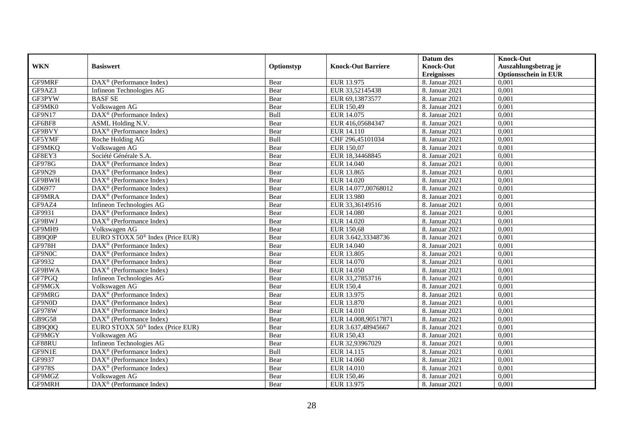|               |                                                              |            |                           | Datum des          | <b>Knock-Out</b>            |
|---------------|--------------------------------------------------------------|------------|---------------------------|--------------------|-----------------------------|
| <b>WKN</b>    | <b>Basiswert</b>                                             | Optionstyp | <b>Knock-Out Barriere</b> | <b>Knock-Out</b>   | Auszahlungsbetrag je        |
|               |                                                              |            |                           | <b>Ereignisses</b> | <b>Optionsschein in EUR</b> |
| GF9MRF        | $\overline{\text{DAX}^{\otimes}}$ (Performance Index)        | Bear       | EUR 13.975                | 8. Januar 2021     | 0,001                       |
| GF9AZ3        | Infineon Technologies AG                                     | Bear       | EUR 33,52145438           | 8. Januar 2021     | 0,001                       |
| GF3PYW        | <b>BASF SE</b>                                               | Bear       | EUR 69,13873577           | 8. Januar 2021     | 0,001                       |
| GF9MK0        | Volkswagen AG                                                | Bear       | EUR 150,49                | 8. Januar 2021     | 0,001                       |
| GF9N17        | DAX <sup>®</sup> (Performance Index)                         | Bull       | EUR 14.075                | 8. Januar 2021     | 0,001                       |
| GF6BF8        | ASML Holding N.V.                                            | Bear       | EUR 416,05684347          | 8. Januar 2021     | 0,001                       |
| GF9BVY        | $\overline{\text{DAX}}^{\textcircled{}}$ (Performance Index) | Bear       | EUR 14.110                | 8. Januar 2021     | 0,001                       |
| GF5YMF        | Roche Holding AG                                             | Bull       | CHF 296,45101034          | 8. Januar 2021     | 0,001                       |
| GF9MKQ        | Volkswagen AG                                                | Bear       | EUR 150,07                | 8. Januar 2021     | 0,001                       |
| GF8EY3        | Société Générale S.A.                                        | Bear       | EUR 18,34468845           | 8. Januar 2021     | 0,001                       |
| <b>GF978G</b> | $\overline{\text{DAX}}^{\textcirc}$ (Performance Index)      | Bear       | <b>EUR 14.040</b>         | 8. Januar 2021     | 0,001                       |
| GF9N29        | $\overline{\text{DAX}^{\otimes}}$ (Performance Index)        | Bear       | EUR 13.865                | 8. Januar 2021     | 0,001                       |
| GF9BWH        | DAX <sup>®</sup> (Performance Index)                         | Bear       | EUR 14.020                | 8. Januar 2021     | 0,001                       |
| GD6977        | DAX <sup>®</sup> (Performance Index)                         | Bear       | EUR 14.077,00768012       | 8. Januar 2021     | 0,001                       |
| GF9MRA        | $\text{DAX}^{\otimes}$ (Performance Index)                   | Bear       | EUR 13.980                | 8. Januar 2021     | 0,001                       |
| GF9AZ4        | Infineon Technologies AG                                     | Bear       | EUR 33,36149516           | 8. Januar 2021     | 0,001                       |
| GF9931        | DAX <sup>®</sup> (Performance Index)                         | Bear       | EUR 14.080                | 8. Januar 2021     | 0,001                       |
| GF9BWJ        | $DAX^{\circledR}$ (Performance Index)                        | Bear       | EUR 14.020                | 8. Januar 2021     | 0,001                       |
| GF9MH9        | Volkswagen AG                                                | Bear       | EUR 150,68                | 8. Januar 2021     | 0,001                       |
| GB9Q0P        | EURO STOXX 50 <sup>®</sup> Index (Price EUR)                 | Bear       | EUR 3.642,33348736        | 8. Januar 2021     | 0,001                       |
| <b>GF978H</b> | DAX <sup>®</sup> (Performance Index)                         | Bear       | EUR 14.040                | 8. Januar 2021     | 0,001                       |
| GF9N0C        | DAX <sup>®</sup> (Performance Index)                         | Bear       | <b>EUR 13.805</b>         | 8. Januar 2021     | 0,001                       |
| GF9932        | $\overline{\text{DAX}^{\otimes}}$ (Performance Index)        | Bear       | EUR 14.070                | 8. Januar 2021     | 0,001                       |
| GF9BWA        | DAX <sup>®</sup> (Performance Index)                         | Bear       | <b>EUR 14.050</b>         | 8. Januar 2021     | 0,001                       |
| GF7PGQ        | Infineon Technologies AG                                     | Bear       | EUR 33,27853716           | 8. Januar 2021     | 0,001                       |
| GF9MGX        | Volkswagen AG                                                | Bear       | <b>EUR 150,4</b>          | 8. Januar 2021     | 0,001                       |
| GF9MRG        | DAX <sup>®</sup> (Performance Index)                         | Bear       | EUR 13.975                | 8. Januar 2021     | 0,001                       |
| GF9N0D        | $\text{DAX}^{\textcircled{p}}$ (Performance Index)           | Bear       | EUR 13.870                | 8. Januar 2021     | 0,001                       |
| <b>GF978W</b> | $\text{DAX}^{\textcircled{p}}$ (Performance Index)           | Bear       | EUR 14.010                | 8. Januar 2021     | 0,001                       |
| GB9G58        | $\overline{\text{DAX}^{\otimes}}$ (Performance Index)        | Bear       | EUR 14.008,90517871       | 8. Januar 2021     | 0,001                       |
| GB9Q0Q        | EURO STOXX 50 <sup>®</sup> Index (Price EUR)                 | Bear       | EUR 3.637,48945667        | 8. Januar 2021     | 0,001                       |
| GF9MGY        | Volkswagen AG                                                | Bear       | EUR 150,43                | 8. Januar 2021     | 0,001                       |
| GF88RU        | Infineon Technologies AG                                     | Bear       | EUR 32,93967029           | 8. Januar 2021     | 0,001                       |
| GF9N1E        | $\overline{\text{DAX}^{\otimes}}$ (Performance Index)        | Bull       | EUR 14.115                | 8. Januar 2021     | 0,001                       |
| GF9937        | $\text{DAX}^{\textcircled{n}}$ (Performance Index)           | Bear       | EUR 14.060                | 8. Januar 2021     | 0,001                       |
| <b>GF978S</b> | DAX <sup>®</sup> (Performance Index)                         | Bear       | EUR 14.010                | 8. Januar 2021     | 0,001                       |
| GF9MGZ        | Volkswagen AG                                                | Bear       | EUR 150,46                | 8. Januar 2021     | 0,001                       |
| GF9MRH        | $\overline{\text{DAX}^{\otimes}}$ (Performance Index)        | Bear       | EUR 13.975                | 8. Januar 2021     | 0,001                       |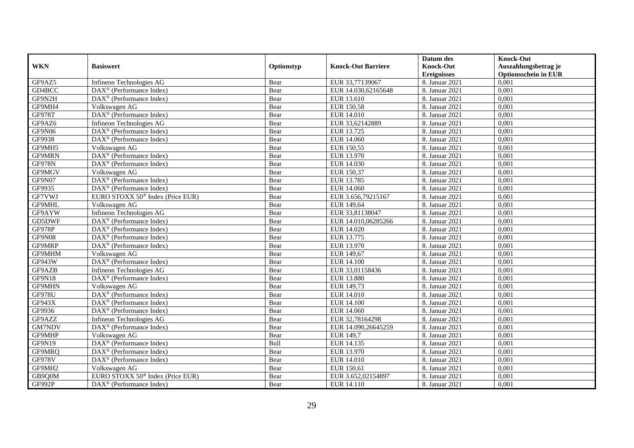|               |                                                         |            |                           | Datum des          | <b>Knock-Out</b>            |
|---------------|---------------------------------------------------------|------------|---------------------------|--------------------|-----------------------------|
| <b>WKN</b>    | <b>Basiswert</b>                                        | Optionstyp | <b>Knock-Out Barriere</b> | <b>Knock-Out</b>   | Auszahlungsbetrag je        |
|               |                                                         |            |                           | <b>Ereignisses</b> | <b>Optionsschein in EUR</b> |
| GF9AZ5        | Infineon Technologies AG                                | Bear       | EUR 33,77139067           | 8. Januar 2021     | 0,001                       |
| GD4BCC        | $\text{DAX}^{\textcircled{D}}$ (Performance Index)      | Bear       | EUR 14.030,62165648       | 8. Januar 2021     | 0,001                       |
| GF9N2H        | DAX <sup>®</sup> (Performance Index)                    | Bear       | EUR 13.610                | 8. Januar 2021     | 0,001                       |
| GF9MH4        | Volkswagen AG                                           | Bear       | <b>EUR 150,58</b>         | 8. Januar 2021     | 0,001                       |
| <b>GF978T</b> | DAX <sup>®</sup> (Performance Index)                    | Bear       | <b>EUR 14.010</b>         | 8. Januar 2021     | 0,001                       |
| GF9AZ6        | Infineon Technologies AG                                | Bear       | EUR 33,62142889           | 8. Januar 2021     | 0,001                       |
| GF9N06        | $\overline{\text{DAX}^{\otimes}}$ (Performance Index)   | Bear       | EUR 13.725                | 8. Januar 2021     | 0,001                       |
| GF9938        | $DAX^{\otimes}$ (Performance Index)                     | Bear       | EUR 14.060                | 8. Januar 2021     | 0,001                       |
| GF9MH5        | Volkswagen AG                                           | Bear       | EUR 150,55                | 8. Januar 2021     | 0,001                       |
| <b>GF9MRN</b> | DAX <sup>®</sup> (Performance Index)                    | Bear       | EUR 13.970                | 8. Januar 2021     | 0,001                       |
| <b>GF978N</b> | DAX <sup>®</sup> (Performance Index)                    | Bear       | <b>EUR 14.030</b>         | 8. Januar 2021     | 0,001                       |
| GF9MGV        | Volkswagen AG                                           | Bear       | EUR 150,37                | 8. Januar 2021     | 0,001                       |
| GF9N07        | DAX <sup>®</sup> (Performance Index)                    | Bear       | EUR 13.785                | 8. Januar 2021     | 0,001                       |
| GF9935        | DAX <sup>®</sup> (Performance Index)                    | Bear       | EUR 14.060                | 8. Januar 2021     | 0,001                       |
| GF7VWJ        | EURO STOXX 50 <sup>®</sup> Index (Price EUR)            | Bear       | EUR 3.656,79215167        | 8. Januar 2021     | 0,001                       |
| GF9MHL        | Volkswagen AG                                           | Bear       | EUR 149,64                | 8. Januar 2021     | 0,001                       |
| GF9AYW        | Infineon Technologies AG                                | Bear       | EUR 33,81138047           | 8. Januar 2021     | 0,001                       |
| GD5DWF        | $\text{DAX}^{\textcircled{D}}$ (Performance Index)      | Bear       | EUR 14.010.06285266       | 8. Januar 2021     | 0,001                       |
| GF978P        | $\overline{\text{DAX}}^{\textcirc}$ (Performance Index) | Bear       | EUR 14.020                | 8. Januar 2021     | 0,001                       |
| GF9N08        | $\text{DAX}^{\textcircled{}}$ (Performance Index)       | Bear       | EUR 13.775                | 8. Januar 2021     | 0,001                       |
| GF9MRP        | DAX <sup>®</sup> (Performance Index)                    | Bear       | EUR 13.970                | 8. Januar 2021     | 0,001                       |
| GF9MHM        | Volkswagen AG                                           | Bear       | EUR 149,67                | 8. Januar 2021     | 0,001                       |
| GF943W        | DAX <sup>®</sup> (Performance Index)                    | Bear       | <b>EUR 14.100</b>         | 8. Januar 2021     | 0,001                       |
| GF9AZB        | Infineon Technologies AG                                | Bear       | EUR 33,01158436           | 8. Januar 2021     | 0,001                       |
| GF9N18        | $\text{DAX}^{\textcircled{D}}$ (Performance Index)      | Bear       | <b>EUR 13.880</b>         | 8. Januar 2021     | 0,001                       |
| GF9MHN        | Volkswagen AG                                           | Bear       | EUR 149,73                | 8. Januar 2021     | 0,001                       |
| <b>GF978U</b> | DAX <sup>®</sup> (Performance Index)                    | Bear       | <b>EUR 14.010</b>         | 8. Januar 2021     | 0,001                       |
| <b>GF943X</b> | $\text{DAX}^{\textcircled{D}}$ (Performance Index)      | Bear       | <b>EUR 14.100</b>         | 8. Januar 2021     | 0,001                       |
| GF9936        | $\text{DAX}^{\textcircled{D}}$ (Performance Index)      | Bear       | EUR 14.060                | 8. Januar 2021     | 0,001                       |
| GF9AZZ        | Infineon Technologies AG                                | Bear       | EUR 32,78164298           | 8. Januar 2021     | 0,001                       |
| <b>GM7NDV</b> | DAX <sup>®</sup> (Performance Index)                    | Bear       | EUR 14.090,26645259       | 8. Januar 2021     | 0,001                       |
| GF9MHP        | Volkswagen AG                                           | Bear       | EUR 149,7                 | 8. Januar 2021     | 0,001                       |
| GF9N19        | DAX <sup>®</sup> (Performance Index)                    | Bull       | EUR 14.135                | 8. Januar 2021     | 0,001                       |
| GF9MRQ        | DAX <sup>®</sup> (Performance Index)                    | Bear       | EUR 13.970                | 8. Januar 2021     | 0,001                       |
| <b>GF978V</b> | $\text{DAX}^{\textcircled{n}}$ (Performance Index)      | Bear       | EUR 14.010                | 8. Januar 2021     | 0,001                       |
| GF9MH2        | Volkswagen AG                                           | Bear       | EUR 150,61                | 8. Januar 2021     | 0,001                       |
| GB9Q0M        | EURO STOXX 50 <sup>®</sup> Index (Price EUR)            | Bear       | EUR 3.652,02154897        | 8. Januar 2021     | 0,001                       |
| GF992P        | $\text{DAX}^{\textcircled{n}}$ (Performance Index)      | Bear       | EUR 14.110                | 8. Januar 2021     | 0,001                       |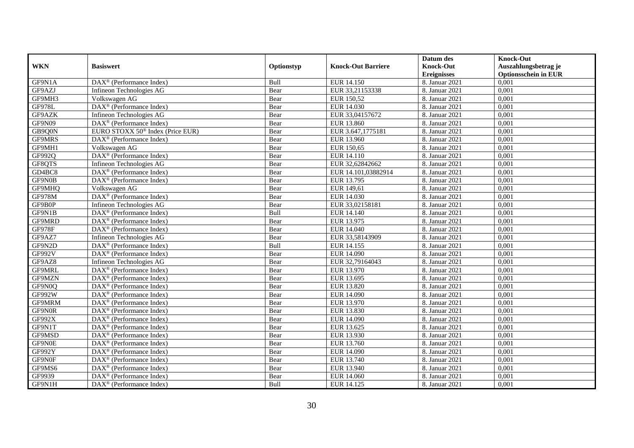|               |                                                         |            |                           | Datum des          | <b>Knock-Out</b>            |
|---------------|---------------------------------------------------------|------------|---------------------------|--------------------|-----------------------------|
| <b>WKN</b>    | <b>Basiswert</b>                                        | Optionstyp | <b>Knock-Out Barriere</b> | <b>Knock-Out</b>   | Auszahlungsbetrag je        |
|               |                                                         |            |                           | <b>Ereignisses</b> | <b>Optionsschein in EUR</b> |
| GF9N1A        | DAX <sup>®</sup> (Performance Index)                    | Bull       | EUR 14.150                | 8. Januar 2021     | 0,001                       |
| GF9AZJ        | Infineon Technologies AG                                | Bear       | EUR 33,21153338           | 8. Januar 2021     | 0,001                       |
| GF9MH3        | Volkswagen AG                                           | Bear       | EUR 150,52                | 8. Januar 2021     | 0,001                       |
| <b>GF978L</b> | DAX <sup>®</sup> (Performance Index)                    | Bear       | EUR 14.030                | 8. Januar 2021     | 0,001                       |
| GF9AZK        | Infineon Technologies AG                                | Bear       | EUR 33,04157672           | 8. Januar 2021     | 0,001                       |
| GF9N09        | DAX <sup>®</sup> (Performance Index)                    | Bear       | EUR 13.860                | 8. Januar 2021     | 0,001                       |
| GB9Q0N        | EURO STOXX $50^{\circ}$ Index (Price EUR)               | Bear       | EUR 3.647,1775181         | 8. Januar 2021     | 0,001                       |
| <b>GF9MRS</b> | DAX <sup>®</sup> (Performance Index)                    | Bear       | EUR 13.960                | 8. Januar 2021     | 0,001                       |
| GF9MH1        | Volkswagen AG                                           | Bear       | EUR 150,65                | 8. Januar 2021     | 0,001                       |
| GF992Q        | DAX <sup>®</sup> (Performance Index)                    | Bear       | EUR 14.110                | 8. Januar 2021     | 0,001                       |
| GF8QTS        | Infineon Technologies AG                                | Bear       | EUR 32,62842662           | 8. Januar 2021     | 0,001                       |
| GD4BC8        | DAX <sup>®</sup> (Performance Index)                    | Bear       | EUR 14.101,03882914       | 8. Januar 2021     | 0,001                       |
| GF9N0B        | $\text{DAX}^{\textcircled{n}}$ (Performance Index)      | Bear       | EUR 13.795                | 8. Januar 2021     | 0,001                       |
| GF9MHQ        | Volkswagen AG                                           | Bear       | EUR 149,61                | 8. Januar 2021     | 0.001                       |
| GF978M        | DAX <sup>®</sup> (Performance Index)                    | Bear       | EUR 14.030                | 8. Januar 2021     | 0,001                       |
| GF9B0P        | Infineon Technologies AG                                | Bear       | EUR 33,02158181           | 8. Januar 2021     | 0,001                       |
| GF9N1B        | DAX <sup>®</sup> (Performance Index)                    | Bull       | EUR 14.140                | 8. Januar 2021     | 0,001                       |
| GF9MRD        | DAX <sup>®</sup> (Performance Index)                    | Bear       | EUR 13.975                | 8. Januar 2021     | 0,001                       |
| <b>GF978F</b> | $\text{DAX}^{\otimes}$ (Performance Index)              | Bear       | EUR 14.040                | 8. Januar 2021     | 0,001                       |
| GF9AZ7        | Infineon Technologies AG                                | Bear       | EUR 33,58143909           | 8. Januar 2021     | 0,001                       |
| GF9N2D        | DAX <sup>®</sup> (Performance Index)                    | Bull       | EUR 14.155                | 8. Januar 2021     | 0,001                       |
| <b>GF992V</b> | $\text{DAX}^{\textcircled{p}}$ (Performance Index)      | Bear       | EUR 14.090                | 8. Januar 2021     | 0,001                       |
| GF9AZ8        | Infineon Technologies AG                                | Bear       | EUR 32,79164043           | 8. Januar 2021     | 0,001                       |
| GF9MRL        | $\text{DAX}^{\textcircled{p}}$ (Performance Index)      | Bear       | EUR 13.970                | 8. Januar 2021     | 0,001                       |
| GF9MZN        | $\text{DAX}^{\textcircled{p}}$ (Performance Index)      | Bear       | EUR 13.695                | 8. Januar 2021     | 0,001                       |
| GF9N0Q        | DAX <sup>®</sup> (Performance Index)                    | Bear       | EUR 13.820                | 8. Januar 2021     | 0,001                       |
| GF992W        | DAX <sup>®</sup> (Performance Index)                    | Bear       | EUR 14.090                | 8. Januar 2021     | 0,001                       |
| GF9MRM        | DAX <sup>®</sup> (Performance Index)                    | Bear       | EUR 13.970                | 8. Januar 2021     | 0,001                       |
| GF9N0R        | $\text{DAX}^{\otimes}$ (Performance Index)              | Bear       | EUR 13.830                | 8. Januar 2021     | 0,001                       |
| GF992X        | DAX <sup>®</sup> (Performance Index)                    | Bear       | EUR 14.090                | 8. Januar 2021     | 0,001                       |
| GF9N1T        | $DAX^{\otimes}$ (Performance Index)                     | Bear       | EUR 13.625                | 8. Januar 2021     | 0,001                       |
| GF9MSD        | DAX <sup>®</sup> (Performance Index)                    | Bear       | EUR 13.930                | 8. Januar 2021     | 0,001                       |
| GF9N0E        | $\text{DAX}^{\textcircled{p}}$ (Performance Index)      | Bear       | EUR 13.760                | 8. Januar 2021     | 0,001                       |
| GF992Y        | $\overline{\text{DAX}}^{\textcirc}$ (Performance Index) | Bear       | <b>EUR 14.090</b>         | 8. Januar 2021     | 0,001                       |
| GF9N0F        | $\text{DAX}^{\textcircled{n}}$ (Performance Index)      | Bear       | EUR 13.740                | 8. Januar 2021     | 0,001                       |
| GF9MS6        | DAX <sup>®</sup> (Performance Index)                    | Bear       | EUR 13.940                | 8. Januar 2021     | 0,001                       |
| GF9939        | $\text{DAX}^{\otimes}$ (Performance Index)              | Bear       | <b>EUR 14.060</b>         | 8. Januar 2021     | 0,001                       |
| GF9N1H        | $\text{DAX}^{\textcircled{n}}$ (Performance Index)      | Bull       | EUR 14.125                | 8. Januar 2021     | 0,001                       |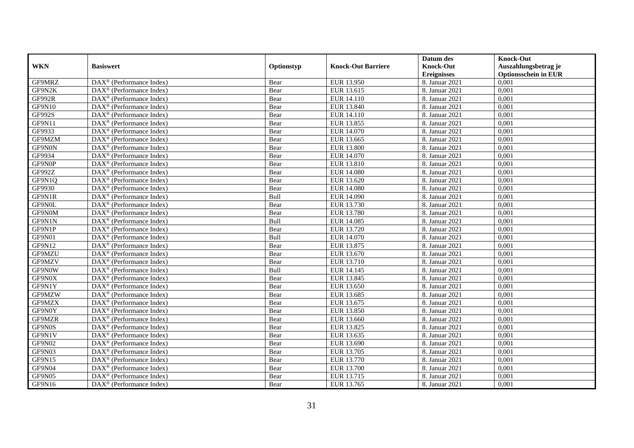|               |                                                              |            |                           | Datum des          | <b>Knock-Out</b>            |
|---------------|--------------------------------------------------------------|------------|---------------------------|--------------------|-----------------------------|
| <b>WKN</b>    | <b>Basiswert</b>                                             | Optionstyp | <b>Knock-Out Barriere</b> | <b>Knock-Out</b>   | Auszahlungsbetrag je        |
|               |                                                              |            |                           | <b>Ereignisses</b> | <b>Optionsschein in EUR</b> |
| GF9MRZ        | DAX <sup>®</sup> (Performance Index)                         | Bear       | EUR 13.950                | 8. Januar 2021     | 0,001                       |
| GF9N2K        | $\text{DAX}^{\circledast}$ (Performance Index)               | Bear       | EUR 13.615                | 8. Januar 2021     | 0,001                       |
| <b>GF992R</b> | $DAX^{\circledR}$ (Performance Index)                        | Bear       | EUR 14.110                | 8. Januar 2021     | 0,001                       |
| GF9N10        | DAX <sup>®</sup> (Performance Index)                         | Bear       | EUR 13.840                | 8. Januar 2021     | 0,001                       |
| GF992S        | DAX <sup>®</sup> (Performance Index)                         | Bear       | EUR 14.110                | 8. Januar 2021     | 0,001                       |
| GF9N11        | $\text{DAX}^{\textcircled{p}}$ (Performance Index)           | Bear       | EUR 13.855                | 8. Januar 2021     | 0,001                       |
| GF9933        | $\overline{\text{DAX}}^{\textcirc}$ (Performance Index)      | Bear       | EUR 14.070                | 8. Januar 2021     | 0,001                       |
| GF9MZM        | $\overline{\text{DAX}}^{\textcirc}$ (Performance Index)      | Bear       | EUR 13.665                | 8. Januar 2021     | 0,001                       |
| GF9N0N        | $\text{DAX}^{\circledast}$ (Performance Index)               | Bear       | <b>EUR 13.800</b>         | 8. Januar 2021     | 0,001                       |
| GF9934        | DAX <sup>®</sup> (Performance Index)                         | Bear       | EUR 14.070                | 8. Januar 2021     | 0,001                       |
| GF9N0P        | $\overline{\text{DAX}^{\otimes}}$ (Performance Index)        | Bear       | EUR 13.810                | 8. Januar 2021     | 0,001                       |
| GF992Z        | DAX <sup>®</sup> (Performance Index)                         | Bear       | <b>EUR 14.080</b>         | 8. Januar 2021     | 0,001                       |
| GF9N1Q        | $\text{DAX}^{\textcircled{n}}$ (Performance Index)           | Bear       | EUR 13.620                | 8. Januar 2021     | 0,001                       |
| GF9930        | $DAX^{\circledR}$ (Performance Index)                        | Bear       | <b>EUR 14.080</b>         | 8. Januar 2021     | 0.001                       |
| GF9N1R        | $\overline{\text{DAX}^{\otimes}}$ (Performance Index)        | Bull       | EUR 14.090                | 8. Januar 2021     | 0,001                       |
| GF9N0L        | DAX <sup>®</sup> (Performance Index)                         | Bear       | EUR 13.730                | 8. Januar 2021     | 0,001                       |
| GF9N0M        | DAX <sup>®</sup> (Performance Index)                         | Bear       | EUR 13.780                | 8. Januar 2021     | 0,001                       |
| GF9N1N        | DAX <sup>®</sup> (Performance Index)                         | Bull       | EUR 14.085                | 8. Januar 2021     | 0,001                       |
| GF9N1P        | DAX <sup>®</sup> (Performance Index)                         | Bear       | EUR 13.720                | 8. Januar 2021     | 0,001                       |
| GF9N01        | $\text{DAX}^{\circledast}$ (Performance Index)               | Bull       | EUR 14.070                | 8. Januar 2021     | 0,001                       |
| GF9N12        | DAX <sup>®</sup> (Performance Index)                         | Bear       | EUR 13.875                | 8. Januar 2021     | 0,001                       |
| GF9MZU        | $DAX^{\circledR}$ (Performance Index)                        | Bear       | EUR 13.670                | 8. Januar 2021     | 0,001                       |
| GF9MZV        | $\overline{\text{DAX}}^{\textcirc}$ (Performance Index)      | Bear       | EUR 13.710                | 8. Januar 2021     | 0,001                       |
| GF9N0W        | $\text{DAX}^{\textcircled{p}}$ (Performance Index)           | Bull       | EUR 14.145                | 8. Januar 2021     | 0,001                       |
| GF9N0X        | $DAX^{\circledR}$ (Performance Index)                        | Bear       | EUR 13.845                | 8. Januar 2021     | 0,001                       |
| GF9N1Y        | $\text{DAX}^{\circledast}$ (Performance Index)               | Bear       | EUR 13.650                | 8. Januar 2021     | 0,001                       |
| GF9MZW        | DAX <sup>®</sup> (Performance Index)                         | Bear       | EUR 13.685                | 8. Januar 2021     | 0,001                       |
| GF9MZX        | DAX <sup>®</sup> (Performance Index)                         | Bear       | EUR 13.675                | 8. Januar 2021     | 0,001                       |
| GF9N0Y        | $\text{DAX}^{\otimes}$ (Performance Index)                   | Bear       | EUR 13.850                | 8. Januar 2021     | 0,001                       |
| GF9MZR        | $\text{DAX}^{\textcircled{n}}$ (Performance Index)           | Bear       | EUR 13.660                | 8. Januar 2021     | 0,001                       |
| GF9N0S        | DAX <sup>®</sup> (Performance Index)                         | Bear       | EUR 13.825                | 8. Januar 2021     | 0,001                       |
| GF9N1V        | DAX <sup>®</sup> (Performance Index)                         | Bear       | EUR 13.635                | 8. Januar 2021     | 0,001                       |
| GF9N02        | $\overline{\text{DAX}}^{\textcirc}$ (Performance Index)      | Bear       | EUR 13.690                | 8. Januar 2021     | 0,001                       |
| GF9N03        | $\overline{\text{DAX}}^{\textcirc}$ (Performance Index)      | Bear       | EUR 13.705                | 8. Januar 2021     | 0,001                       |
| GF9N15        | $\text{DAX}^{\textcircled{n}}$ (Performance Index)           | Bear       | EUR 13.770                | 8. Januar 2021     | 0,001                       |
| GF9N04        | $\text{DAX}^{\circledast}$ (Performance Index)               | Bear       | EUR 13.700                | 8. Januar 2021     | 0,001                       |
| GF9N05        | $\text{DAX}^{\otimes}$ (Performance Index)                   | Bear       | EUR 13.715                | 8. Januar 2021     | 0,001                       |
| GF9N16        | $\overline{\text{DAX}}^{\textcircled{}}$ (Performance Index) | Bear       | EUR 13.765                | 8. Januar 2021     | 0,001                       |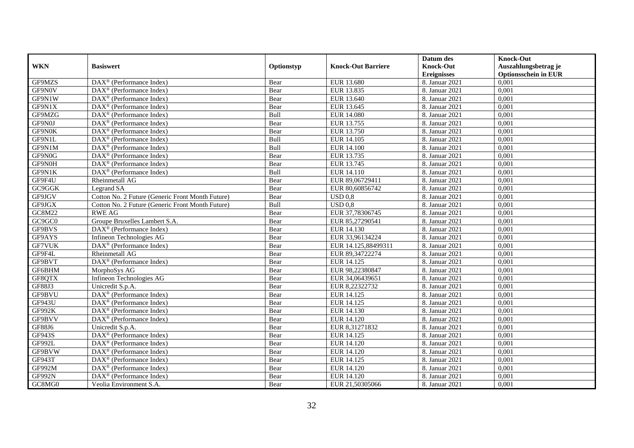|               |                                                              |            |                           | Datum des          | <b>Knock-Out</b>            |
|---------------|--------------------------------------------------------------|------------|---------------------------|--------------------|-----------------------------|
| <b>WKN</b>    | <b>Basiswert</b>                                             | Optionstyp | <b>Knock-Out Barriere</b> | <b>Knock-Out</b>   | Auszahlungsbetrag je        |
|               |                                                              |            |                           | <b>Ereignisses</b> | <b>Optionsschein in EUR</b> |
| GF9MZS        | DAX <sup>®</sup> (Performance Index)                         | Bear       | EUR 13.680                | 8. Januar 2021     | 0,001                       |
| GF9N0V        | $DAX^{\circledR}$ (Performance Index)                        | Bear       | EUR 13.835                | 8. Januar 2021     | 0,001                       |
| GF9N1W        | $DAX^{\circledR}$ (Performance Index)                        | Bear       | EUR 13.640                | 8. Januar 2021     | 0,001                       |
| GF9N1X        | DAX <sup>®</sup> (Performance Index)                         | Bear       | EUR 13.645                | 8. Januar 2021     | 0,001                       |
| GF9MZG        | DAX <sup>®</sup> (Performance Index)                         | Bull       | <b>EUR 14.080</b>         | 8. Januar 2021     | 0,001                       |
| GF9N0J        | DAX <sup>®</sup> (Performance Index)                         | Bear       | EUR 13.755                | 8. Januar 2021     | 0,001                       |
| GF9N0K        | $DAX^{\otimes}$ (Performance Index)                          | Bear       | EUR 13.750                | 8. Januar 2021     | 0,001                       |
| GF9N1L        | $\overline{\text{DAX}}^{\textcirc}$ (Performance Index)      | Bull       | <b>EUR 14.105</b>         | 8. Januar 2021     | 0,001                       |
| GF9N1M        | DAX <sup>®</sup> (Performance Index)                         | Bull       | <b>EUR 14.100</b>         | 8. Januar 2021     | 0,001                       |
| GF9N0G        | $\text{DAX}^{\textcircled{}}$ (Performance Index)            | Bear       | EUR 13.735                | 8. Januar 2021     | 0,001                       |
| GF9N0H        | $\overline{\text{DAX}^{\otimes}}$ (Performance Index)        | Bear       | EUR 13.745                | 8. Januar 2021     | 0,001                       |
| GF9N1K        | $\overline{\text{DAX}^{\otimes}(\text{Performance Index})}$  | Bull       | EUR 14.110                | 8. Januar 2021     | 0,001                       |
| GF9F4U        | Rheinmetall AG                                               | Bear       | EUR 89,06729411           | 8. Januar 2021     | 0,001                       |
| GC9GGK        | Legrand SA                                                   | Bear       | EUR 80.60856742           | 8. Januar 2021     | 0.001                       |
| GF9JGV        | Cotton No. 2 Future (Generic Front Month Future)             | Bear       | $USD$ 0.8                 | 8. Januar 2021     | 0,001                       |
| GF9JGX        | Cotton No. 2 Future (Generic Front Month Future)             | Bull       | $USD$ 0.8                 | 8. Januar 2021     | 0,001                       |
| GC8M22        | <b>RWE AG</b>                                                | Bear       | EUR 37,78306745           | 8. Januar 2021     | 0,001                       |
| GC9GC0        | Groupe Bruxelles Lambert S.A.                                | Bear       | EUR 85,27290541           | 8. Januar 2021     | 0,001                       |
| GF9BVS        | DAX <sup>®</sup> (Performance Index)                         | Bear       | EUR 14.130                | 8. Januar 2021     | 0,001                       |
| GF9AYS        | Infineon Technologies AG                                     | Bear       | EUR 33,96134224           | 8. Januar 2021     | 0,001                       |
| GF7VUK        | $\overline{\text{DAX}^{\circledast}}$ (Performance Index)    | Bear       | EUR 14.125,88499311       | 8. Januar 2021     | 0,001                       |
| GF9F4L        | Rheinmetall AG                                               | Bear       | EUR 89,34722274           | 8. Januar 2021     | 0,001                       |
| GF9BVT        | $\overline{\text{DAX}^{\otimes}}$ (Performance Index)        | Bear       | EUR 14.125                | 8. Januar 2021     | 0,001                       |
| GF6BHM        | MorphoSys AG                                                 | Bear       | EUR 98,22380847           | 8. Januar 2021     | 0,001                       |
| GF8QTX        | Infineon Technologies AG                                     | Bear       | EUR 34,06439651           | 8. Januar 2021     | 0,001                       |
| GF88J3        | Unicredit S.p.A.                                             | Bear       | EUR 8,22322732            | 8. Januar 2021     | 0,001                       |
| GF9BVU        | DAX <sup>®</sup> (Performance Index)                         | Bear       | EUR 14.125                | 8. Januar 2021     | 0,001                       |
| GF943U        | DAX <sup>®</sup> (Performance Index)                         | Bear       | EUR 14.125                | 8. Januar 2021     | 0,001                       |
| <b>GF992K</b> | $\text{DAX}^{\otimes}$ (Performance Index)                   | Bear       | EUR 14.130                | 8. Januar 2021     | 0,001                       |
| GF9BVV        | $\overline{\text{DAX}}^{\textcircled{}}$ (Performance Index) | Bear       | EUR 14.120                | 8. Januar 2021     | 0,001                       |
| GF88J6        | Unicredit S.p.A.                                             | Bear       | EUR 8,31271832            | 8. Januar 2021     | 0,001                       |
| GF943S        | DAX <sup>®</sup> (Performance Index)                         | Bear       | EUR 14.125                | 8. Januar 2021     | 0,001                       |
| GF992L        | $\text{DAX}^{\textcircled{p}}$ (Performance Index)           | Bear       | EUR 14.120                | 8. Januar 2021     | 0,001                       |
| GF9BVW        | $\overline{\text{DAX}}^{\textcirc}$ (Performance Index)      | Bear       | <b>EUR 14.120</b>         | 8. Januar 2021     | 0,001                       |
| GF943T        | $\text{DAX}^{\textcircled{n}}$ (Performance Index)           | Bear       | EUR 14.125                | 8. Januar 2021     | 0,001                       |
| GF992M        | DAX <sup>®</sup> (Performance Index)                         | Bear       | EUR 14.120                | 8. Januar 2021     | 0,001                       |
| <b>GF992N</b> | $\text{DAX}^{\otimes}$ (Performance Index)                   | Bear       | EUR 14.120                | 8. Januar 2021     | 0,001                       |
| GC8MG0        | Veolia Environment S.A.                                      | Bear       | EUR 21,50305066           | 8. Januar 2021     | 0,001                       |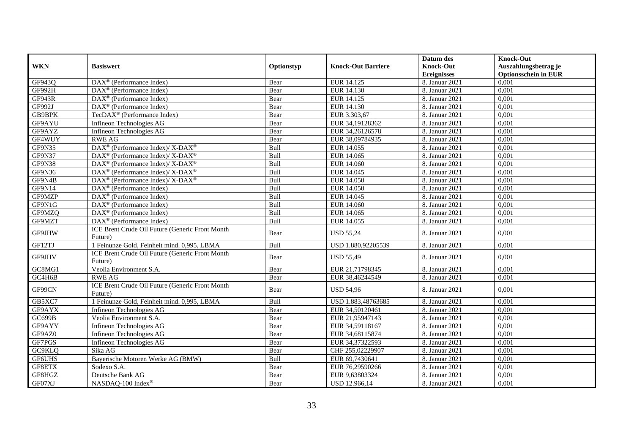| <b>WKN</b>    | <b>Basiswert</b>                                                  | Optionstyp | <b>Knock-Out Barriere</b> | Datum des<br><b>Knock-Out</b><br><b>Ereignisses</b> | <b>Knock-Out</b><br>Auszahlungsbetrag je<br><b>Optionsschein in EUR</b> |
|---------------|-------------------------------------------------------------------|------------|---------------------------|-----------------------------------------------------|-------------------------------------------------------------------------|
| GF943Q        | DAX <sup>®</sup> (Performance Index)                              | Bear       | EUR 14.125                | 8. Januar 2021                                      | 0,001                                                                   |
| <b>GF992H</b> | DAX <sup>®</sup> (Performance Index)                              | Bear       | EUR 14.130                | 8. Januar 2021                                      | 0,001                                                                   |
| GF943R        | $DAX^{\circledR}$ (Performance Index)                             | Bear       | EUR 14.125                | 8. Januar 2021                                      | 0,001                                                                   |
| GF992J        | DAX <sup>®</sup> (Performance Index)                              | Bear       | EUR 14.130                | 8. Januar 2021                                      | 0,001                                                                   |
| GB9BPK        | TecDAX <sup>®</sup> (Performance Index)                           | Bear       | EUR 3.303,67              | 8. Januar 2021                                      | 0,001                                                                   |
| GF9AYU        | Infineon Technologies AG                                          | Bear       | EUR 34,19128362           | 8. Januar 2021                                      | 0,001                                                                   |
| GF9AYZ        | Infineon Technologies AG                                          | Bear       | EUR 34,26126578           | 8. Januar 2021                                      | 0,001                                                                   |
| GF4WUY        | <b>RWE AG</b>                                                     | Bear       | EUR 38,09784935           | 8. Januar 2021                                      | 0,001                                                                   |
| GF9N35        | DAX <sup>®</sup> (Performance Index)/ X-DAX <sup>®</sup>          | Bull       | EUR 14.055                | 8. Januar 2021                                      | 0,001                                                                   |
| GF9N37        | DAX <sup>®</sup> (Performance Index)/ X-DAX <sup>®</sup>          | Bull       | EUR 14.065                | 8. Januar 2021                                      | 0,001                                                                   |
| GF9N38        | $DAX^{\circledast}$ (Performance Index)/ X-DAX <sup>®</sup>       | Bull       | <b>EUR 14.060</b>         | 8. Januar 2021                                      | 0,001                                                                   |
| GF9N36        | DAX <sup>®</sup> (Performance Index)/X-DAX <sup>®</sup>           | Bull       | EUR 14.045                | 8. Januar 2021                                      | 0,001                                                                   |
| GF9N4B        | $\text{DAX}^{\circledast}$ (Performance Index)/X-DAX <sup>®</sup> | Bull       | EUR 14.050                | 8. Januar 2021                                      | 0.001                                                                   |
| GF9N14        | $DAX^{\circledR}$ (Performance Index)                             | Bull       | <b>EUR 14.050</b>         | 8. Januar 2021                                      | 0,001                                                                   |
| GF9MZP        | $\overline{\text{DAX}^{\otimes}}$ (Performance Index)             | Bull       | EUR 14.045                | 8. Januar 2021                                      | 0,001                                                                   |
| GF9N1G        | DAX <sup>®</sup> (Performance Index)                              | Bull       | EUR 14.060                | 8. Januar 2021                                      | 0,001                                                                   |
| GF9MZQ        | DAX <sup>®</sup> (Performance Index)                              | Bull       | EUR 14.065                | 8. Januar 2021                                      | 0,001                                                                   |
| GF9MZT        | $DAX^{\circledR}$ (Performance Index)                             | Bull       | EUR 14.055                | 8. Januar 2021                                      | 0.001                                                                   |
| GF9JHW        | ICE Brent Crude Oil Future (Generic Front Month<br>Future)        | Bear       | <b>USD 55,24</b>          | 8. Januar 2021                                      | 0,001                                                                   |
| GF12TJ        | 1 Feinunze Gold, Feinheit mind. 0,995, LBMA                       | Bull       | USD 1.880,92205539        | 8. Januar 2021                                      | 0,001                                                                   |
| GF9JHV        | ICE Brent Crude Oil Future (Generic Front Month<br>Future)        | Bear       | <b>USD 55,49</b>          | 8. Januar 2021                                      | 0,001                                                                   |
| GC8MG1        | Veolia Environment S.A.                                           | Bear       | EUR 21,71798345           | 8. Januar 2021                                      | 0,001                                                                   |
| GC4H6B        | <b>RWE AG</b>                                                     | Bear       | EUR 38,46244549           | 8. Januar 2021                                      | 0,001                                                                   |
| GF99CN        | ICE Brent Crude Oil Future (Generic Front Month<br>Future)        | Bear       | <b>USD 54,96</b>          | 8. Januar 2021                                      | 0,001                                                                   |
| GB5XC7        | 1 Feinunze Gold, Feinheit mind. 0,995, LBMA                       | Bull       | USD 1.883,48763685        | 8. Januar 2021                                      | 0,001                                                                   |
| GF9AYX        | Infineon Technologies AG                                          | Bear       | EUR 34,50120461           | 8. Januar 2021                                      | 0,001                                                                   |
| GC699B        | Veolia Environment S.A.                                           | Bear       | EUR 21,95947143           | 8. Januar 2021                                      | 0,001                                                                   |
| GF9AYY        | Infineon Technologies AG                                          | Bear       | EUR 34,59118167           | 8. Januar 2021                                      | 0,001                                                                   |
| GF9AZ0        | Infineon Technologies AG                                          | Bear       | EUR 34,68115874           | 8. Januar 2021                                      | 0,001                                                                   |
| GF7PGS        | Infineon Technologies AG                                          | Bear       | EUR 34,37322593           | 8. Januar 2021                                      | 0,001                                                                   |
| GC9KLQ        | Sika AG                                                           | Bear       | CHF 255,02229907          | 8. Januar 2021                                      | 0,001                                                                   |
| GF6UHS        | Bayerische Motoren Werke AG (BMW)                                 | Bull       | EUR 69,7430641            | 8. Januar 2021                                      | 0,001                                                                   |
| GF8ETX        | Sodexo S.A.                                                       | Bear       | EUR 76,29590266           | 8. Januar 2021                                      | 0,001                                                                   |
| GF8HGZ        | Deutsche Bank AG                                                  | Bear       | EUR 9,63803324            | 8. Januar 2021                                      | 0,001                                                                   |
| GF07XJ        | NASDAQ-100 Index®                                                 | Bear       | USD 12.966,14             | 8. Januar 2021                                      | 0,001                                                                   |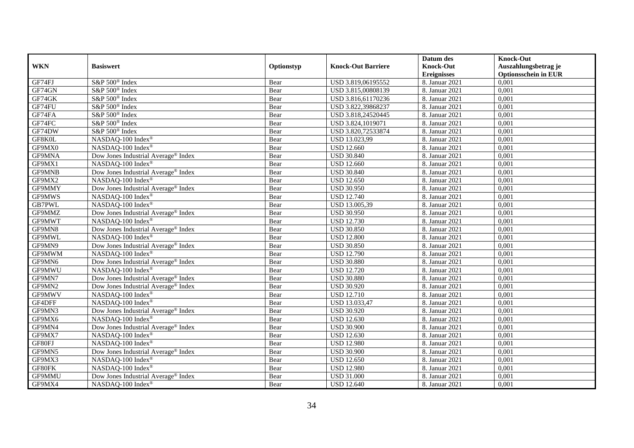|            |                                                 |            |                           | Datum des          | <b>Knock-Out</b>            |
|------------|-------------------------------------------------|------------|---------------------------|--------------------|-----------------------------|
| <b>WKN</b> | <b>Basiswert</b>                                | Optionstyp | <b>Knock-Out Barriere</b> | <b>Knock-Out</b>   | Auszahlungsbetrag je        |
|            |                                                 |            |                           | <b>Ereignisses</b> | <b>Optionsschein in EUR</b> |
| GF74FJ     | S&P 500 <sup>®</sup> Index                      | Bear       | USD 3.819,06195552        | 8. Januar 2021     | 0,001                       |
| GF74GN     | S&P 500 <sup>®</sup> Index                      | Bear       | USD 3.815,00808139        | 8. Januar 2021     | 0,001                       |
| GF74GK     | S&P 500 <sup>®</sup> Index                      | Bear       | USD 3.816,61170236        | 8. Januar 2021     | 0,001                       |
| GF74FU     | S&P 500 <sup>®</sup> Index                      | Bear       | USD 3.822,39868237        | 8. Januar 2021     | 0,001                       |
| GF74FA     | S&P 500 <sup>®</sup> Index                      | Bear       | USD 3.818,24520445        | 8. Januar 2021     | 0,001                       |
| GF74FC     | S&P 500 <sup>®</sup> Index                      | Bear       | USD 3.824,1019071         | 8. Januar 2021     | 0,001                       |
| GF74DW     | $S\&P 500^{\circ}$ Index                        | Bear       | USD 3.820,72533874        | 8. Januar 2021     | 0,001                       |
| GF8K0L     | NASDAQ-100 Index®                               | Bear       | USD 13.023,99             | 8. Januar 2021     | 0,001                       |
| GF9MX0     | NASDAQ-100 Index®                               | Bear       | <b>USD 12.660</b>         | 8. Januar 2021     | 0,001                       |
| GF9MNA     | Dow Jones Industrial Average <sup>®</sup> Index | Bear       | <b>USD 30.840</b>         | 8. Januar 2021     | 0,001                       |
| GF9MX1     | NASDAQ-100 Index®                               | Bear       | <b>USD 12.660</b>         | 8. Januar 2021     | 0,001                       |
| GF9MNB     | Dow Jones Industrial Average <sup>®</sup> Index | Bear       | <b>USD 30.840</b>         | 8. Januar 2021     | 0,001                       |
| GF9MX2     | NASDAQ-100 Index®                               | Bear       | <b>USD</b> 12.650         | 8. Januar 2021     | 0,001                       |
| GF9MMY     | Dow Jones Industrial Average® Index             | Bear       | <b>USD 30.950</b>         | 8. Januar 2021     | 0,001                       |
| GF9MWS     | NASDAQ-100 Index®                               | Bear       | <b>USD 12.740</b>         | 8. Januar 2021     | 0,001                       |
| GB7PWL     | NASDAQ-100 Index®                               | Bear       | USD 13.005,39             | 8. Januar 2021     | 0,001                       |
| GF9MMZ     | Dow Jones Industrial Average <sup>®</sup> Index | Bear       | <b>USD 30.950</b>         | 8. Januar 2021     | 0,001                       |
| GF9MWT     | NASDAQ-100 Index®                               | Bear       | <b>USD 12.730</b>         | 8. Januar 2021     | 0,001                       |
| GF9MN8     | Dow Jones Industrial Average® Index             | Bear       | <b>USD 30.850</b>         | 8. Januar 2021     | 0,001                       |
| GF9MWL     | NASDAQ-100 Index®                               | Bear       | <b>USD 12.800</b>         | 8. Januar 2021     | 0,001                       |
| GF9MN9     | Dow Jones Industrial Average <sup>®</sup> Index | Bear       | <b>USD 30.850</b>         | 8. Januar 2021     | 0,001                       |
| GF9MWM     | NASDAQ-100 Index®                               | Bear       | <b>USD 12.790</b>         | 8. Januar 2021     | 0,001                       |
| GF9MN6     | Dow Jones Industrial Average® Index             | Bear       | <b>USD 30.880</b>         | 8. Januar 2021     | 0,001                       |
| GF9MWU     | NASDAQ-100 Index®                               | Bear       | <b>USD 12.720</b>         | 8. Januar 2021     | 0,001                       |
| GF9MN7     | Dow Jones Industrial Average® Index             | Bear       | <b>USD 30.880</b>         | 8. Januar 2021     | 0,001                       |
| GF9MN2     | Dow Jones Industrial Average® Index             | Bear       | <b>USD 30.920</b>         | 8. Januar 2021     | 0,001                       |
| GF9MWV     | NASDAQ-100 Index®                               | Bear       | <b>USD 12.710</b>         | 8. Januar 2021     | 0,001                       |
| GF4DFF     | NASDAQ-100 Index®                               | Bear       | USD 13.033,47             | 8. Januar 2021     | 0,001                       |
| GF9MN3     | Dow Jones Industrial Average <sup>®</sup> Index | Bear       | <b>USD 30.920</b>         | 8. Januar 2021     | 0,001                       |
| GF9MX6     | NASDAQ-100 Index®                               | Bear       | <b>USD 12.630</b>         | 8. Januar 2021     | 0,001                       |
| GF9MN4     | Dow Jones Industrial Average® Index             | Bear       | <b>USD 30.900</b>         | 8. Januar 2021     | 0,001                       |
| GF9MX7     | NASDAQ-100 Index®                               | Bear       | <b>USD 12.630</b>         | 8. Januar 2021     | 0,001                       |
| GF80FJ     | NASDAQ-100 Index®                               | Bear       | <b>USD 12.980</b>         | 8. Januar 2021     | 0,001                       |
| GF9MN5     | Dow Jones Industrial Average <sup>®</sup> Index | Bear       | <b>USD 30.900</b>         | 8. Januar 2021     | 0,001                       |
| GF9MX3     | NASDAQ-100 Index®                               | Bear       | <b>USD 12.650</b>         | 8. Januar 2021     | 0,001                       |
| GF80FK     | NASDAQ-100 Index®                               | Bear       | <b>USD 12.980</b>         | 8. Januar 2021     | 0,001                       |
| GF9MMU     | Dow Jones Industrial Average <sup>®</sup> Index | Bear       | <b>USD 31.000</b>         | 8. Januar 2021     | 0,001                       |
| GF9MX4     | NASDAQ-100 Index®                               | Bear       | <b>USD 12.640</b>         | 8. Januar 2021     | 0,001                       |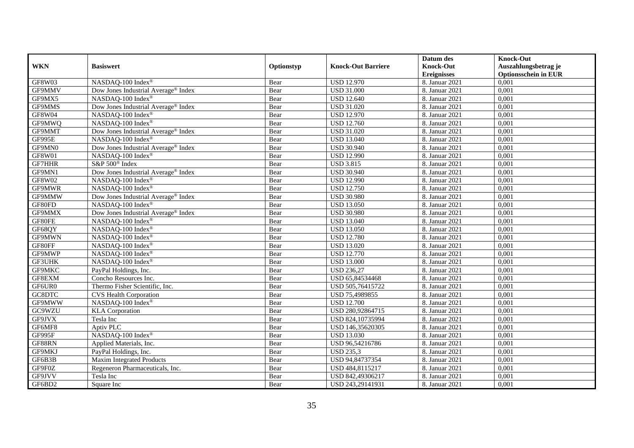|               |                                                 |            |                           | Datum des          | <b>Knock-Out</b>            |
|---------------|-------------------------------------------------|------------|---------------------------|--------------------|-----------------------------|
| <b>WKN</b>    | <b>Basiswert</b>                                | Optionstyp | <b>Knock-Out Barriere</b> | <b>Knock-Out</b>   | Auszahlungsbetrag je        |
|               |                                                 |            |                           | <b>Ereignisses</b> | <b>Optionsschein in EUR</b> |
| <b>GF8W03</b> | NASDAQ-100 Index®                               | Bear       | <b>USD 12.970</b>         | 8. Januar 2021     | 0,001                       |
| GF9MMV        | Dow Jones Industrial Average® Index             | Bear       | <b>USD 31.000</b>         | 8. Januar 2021     | 0,001                       |
| GF9MX5        | NASDAQ-100 Index®                               | Bear       | <b>USD 12.640</b>         | 8. Januar 2021     | 0,001                       |
| GF9MMS        | Dow Jones Industrial Average <sup>®</sup> Index | Bear       | <b>USD 31.020</b>         | 8. Januar 2021     | 0,001                       |
| GF8W04        | NASDAQ-100 Index®                               | Bear       | <b>USD 12.970</b>         | 8. Januar 2021     | 0,001                       |
| GF9MWQ        | NASDAQ-100 Index®                               | Bear       | <b>USD 12.760</b>         | 8. Januar 2021     | 0,001                       |
| GF9MMT        | Dow Jones Industrial Average <sup>®</sup> Index | Bear       | <b>USD 31.020</b>         | 8. Januar 2021     | 0,001                       |
| GF995E        | NASDAQ-100 Index®                               | Bear       | <b>USD 13.040</b>         | 8. Januar 2021     | 0,001                       |
| GF9MN0        | Dow Jones Industrial Average® Index             | Bear       | <b>USD 30.940</b>         | 8. Januar 2021     | 0,001                       |
| GF8W01        | NASDAQ-100 Index <sup>®</sup>                   | Bear       | <b>USD 12.990</b>         | 8. Januar 2021     | 0,001                       |
| GF7HHR        | S&P 500 <sup>®</sup> Index                      | Bear       | <b>USD 3.815</b>          | 8. Januar 2021     | 0,001                       |
| GF9MN1        | Dow Jones Industrial Average® Index             | Bear       | <b>USD 30.940</b>         | 8. Januar 2021     | 0,001                       |
| GF8W02        | NASDAQ-100 Index®                               | Bear       | <b>USD 12.990</b>         | 8. Januar 2021     | 0,001                       |
| GF9MWR        | NASDAQ-100 Index®                               | Bear       | <b>USD 12.750</b>         | 8. Januar 2021     | 0,001                       |
| GF9MMW        | Dow Jones Industrial Average <sup>®</sup> Index | Bear       | <b>USD 30.980</b>         | 8. Januar 2021     | 0,001                       |
| GF80FD        | NASDAQ-100 Index®                               | Bear       | <b>USD 13.050</b>         | 8. Januar 2021     | 0,001                       |
| GF9MMX        | Dow Jones Industrial Average <sup>®</sup> Index | Bear       | <b>USD 30.980</b>         | 8. Januar 2021     | 0,001                       |
| GF80FE        | NASDAQ-100 Index®                               | Bear       | <b>USD 13.040</b>         | 8. Januar 2021     | 0,001                       |
| GF68QY        | NASDAQ-100 Index®                               | Bear       | <b>USD 13.050</b>         | 8. Januar 2021     | 0,001                       |
| GF9MWN        | NASDAQ-100 Index®                               | Bear       | <b>USD 12.780</b>         | 8. Januar 2021     | 0,001                       |
| GF80FF        | NASDAQ-100 Index®                               | Bear       | <b>USD 13.020</b>         | 8. Januar 2021     | 0,001                       |
| GF9MWP        | NASDAQ-100 Index®                               | Bear       | <b>USD 12.770</b>         | 8. Januar 2021     | 0,001                       |
| <b>GF3UHK</b> | NASDAQ-100 Index®                               | Bear       | <b>USD 13.000</b>         | 8. Januar 2021     | 0,001                       |
| GF9MKC        | PayPal Holdings, Inc.                           | Bear       | <b>USD 236,27</b>         | 8. Januar 2021     | 0,001                       |
| GF8EXM        | Concho Resources Inc.                           | Bear       | USD 65,84534468           | 8. Januar 2021     | 0,001                       |
| GF6UR0        | Thermo Fisher Scientific, Inc.                  | Bear       | USD 505,76415722          | 8. Januar 2021     | 0,001                       |
| GC8DTC        | <b>CVS Health Corporation</b>                   | Bear       | USD 75,4989855            | 8. Januar 2021     | 0,001                       |
| GF9MWW        | NASDAQ-100 Index®                               | Bear       | <b>USD 12.700</b>         | 8. Januar 2021     | 0,001                       |
| GC9WZU        | <b>KLA</b> Corporation                          | Bear       | USD 280,92864715          | 8. Januar 2021     | 0,001                       |
| GF9JVX        | Tesla Inc                                       | Bear       | USD 824,10735994          | 8. Januar 2021     | 0,001                       |
| GF6MF8        | Aptiv PLC                                       | Bear       | USD 146,35620305          | 8. Januar 2021     | 0,001                       |
| GF995F        | NASDAQ-100 Index®                               | Bear       | <b>USD 13.030</b>         | 8. Januar 2021     | 0,001                       |
| GF88RN        | Applied Materials, Inc.                         | Bear       | USD 96,54216786           | 8. Januar 2021     | 0,001                       |
| GF9MKJ        | PayPal Holdings, Inc.                           | Bear       | <b>USD 235,3</b>          | 8. Januar 2021     | 0,001                       |
| GF6B3B        | <b>Maxim Integrated Products</b>                | Bear       | USD 94,84737354           | 8. Januar 2021     | 0,001                       |
| GF9F0Z        | Regeneron Pharmaceuticals, Inc.                 | Bear       | USD 484,8115217           | 8. Januar 2021     | 0,001                       |
| GF9JVV        | Tesla Inc                                       | Bear       | USD 842,49306217          | 8. Januar 2021     | 0,001                       |
| GF6BD2        | Square Inc                                      | Bear       | USD 243,29141931          | 8. Januar 2021     | 0,001                       |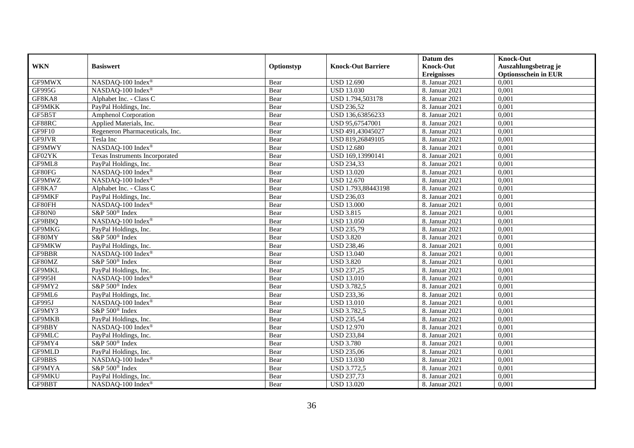|               |                                 |            |                           | Datum des          | <b>Knock-Out</b>            |
|---------------|---------------------------------|------------|---------------------------|--------------------|-----------------------------|
| <b>WKN</b>    | <b>Basiswert</b>                | Optionstyp | <b>Knock-Out Barriere</b> | <b>Knock-Out</b>   | Auszahlungsbetrag je        |
|               |                                 |            |                           | <b>Ereignisses</b> | <b>Optionsschein in EUR</b> |
| GF9MWX        | NASDAQ-100 Index®               | Bear       | <b>USD 12.690</b>         | 8. Januar 2021     | 0,001                       |
| GF995G        | NASDAQ-100 Index®               | Bear       | <b>USD 13.030</b>         | 8. Januar 2021     | 0,001                       |
| GF8KA8        | Alphabet Inc. - Class C         | Bear       | USD 1.794,503178          | 8. Januar 2021     | 0,001                       |
| <b>GF9MKK</b> | PayPal Holdings, Inc.           | Bear       | <b>USD 236,52</b>         | 8. Januar 2021     | 0,001                       |
| GF5B5T        | Amphenol Corporation            | Bear       | USD 136,63856233          | 8. Januar 2021     | 0,001                       |
| GF88RC        | Applied Materials, Inc.         | Bear       | USD 95,67547001           | 8. Januar 2021     | 0,001                       |
| GF9F10        | Regeneron Pharmaceuticals, Inc. | Bear       | USD 491,43045027          | 8. Januar 2021     | 0,001                       |
| GF9JVR        | Tesla Inc                       | Bear       | USD 819,26849105          | 8. Januar 2021     | 0,001                       |
| GF9MWY        | NASDAQ-100 Index®               | Bear       | <b>USD 12.680</b>         | 8. Januar 2021     | 0,001                       |
| GF02YK        | Texas Instruments Incorporated  | Bear       | USD 169,13990141          | 8. Januar 2021     | 0,001                       |
| GF9ML8        | PayPal Holdings, Inc.           | Bear       | <b>USD 234,33</b>         | 8. Januar 2021     | 0,001                       |
| GF80FG        | NASDAQ-100 Index®               | Bear       | <b>USD 13.020</b>         | 8. Januar 2021     | 0,001                       |
| GF9MWZ        | NASDAQ-100 Index®               | Bear       | <b>USD 12.670</b>         | 8. Januar 2021     | 0,001                       |
| GF8KA7        | Alphabet Inc. - Class C         | Bear       | USD 1.793,88443198        | 8. Januar 2021     | 0,001                       |
| GF9MKF        | PayPal Holdings, Inc.           | Bear       | <b>USD 236,03</b>         | 8. Januar 2021     | 0,001                       |
| GF80FH        | NASDAQ-100 Index®               | Bear       | <b>USD 13.000</b>         | 8. Januar 2021     | 0,001                       |
| GF80N0        | S&P 500 <sup>®</sup> Index      | Bear       | <b>USD 3.815</b>          | 8. Januar 2021     | 0,001                       |
| GF9BBQ        | NASDAQ-100 Index®               | Bear       | <b>USD 13.050</b>         | 8. Januar 2021     | 0,001                       |
| GF9MKG        | PayPal Holdings, Inc.           | Bear       | <b>USD 235,79</b>         | 8. Januar 2021     | 0,001                       |
| GF80MY        | S&P 500 <sup>®</sup> Index      | Bear       | <b>USD 3.820</b>          | 8. Januar 2021     | 0,001                       |
| GF9MKW        | PayPal Holdings, Inc.           | Bear       | <b>USD 238,46</b>         | 8. Januar 2021     | 0,001                       |
| GF9BBR        | NASDAQ-100 Index®               | Bear       | <b>USD 13.040</b>         | 8. Januar 2021     | 0,001                       |
| GF80MZ        | S&P 500 <sup>®</sup> Index      | Bear       | <b>USD 3.820</b>          | 8. Januar 2021     | 0,001                       |
| GF9MKL        | PayPal Holdings, Inc.           | Bear       | <b>USD 237,25</b>         | 8. Januar 2021     | 0,001                       |
| GF995H        | NASDAQ-100 Index®               | Bear       | <b>USD 13.010</b>         | 8. Januar 2021     | 0,001                       |
| GF9MY2        | S&P 500 <sup>®</sup> Index      | Bear       | <b>USD 3.782,5</b>        | 8. Januar 2021     | 0,001                       |
| GF9ML6        | PayPal Holdings, Inc.           | Bear       | <b>USD 233,36</b>         | 8. Januar 2021     | 0,001                       |
| GF995J        | NASDAQ-100 Index®               | Bear       | <b>USD 13.010</b>         | 8. Januar 2021     | 0,001                       |
| GF9MY3        | S&P 500 <sup>®</sup> Index      | Bear       | <b>USD 3.782,5</b>        | 8. Januar 2021     | 0,001                       |
| <b>GF9MKB</b> | PayPal Holdings, Inc.           | Bear       | <b>USD 235,54</b>         | 8. Januar 2021     | 0,001                       |
| GF9BBY        | NASDAQ-100 Index®               | Bear       | <b>USD 12.970</b>         | 8. Januar 2021     | 0,001                       |
| GF9MLC        | PayPal Holdings, Inc.           | Bear       | <b>USD 233,84</b>         | 8. Januar 2021     | 0,001                       |
| GF9MY4        | S&P 500 <sup>®</sup> Index      | Bear       | <b>USD 3.780</b>          | 8. Januar 2021     | 0,001                       |
| GF9MLD        | PayPal Holdings, Inc.           | Bear       | <b>USD 235,06</b>         | 8. Januar 2021     | 0,001                       |
| GF9BBS        | NASDAQ-100 Index®               | Bear       | <b>USD 13.030</b>         | 8. Januar 2021     | 0,001                       |
| GF9MYA        | S&P 500 <sup>®</sup> Index      | Bear       | USD 3.772,5               | 8. Januar 2021     | 0,001                       |
| GF9MKU        | PayPal Holdings, Inc.           | Bear       | <b>USD 237,73</b>         | 8. Januar 2021     | 0,001                       |
| GF9BBT        | NASDAQ-100 Index®               | Bear       | <b>USD 13.020</b>         | 8. Januar 2021     | 0,001                       |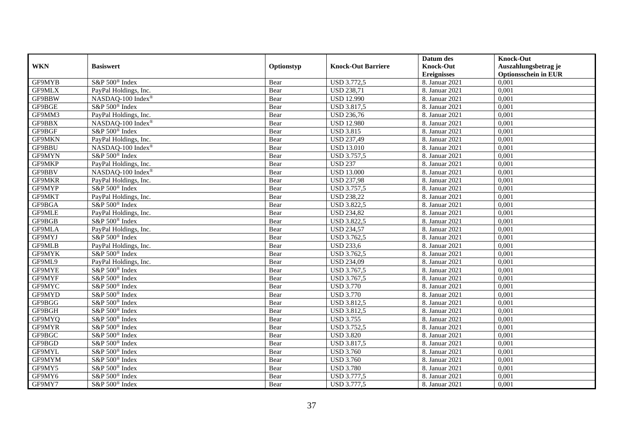|               |                                |            |                           | Datum des          | <b>Knock-Out</b>            |
|---------------|--------------------------------|------------|---------------------------|--------------------|-----------------------------|
| <b>WKN</b>    | <b>Basiswert</b>               | Optionstyp | <b>Knock-Out Barriere</b> | <b>Knock-Out</b>   | Auszahlungsbetrag je        |
|               |                                |            |                           | <b>Ereignisses</b> | <b>Optionsschein in EUR</b> |
| GF9MYB        | S&P 500 <sup>®</sup> Index     | Bear       | <b>USD 3.772,5</b>        | 8. Januar 2021     | 0,001                       |
| GF9MLX        | PayPal Holdings, Inc.          | Bear       | <b>USD 238,71</b>         | 8. Januar 2021     | 0,001                       |
| GF9BBW        | NASDAQ-100 Index®              | Bear       | <b>USD 12.990</b>         | 8. Januar 2021     | 0,001                       |
| GF9BGE        | S&P 500 <sup>®</sup> Index     | Bear       | <b>USD 3.817,5</b>        | 8. Januar 2021     | 0,001                       |
| GF9MM3        | PayPal Holdings, Inc.          | Bear       | <b>USD 236,76</b>         | 8. Januar 2021     | 0,001                       |
| GF9BBX        | NASDAQ-100 Index®              | Bear       | <b>USD 12.980</b>         | 8. Januar 2021     | 0,001                       |
| GF9BGF        | S&P 500 <sup>®</sup> Index     | Bear       | <b>USD 3.815</b>          | 8. Januar 2021     | 0,001                       |
| <b>GF9MKN</b> | PayPal Holdings, Inc.          | Bear       | <b>USD 237,49</b>         | 8. Januar 2021     | 0,001                       |
| <b>GF9BBU</b> | NASDAQ-100 Index®              | Bear       | <b>USD 13.010</b>         | 8. Januar 2021     | 0,001                       |
| GF9MYN        | S&P 500 <sup>®</sup> Index     | Bear       | <b>USD 3.757,5</b>        | 8. Januar 2021     | 0,001                       |
| GF9MKP        | PayPal Holdings, Inc.          | Bear       | <b>USD 237</b>            | 8. Januar 2021     | 0,001                       |
| GF9BBV        | NASDAQ-100 Index®              | Bear       | <b>USD 13.000</b>         | 8. Januar 2021     | 0,001                       |
| <b>GF9MKR</b> | PayPal Holdings, Inc.          | Bear       | <b>USD 237,98</b>         | 8. Januar 2021     | 0,001                       |
| GF9MYP        | S&P 500 <sup>®</sup> Index     | Bear       | <b>USD 3.757,5</b>        | 8. Januar 2021     | 0,001                       |
| GF9MKT        | PayPal Holdings, Inc.          | Bear       | <b>USD 238,22</b>         | 8. Januar 2021     | 0,001                       |
| GF9BGA        | S&P 500 <sup>®</sup> Index     | Bear       | <b>USD 3.822,5</b>        | 8. Januar 2021     | 0,001                       |
| <b>GF9MLE</b> | PayPal Holdings, Inc.          | Bear       | <b>USD 234,82</b>         | 8. Januar 2021     | 0,001                       |
| GF9BGB        | $S\&P 500^{\circ}$ Index       | Bear       | <b>USD 3.822,5</b>        | 8. Januar 2021     | 0.001                       |
| <b>GF9MLA</b> | PayPal Holdings, Inc.          | Bear       | <b>USD 234,57</b>         | 8. Januar 2021     | 0,001                       |
| GF9MYJ        | S&P 500 <sup>®</sup> Index     | Bear       | <b>USD 3.762,5</b>        | 8. Januar 2021     | 0,001                       |
| <b>GF9MLB</b> | PayPal Holdings, Inc.          | Bear       | <b>USD 233,6</b>          | 8. Januar 2021     | 0,001                       |
| GF9MYK        | $S\&P 500^{\circ}$ Index       | Bear       | USD 3.762,5               | 8. Januar 2021     | 0,001                       |
| GF9ML9        | PayPal Holdings, Inc.          | Bear       | <b>USD 234,09</b>         | 8. Januar 2021     | 0,001                       |
| <b>GF9MYE</b> | S&P 500 <sup>®</sup> Index     | Bear       | USD 3.767,5               | 8. Januar 2021     | 0,001                       |
| GF9MYF        | S&P 500 <sup>®</sup> Index     | Bear       | USD 3.767,5               | 8. Januar 2021     | 0,001                       |
| GF9MYC        | S&P 500 <sup>®</sup> Index     | Bear       | <b>USD 3.770</b>          | 8. Januar 2021     | 0,001                       |
| GF9MYD        | S&P 500 <sup>®</sup> Index     | Bear       | <b>USD 3.770</b>          | 8. Januar 2021     | 0,001                       |
| GF9BGG        | S&P 500 <sup>®</sup> Index     | Bear       | <b>USD 3.812,5</b>        | 8. Januar 2021     | 0,001                       |
| GF9BGH        | $S\&P 500^{\circ}$ Index       | Bear       | <b>USD 3.812,5</b>        | 8. Januar 2021     | 0,001                       |
| GF9MYQ        | S&P 500 <sup>®</sup> Index     | Bear       | <b>USD 3.755</b>          | 8. Januar 2021     | 0,001                       |
| GF9MYR        | S&P 500 <sup>®</sup> Index     | Bear       | <b>USD 3.752,5</b>        | 8. Januar 2021     | 0,001                       |
| GF9BGC        | S&P 500 <sup>®</sup> Index     | Bear       | <b>USD 3.820</b>          | 8. Januar 2021     | 0,001                       |
| GF9BGD        | S&P 500 <sup>®</sup> Index     | Bear       | <b>USD 3.817,5</b>        | 8. Januar 2021     | 0,001                       |
| GF9MYL        | $S\&P 500^{\circledast}$ Index | Bear       | <b>USD 3.760</b>          | 8. Januar 2021     | 0,001                       |
| GF9MYM        | S&P 500 <sup>®</sup> Index     | Bear       | <b>USD 3.760</b>          | 8. Januar 2021     | 0,001                       |
| GF9MY5        | S&P 500 <sup>®</sup> Index     | Bear       | <b>USD 3.780</b>          | 8. Januar 2021     | 0,001                       |
| GF9MY6        | S&P 500 <sup>®</sup> Index     | Bear       | <b>USD 3.777,5</b>        | 8. Januar 2021     | 0,001                       |
| GF9MY7        | S&P 500 <sup>®</sup> Index     | Bear       | <b>USD 3.777,5</b>        | 8. Januar 2021     | 0,001                       |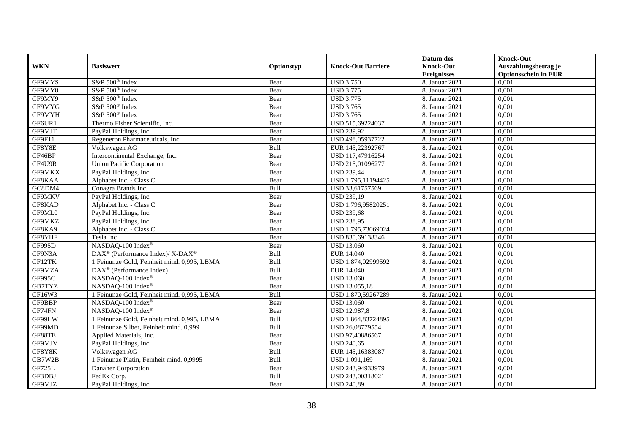|            |                                                          |            |                           | Datum des          | <b>Knock-Out</b>            |
|------------|----------------------------------------------------------|------------|---------------------------|--------------------|-----------------------------|
| <b>WKN</b> | <b>Basiswert</b>                                         | Optionstyp | <b>Knock-Out Barriere</b> | <b>Knock-Out</b>   | Auszahlungsbetrag je        |
|            |                                                          |            |                           | <b>Ereignisses</b> | <b>Optionsschein in EUR</b> |
| GF9MYS     | S&P 500 <sup>®</sup> Index                               | Bear       | <b>USD 3.750</b>          | 8. Januar 2021     | 0,001                       |
| GF9MY8     | S&P 500 <sup>®</sup> Index                               | Bear       | <b>USD 3.775</b>          | 8. Januar 2021     | 0,001                       |
| GF9MY9     | S&P 500 <sup>®</sup> Index                               | Bear       | <b>USD 3.775</b>          | 8. Januar 2021     | 0,001                       |
| GF9MYG     | S&P 500 <sup>®</sup> Index                               | Bear       | <b>USD 3.765</b>          | 8. Januar 2021     | 0,001                       |
| GF9MYH     | S&P 500 <sup>®</sup> Index                               | Bear       | <b>USD 3.765</b>          | 8. Januar 2021     | 0,001                       |
| GF6UR1     | Thermo Fisher Scientific, Inc.                           | Bear       | USD 515,69224037          | 8. Januar 2021     | 0,001                       |
| GF9MJT     | PayPal Holdings, Inc.                                    | Bear       | <b>USD 239,92</b>         | 8. Januar 2021     | 0,001                       |
| GF9F11     | Regeneron Pharmaceuticals, Inc.                          | Bear       | USD 498,05937722          | 8. Januar 2021     | 0,001                       |
| GF8Y8E     | Volkswagen AG                                            | Bull       | EUR 145,22392767          | 8. Januar 2021     | 0,001                       |
| GF46BP     | Intercontinental Exchange, Inc.                          | Bear       | USD 117,47916254          | 8. Januar 2021     | 0,001                       |
| GF4U9R     | <b>Union Pacific Corporation</b>                         | Bear       | USD 215,01096277          | 8. Januar 2021     | 0,001                       |
| GF9MKX     | PayPal Holdings, Inc.                                    | Bear       | <b>USD 239,44</b>         | 8. Januar 2021     | 0,001                       |
| GF8KAA     | Alphabet Inc. - Class C                                  | Bear       | USD 1.795,11194425        | 8. Januar 2021     | 0,001                       |
| GC8DM4     | Conagra Brands Inc.                                      | Bull       | USD 33,61757569           | 8. Januar 2021     | 0,001                       |
| GF9MKV     | PayPal Holdings, Inc.                                    | Bear       | <b>USD 239,19</b>         | 8. Januar 2021     | 0,001                       |
| GF8KAD     | Alphabet Inc. - Class C                                  | Bear       | USD 1.796,95820251        | 8. Januar 2021     | 0,001                       |
| GF9ML0     | PayPal Holdings, Inc.                                    | Bear       | <b>USD 239,68</b>         | 8. Januar 2021     | 0,001                       |
| GF9MKZ     | PayPal Holdings, Inc.                                    | Bear       | <b>USD 238.95</b>         | 8. Januar 2021     | 0,001                       |
| GF8KA9     | Alphabet Inc. - Class C                                  | Bear       | USD 1.795,73069024        | 8. Januar 2021     | 0,001                       |
| GF8YHF     | Tesla Inc                                                | Bear       | USD 830,69138346          | 8. Januar 2021     | 0,001                       |
| GF995D     | NASDAQ-100 Index®                                        | Bear       | <b>USD 13.060</b>         | 8. Januar 2021     | 0,001                       |
| GF9N3A     | DAX <sup>®</sup> (Performance Index)/ X-DAX <sup>®</sup> | Bull       | <b>EUR 14.040</b>         | 8. Januar 2021     | 0,001                       |
| GF12TK     | 1 Feinunze Gold, Feinheit mind. 0,995, LBMA              | Bull       | USD 1.874,02999592        | 8. Januar 2021     | 0,001                       |
| GF9MZA     | DAX <sup>®</sup> (Performance Index)                     | Bull       | EUR 14.040                | 8. Januar 2021     | 0,001                       |
| GF995C     | NASDAQ-100 Index®                                        | Bear       | <b>USD 13.060</b>         | 8. Januar 2021     | 0,001                       |
| GB7TYZ     | NASDAQ-100 Index®                                        | Bear       | USD 13.055,18             | 8. Januar 2021     | 0,001                       |
| GF16W3     | 1 Feinunze Gold, Feinheit mind. 0,995, LBMA              | Bull       | USD 1.870,59267289        | 8. Januar 2021     | 0,001                       |
| GF9BBP     | NASDAQ-100 Index®                                        | Bear       | <b>USD 13.060</b>         | 8. Januar 2021     | 0,001                       |
| GF74FN     | NASDAQ-100 Index®                                        | Bear       | <b>USD 12.987,8</b>       | 8. Januar 2021     | 0,001                       |
| GF99LW     | 1 Feinunze Gold, Feinheit mind. 0,995, LBMA              | Bull       | USD 1.864,83724895        | 8. Januar 2021     | 0,001                       |
| GF99MD     | 1 Feinunze Silber, Feinheit mind. 0,999                  | Bull       | USD 26,08779554           | 8. Januar 2021     | 0,001                       |
| GF88TE     | Applied Materials, Inc.                                  | Bear       | USD 97,40886567           | 8. Januar 2021     | 0,001                       |
| GF9MJV     | PayPal Holdings, Inc.                                    | Bear       | <b>USD 240,65</b>         | 8. Januar 2021     | 0,001                       |
| GF8Y8K     | Volkswagen AG                                            | Bull       | EUR 145,16383087          | 8. Januar 2021     | 0,001                       |
| GB7W2B     | 1 Feinunze Platin, Feinheit mind. 0,9995                 | Bull       | USD 1.091,169             | 8. Januar 2021     | 0,001                       |
| GF725L     | Danaher Corporation                                      | Bear       | USD 243,94933979          | 8. Januar 2021     | 0,001                       |
| GF3DBJ     | FedEx Corp.                                              | Bull       | USD 243,00318021          | 8. Januar 2021     | 0,001                       |
| GF9MJZ     | PayPal Holdings, Inc.                                    | Bear       | <b>USD 240,89</b>         | 8. Januar 2021     | 0,001                       |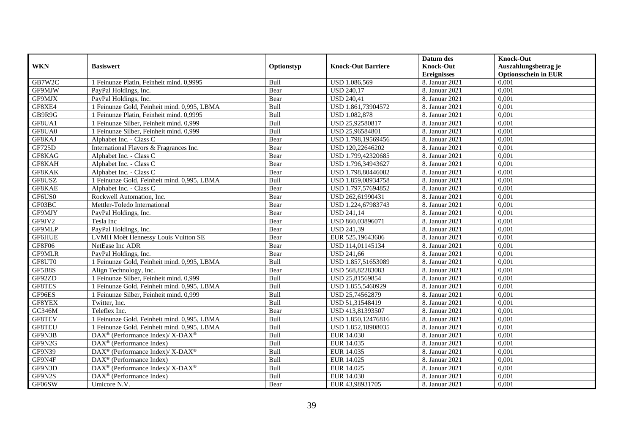|               |                                                                    |            |                           | Datum des          | <b>Knock-Out</b>            |
|---------------|--------------------------------------------------------------------|------------|---------------------------|--------------------|-----------------------------|
| <b>WKN</b>    | <b>Basiswert</b>                                                   | Optionstyp | <b>Knock-Out Barriere</b> | <b>Knock-Out</b>   | Auszahlungsbetrag je        |
|               |                                                                    |            |                           | <b>Ereignisses</b> | <b>Optionsschein in EUR</b> |
| GB7W2C        | 1 Feinunze Platin, Feinheit mind. 0,9995                           | Bull       | USD 1.086,569             | 8. Januar 2021     | 0,001                       |
| GF9MJW        | PayPal Holdings, Inc.                                              | Bear       | <b>USD 240,17</b>         | 8. Januar 2021     | 0,001                       |
| GF9MJX        | PayPal Holdings, Inc.                                              | Bear       | <b>USD 240,41</b>         | 8. Januar 2021     | 0,001                       |
| GF8XE4        | 1 Feinunze Gold, Feinheit mind. 0,995, LBMA                        | Bull       | USD 1.861,73904572        | 8. Januar 2021     | 0,001                       |
| GB9R9G        | 1 Feinunze Platin, Feinheit mind. 0,9995                           | Bull       | USD 1.082,878             | 8. Januar 2021     | 0,001                       |
| GF8UA1        | 1 Feinunze Silber, Feinheit mind. 0,999                            | Bull       | USD 25,92580817           | 8. Januar 2021     | 0,001                       |
| GF8UA0        | 1 Feinunze Silber, Feinheit mind. 0,999                            | Bull       | USD 25,96584801           | 8. Januar 2021     | 0,001                       |
| GF8KAJ        | Alphabet Inc. - Class C                                            | Bear       | USD 1.798,19569456        | 8. Januar 2021     | 0,001                       |
| GF725D        | International Flavors & Fragrances Inc.                            | Bear       | USD 120,22646202          | 8. Januar 2021     | 0,001                       |
| GF8KAG        | Alphabet Inc. - Class C                                            | Bear       | USD 1.799,42320685        | 8. Januar 2021     | 0,001                       |
| GF8KAH        | Alphabet Inc. - Class C                                            | Bear       | USD 1.796,34943627        | 8. Januar 2021     | 0,001                       |
| GF8KAK        | Alphabet Inc. - Class C                                            | Bear       | USD 1.798,80446082        | 8. Januar 2021     | 0,001                       |
| GF8USZ        | 1 Feinunze Gold, Feinheit mind. 0,995, LBMA                        | Bull       | USD 1.859,08934758        | 8. Januar 2021     | 0,001                       |
| GF8KAE        | Alphabet Inc. - Class C                                            | Bear       | USD 1.797,57694852        | 8. Januar 2021     | 0.001                       |
| GF6US0        | Rockwell Automation, Inc.                                          | Bear       | USD 262,61990431          | 8. Januar 2021     | 0,001                       |
| GF03BC        | Mettler-Toledo International                                       | Bear       | USD 1.224,67983743        | 8. Januar 2021     | 0,001                       |
| GF9MJY        | PayPal Holdings, Inc.                                              | Bear       | <b>USD 241,14</b>         | 8. Januar 2021     | 0,001                       |
| GF9JV2        | Tesla Inc                                                          | Bear       | USD 860,03896071          | 8. Januar 2021     | 0,001                       |
| GF9MLP        | PayPal Holdings, Inc.                                              | Bear       | <b>USD 241,39</b>         | 8. Januar 2021     | 0,001                       |
| GF6HUE        | LVMH Moët Hennessy Louis Vuitton SE                                | Bear       | EUR 525,19643606          | 8. Januar 2021     | 0,001                       |
| GF8F06        | NetEase Inc ADR                                                    | Bear       | USD 114,01145134          | 8. Januar 2021     | 0,001                       |
| GF9MLR        | PayPal Holdings, Inc.                                              | Bear       | <b>USD 241.66</b>         | 8. Januar 2021     | 0,001                       |
| GF8UT0        | 1 Feinunze Gold, Feinheit mind. 0,995, LBMA                        | Bull       | USD 1.857,51653089        | 8. Januar 2021     | 0,001                       |
| GF5B8S        | Align Technology, Inc.                                             | Bear       | USD 568,82283083          | 8. Januar 2021     | 0,001                       |
| GF92ZD        | 1 Feinunze Silber, Feinheit mind. 0,999                            | Bull       | USD 25,81569854           | 8. Januar 2021     | 0,001                       |
| GF8TES        | 1 Feinunze Gold, Feinheit mind. 0,995, LBMA                        | Bull       | USD 1.855,5460929         | 8. Januar 2021     | 0,001                       |
| GF96ES        | 1 Feinunze Silber, Feinheit mind. 0,999                            | Bull       | USD 25,74562879           | 8. Januar 2021     | 0,001                       |
| GF8YEX        | Twitter, Inc.                                                      | Bull       | USD 51,31548419           | 8. Januar 2021     | 0,001                       |
| GC346M        | Teleflex Inc.                                                      | Bear       | USD 413,81393507          | 8. Januar 2021     | 0,001                       |
| GF8TEV        | 1 Feinunze Gold, Feinheit mind. 0,995, LBMA                        | Bull       | USD 1.850,12476816        | 8. Januar 2021     | 0,001                       |
| <b>GF8TEU</b> | 1 Feinunze Gold, Feinheit mind. 0,995, LBMA                        | Bull       | USD 1.852,18908035        | 8. Januar 2021     | 0,001                       |
| GF9N3B        | $\text{DAX}^{\circledast}$ (Performance Index)/ X-DAX <sup>®</sup> | Bull       | EUR 14.030                | 8. Januar 2021     | 0,001                       |
| GF9N2G        | $\text{DAX}^{\textcircled{p}}$ (Performance Index)                 | Bull       | EUR 14.035                | 8. Januar 2021     | 0,001                       |
| GF9N39        | $\text{DAX}^{\circledR}$ (Performance Index)/ X-DAX <sup>®</sup>   | Bull       | EUR 14.035                | 8. Januar 2021     | 0,001                       |
| GF9N4F        | $\text{DAX}^{\circledast}$ (Performance Index)                     | Bull       | EUR 14.025                | 8. Januar 2021     | 0,001                       |
| GF9N3D        | $\text{DAX}^{\circledast}$ (Performance Index)/ X-DAX <sup>®</sup> | Bull       | EUR 14.025                | 8. Januar 2021     | 0,001                       |
| GF9N2S        | $\text{DAX}^{\circledast}$ (Performance Index)                     | Bull       | EUR 14.030                | 8. Januar 2021     | 0,001                       |
| GF06SW        | Umicore N.V.                                                       | Bear       | EUR 43,98931705           | 8. Januar 2021     | 0,001                       |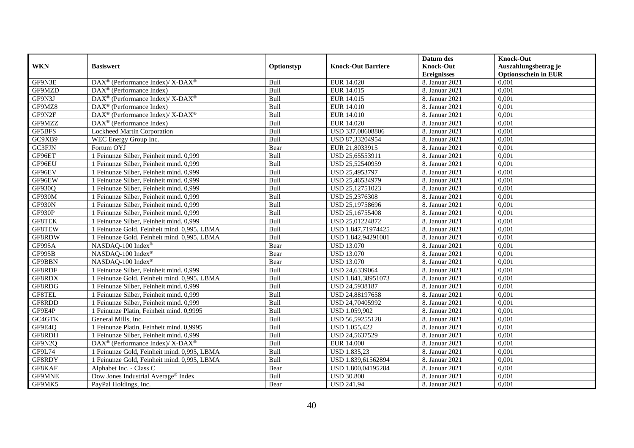|               |                                                                          |             |                           | Datum des          | <b>Knock-Out</b>            |
|---------------|--------------------------------------------------------------------------|-------------|---------------------------|--------------------|-----------------------------|
| <b>WKN</b>    | <b>Basiswert</b>                                                         | Optionstyp  | <b>Knock-Out Barriere</b> | <b>Knock-Out</b>   | Auszahlungsbetrag je        |
|               |                                                                          |             |                           | <b>Ereignisses</b> | <b>Optionsschein in EUR</b> |
| GF9N3E        | DAX <sup>®</sup> (Performance Index)/ X-DAX <sup>®</sup>                 | Bull        | EUR 14.020                | 8. Januar 2021     | 0,001                       |
| GF9MZD        | $DAX^{\circledR}$ (Performance Index)                                    | Bull        | EUR 14.015                | 8. Januar 2021     | 0,001                       |
| GF9N3J        | $\text{DAX}^{\circledast}$ (Performance Index)/ X-DAX <sup>®</sup>       | Bull        | EUR 14.015                | 8. Januar 2021     | 0,001                       |
| GF9MZ8        | $\text{DAX}^{\circledast}$ (Performance Index)                           | Bull        | <b>EUR 14.010</b>         | 8. Januar 2021     | 0,001                       |
| GF9N2F        | DAX <sup>®</sup> (Performance Index)/ X-DAX <sup>®</sup>                 | Bull        | <b>EUR 14.010</b>         | 8. Januar 2021     | 0,001                       |
| GF9MZZ        | $\text{DAX}^{\textcircled{n}}$ (Performance Index)                       | Bull        | EUR 14.020                | 8. Januar 2021     | 0,001                       |
| GF5BFS        | Lockheed Martin Corporation                                              | Bull        | USD 337,08608806          | 8. Januar 2021     | 0,001                       |
| GC9XB9        | WEC Energy Group Inc.                                                    | Bull        | USD 87,33204954           | 8. Januar 2021     | 0,001                       |
| GC3FJN        | Fortum OYJ                                                               | Bear        | EUR 21,8033915            | 8. Januar 2021     | 0,001                       |
| GF96ET        | 1 Feinunze Silber, Feinheit mind. 0,999                                  | Bull        | USD 25,65553911           | 8. Januar 2021     | 0,001                       |
| GF96EU        | 1 Feinunze Silber, Feinheit mind. 0,999                                  | Bull        | USD 25,52540959           | 8. Januar 2021     | 0,001                       |
| GF96EV        | 1 Feinunze Silber, Feinheit mind. 0,999                                  | Bull        | USD 25,4953797            | 8. Januar 2021     | 0,001                       |
| GF96EW        | 1 Feinunze Silber, Feinheit mind. 0,999                                  | Bull        | USD 25,46534979           | 8. Januar 2021     | 0,001                       |
| GF930Q        | 1 Feinunze Silber, Feinheit mind. 0,999                                  | Bull        | USD 25,12751023           | 8. Januar 2021     | 0,001                       |
| GF930M        | 1 Feinunze Silber, Feinheit mind. 0,999                                  | Bull        | USD 25,2376308            | 8. Januar 2021     | 0,001                       |
| GF930N        | 1 Feinunze Silber, Feinheit mind. 0,999                                  | Bull        | USD 25,19758696           | 8. Januar 2021     | 0,001                       |
| GF930P        | 1 Feinunze Silber, Feinheit mind. 0,999                                  | Bull        | USD 25,16755408           | 8. Januar 2021     | 0,001                       |
| <b>GF8TEK</b> | 1 Feinunze Silber, Feinheit mind. 0.999                                  | <b>Bull</b> | USD 25,01224872           | 8. Januar 2021     | 0,001                       |
| GF8TEW        | 1 Feinunze Gold, Feinheit mind. 0,995, LBMA                              | Bull        | USD 1.847,71974425        | 8. Januar 2021     | 0,001                       |
| GF8RDW        | 1 Feinunze Gold, Feinheit mind. 0,995, LBMA                              | Bull        | USD 1.842,94291001        | 8. Januar 2021     | 0,001                       |
| GF995A        | NASDAQ-100 Index®                                                        | Bear        | <b>USD 13.070</b>         | 8. Januar 2021     | 0,001                       |
| GF995B        | NASDAQ-100 Index®                                                        | Bear        | <b>USD 13.070</b>         | 8. Januar 2021     | 0,001                       |
| GF9BBN        | NASDAQ-100 Index®                                                        | Bear        | <b>USD 13.070</b>         | 8. Januar 2021     | 0,001                       |
| GF8RDF        | 1 Feinunze Silber, Feinheit mind. 0,999                                  | Bull        | USD 24,6339064            | 8. Januar 2021     | 0,001                       |
| GF8RDX        | 1 Feinunze Gold, Feinheit mind. 0,995, LBMA                              | Bull        | USD 1.841,38951073        | 8. Januar 2021     | 0,001                       |
| GF8RDG        | 1 Feinunze Silber, Feinheit mind. 0,999                                  | Bull        | USD 24,5938187            | 8. Januar 2021     | 0,001                       |
| GF8TEL        | 1 Feinunze Silber, Feinheit mind. 0,999                                  | Bull        | USD 24,88197658           | 8. Januar 2021     | 0,001                       |
| GF8RDD        | 1 Feinunze Silber, Feinheit mind. 0.999                                  | Bull        | USD 24,70405992           | 8. Januar 2021     | 0.001                       |
| GF9E4P        | 1 Feinunze Platin, Feinheit mind. 0,9995                                 | Bull        | USD 1.059,902             | 8. Januar 2021     | 0,001                       |
| GC4GTK        | General Mills, Inc.                                                      | Bull        | USD 56,59255128           | 8. Januar 2021     | 0,001                       |
| GF9E4Q        | 1 Feinunze Platin, Feinheit mind. 0,9995                                 | Bull        | USD 1.055,422             | 8. Januar 2021     | 0,001                       |
| GF8RDH        | 1 Feinunze Silber, Feinheit mind. 0,999                                  | Bull        | USD 24,5637529            | 8. Januar 2021     | 0,001                       |
| GF9N2Q        | $\overline{\text{DAX}^{\otimes}}$ (Performance Index)/X-DAX <sup>®</sup> | Bull        | <b>EUR 14.000</b>         | 8. Januar 2021     | 0,001                       |
| GF9L74        | 1 Feinunze Gold, Feinheit mind. 0,995, LBMA                              | Bull        | <b>USD 1.835,23</b>       | 8. Januar 2021     | 0,001                       |
| GF8RDY        | 1 Feinunze Gold, Feinheit mind. 0,995, LBMA                              | Bull        | USD 1.839,61562894        | 8. Januar 2021     | 0,001                       |
| GF8KAF        | Alphabet Inc. - Class C                                                  | Bear        | USD 1.800,04195284        | 8. Januar 2021     | 0,001                       |
| <b>GF9MNE</b> | Dow Jones Industrial Average <sup>®</sup> Index                          | Bull        | <b>USD 30.800</b>         | 8. Januar 2021     | 0,001                       |
| GF9MK5        | PayPal Holdings, Inc.                                                    | Bear        | <b>USD 241,94</b>         | 8. Januar 2021     | 0,001                       |